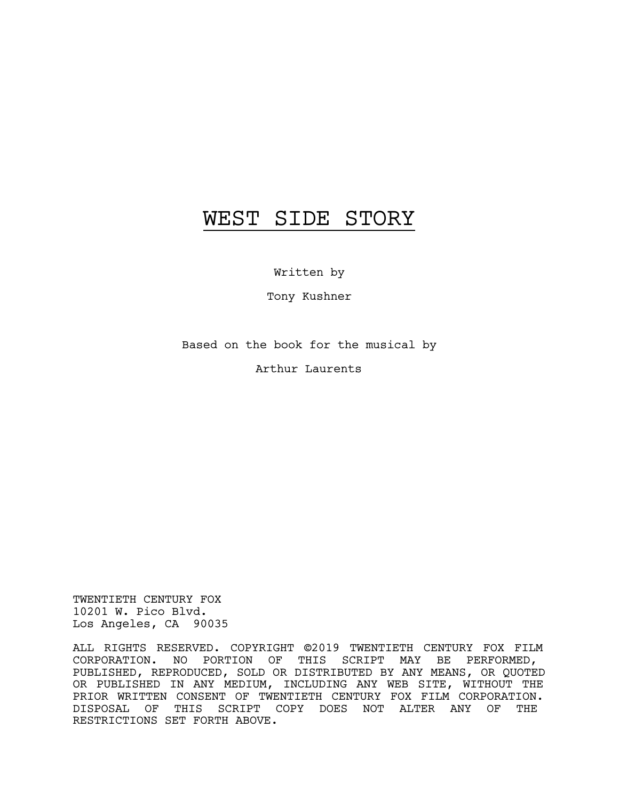# WEST SIDE STORY

Written by

Tony Kushner

Based on the book for the musical by

Arthur Laurents

TWENTIETH CENTURY FOX 10201 W. Pico Blvd. Los Angeles, CA 90035

ALL RIGHTS RESERVED. COPYRIGHT ©2019 TWENTIETH CENTURY FOX FILM CORPORATION. NO PORTION OF THIS SCRIPT MAY BE PERFORMED, PUBLISHED, REPRODUCED, SOLD OR DISTRIBUTED BY ANY MEANS, OR QUOTED OR PUBLISHED IN ANY MEDIUM, INCLUDING ANY WEB SITE, WITHOUT THE PRIOR WRITTEN CONSENT OF TWENTIETH CENTURY FOX FILM CORPORATION. DISPOSAL OF THIS SCRIPT COPY DOES NOT ALTER ANY OF THE RESTRICTIONS SET FORTH ABOVE.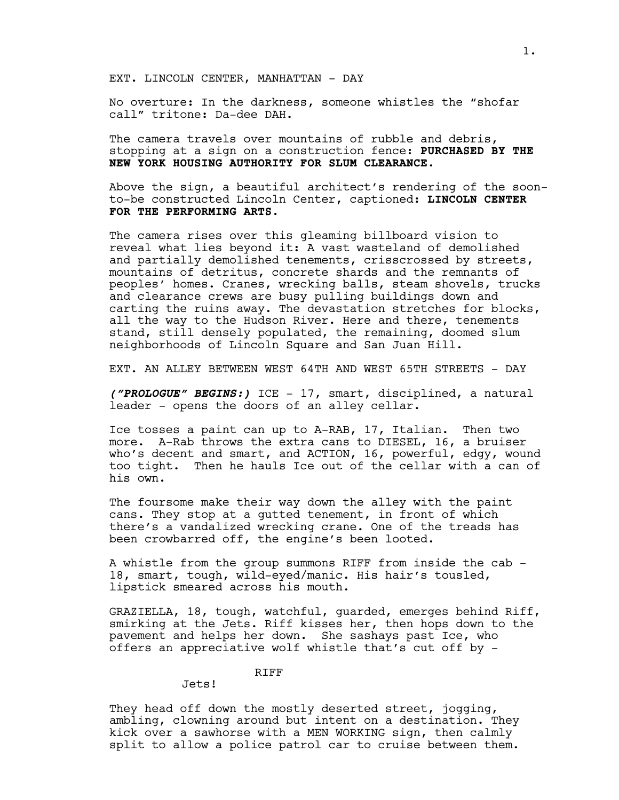EXT. LINCOLN CENTER, MANHATTAN - DAY

No overture: In the darkness, someone whistles the "shofar call" tritone: Da-dee DAH.

The camera travels over mountains of rubble and debris, stopping at a sign on a construction fence: **PURCHASED BY THE NEW YORK HOUSING AUTHORITY FOR SLUM CLEARANCE.**

Above the sign, a beautiful architect's rendering of the soonto-be constructed Lincoln Center, captioned: **LINCOLN CENTER FOR THE PERFORMING ARTS.** 

The camera rises over this gleaming billboard vision to reveal what lies beyond it: A vast wasteland of demolished and partially demolished tenements, crisscrossed by streets, mountains of detritus, concrete shards and the remnants of peoples' homes. Cranes, wrecking balls, steam shovels, trucks and clearance crews are busy pulling buildings down and carting the ruins away. The devastation stretches for blocks, all the way to the Hudson River. Here and there, tenements stand, still densely populated, the remaining, doomed slum neighborhoods of Lincoln Square and San Juan Hill.

EXT. AN ALLEY BETWEEN WEST 64TH AND WEST 65TH STREETS - DAY

*("PROLOGUE" BEGINS:)* ICE - 17, smart, disciplined, a natural leader - opens the doors of an alley cellar.

Ice tosses a paint can up to A-RAB, 17, Italian. Then two more. A-Rab throws the extra cans to DIESEL, 16, a bruiser who's decent and smart, and ACTION, 16, powerful, edgy, wound too tight. Then he hauls Ice out of the cellar with a can of his own.

The foursome make their way down the alley with the paint cans. They stop at a gutted tenement, in front of which there's a vandalized wrecking crane. One of the treads has been crowbarred off, the engine's been looted.

A whistle from the group summons RIFF from inside the cab - 18, smart, tough, wild-eyed/manic. His hair's tousled, lipstick smeared across his mouth.

GRAZIELLA, 18, tough, watchful, guarded, emerges behind Riff, smirking at the Jets. Riff kisses her, then hops down to the pavement and helps her down. She sashays past Ice, who offers an appreciative wolf whistle that's cut off by -

# RIFF

Jets!

They head off down the mostly deserted street, jogging, ambling, clowning around but intent on a destination. They kick over a sawhorse with a MEN WORKING sign, then calmly split to allow a police patrol car to cruise between them.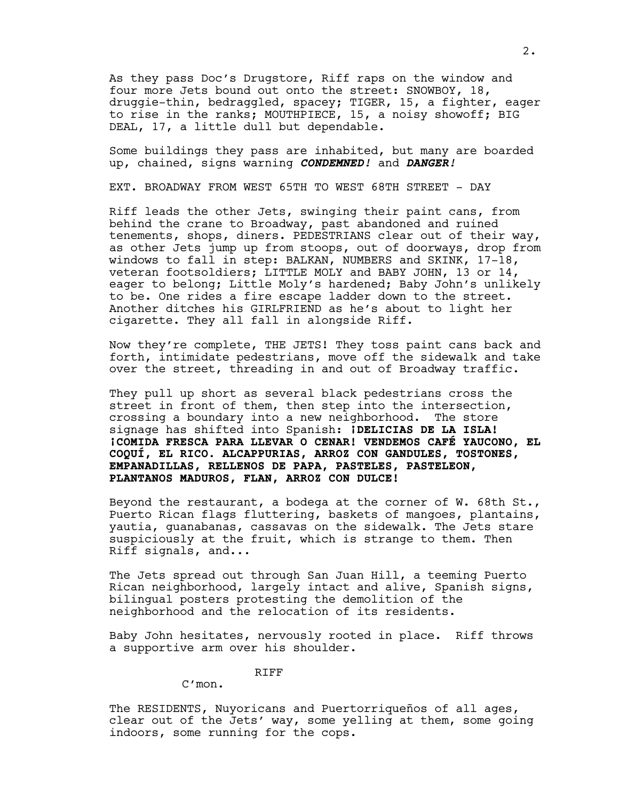As they pass Doc's Drugstore, Riff raps on the window and four more Jets bound out onto the street: SNOWBOY, 18, druggie-thin, bedraggled, spacey; TIGER, 15, a fighter, eager to rise in the ranks; MOUTHPIECE, 15, a noisy showoff; BIG DEAL, 17, a little dull but dependable.

Some buildings they pass are inhabited, but many are boarded up, chained, signs warning *CONDEMNED!* and *DANGER!*

EXT. BROADWAY FROM WEST 65TH TO WEST 68TH STREET - DAY

Riff leads the other Jets, swinging their paint cans, from behind the crane to Broadway, past abandoned and ruined tenements, shops, diners. PEDESTRIANS clear out of their way, as other Jets jump up from stoops, out of doorways, drop from windows to fall in step: BALKAN, NUMBERS and SKINK, 17-18, veteran footsoldiers; LITTLE MOLY and BABY JOHN, 13 or 14, eager to belong; Little Moly's hardened; Baby John's unlikely to be. One rides a fire escape ladder down to the street. Another ditches his GIRLFRIEND as he's about to light her cigarette. They all fall in alongside Riff.

Now they're complete, THE JETS! They toss paint cans back and forth, intimidate pedestrians, move off the sidewalk and take over the street, threading in and out of Broadway traffic.

They pull up short as several black pedestrians cross the street in front of them, then step into the intersection, crossing a boundary into a new neighborhood. The store signage has shifted into Spanish: **¡DELICIAS DE LA ISLA! ¡COMIDA FRESCA PARA LLEVAR O CENAR! VENDEMOS CAFÉ YAUCONO, EL COQUÍ, EL RICO. ALCAPPURIAS, ARROZ CON GANDULES, TOSTONES, EMPANADILLAS, RELLENOS DE PAPA, PASTELES, PASTELEON, PLANTANOS MADUROS, FLAN, ARROZ CON DULCE!**

Beyond the restaurant, a bodega at the corner of W. 68th St., Puerto Rican flags fluttering, baskets of mangoes, plantains, yautia, guanabanas, cassavas on the sidewalk. The Jets stare suspiciously at the fruit, which is strange to them. Then Riff signals, and...

The Jets spread out through San Juan Hill, a teeming Puerto Rican neighborhood, largely intact and alive, Spanish signs, bilingual posters protesting the demolition of the neighborhood and the relocation of its residents.

Baby John hesitates, nervously rooted in place. Riff throws a supportive arm over his shoulder.

RIFF

C'mon.

The RESIDENTS, Nuyoricans and Puertorriqueños of all ages, clear out of the Jets' way, some yelling at them, some going indoors, some running for the cops.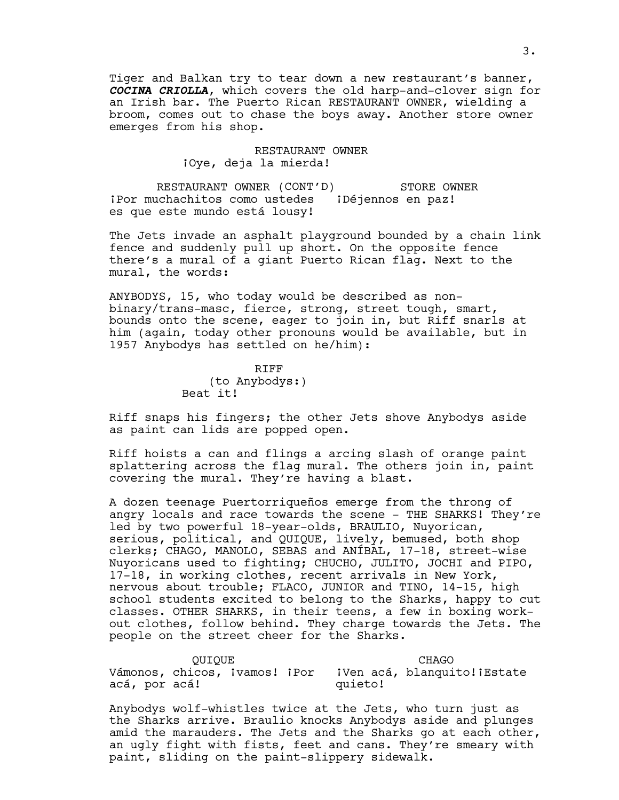Tiger and Balkan try to tear down a new restaurant's banner, *COCINA CRIOLLA*, which covers the old harp-and-clover sign for an Irish bar. The Puerto Rican RESTAURANT OWNER, wielding a broom, comes out to chase the boys away. Another store owner emerges from his shop.

# RESTAURANT OWNER ¡Oye, deja la mierda!

RESTAURANT OWNER (CONT'D) ¡Por muchachitos como ustedes ¡Déjennos en paz! es que este mundo está lousy! STORE OWNER

The Jets invade an asphalt playground bounded by a chain link fence and suddenly pull up short. On the opposite fence there's a mural of a giant Puerto Rican flag. Next to the mural, the words:

ANYBODYS, 15, who today would be described as nonbinary/trans-masc, fierce, strong, street tough, smart, bounds onto the scene, eager to join in, but Riff snarls at him (again, today other pronouns would be available, but in 1957 Anybodys has settled on he/him):

> RIFF (to Anybodys:) Beat it!

Riff snaps his fingers; the other Jets shove Anybodys aside as paint can lids are popped open.

Riff hoists a can and flings a arcing slash of orange paint splattering across the flag mural. The others join in, paint covering the mural. They're having a blast.

A dozen teenage Puertorriqueños emerge from the throng of angry locals and race towards the scene - THE SHARKS! They're led by two powerful 18-year-olds, BRAULIO, Nuyorican, serious, political, and QUIQUE, lively, bemused, both shop clerks; CHAGO, MANOLO, SEBAS and ANÍBAL, 17-18, street-wise Nuyoricans used to fighting; CHUCHO, JULITO, JOCHI and PIPO, 17-18, in working clothes, recent arrivals in New York, nervous about trouble; FLACO, JUNIOR and TINO, 14-15, high school students excited to belong to the Sharks, happy to cut classes. OTHER SHARKS, in their teens, a few in boxing workout clothes, follow behind. They charge towards the Jets. The people on the street cheer for the Sharks.

QUIQUE Vámonos, chicos, ivamos! iPor iVen acá, blanquito!iEstate acá, por acá! CHAGO quieto!

Anybodys wolf-whistles twice at the Jets, who turn just as the Sharks arrive. Braulio knocks Anybodys aside and plunges amid the marauders. The Jets and the Sharks go at each other, an ugly fight with fists, feet and cans. They're smeary with paint, sliding on the paint-slippery sidewalk.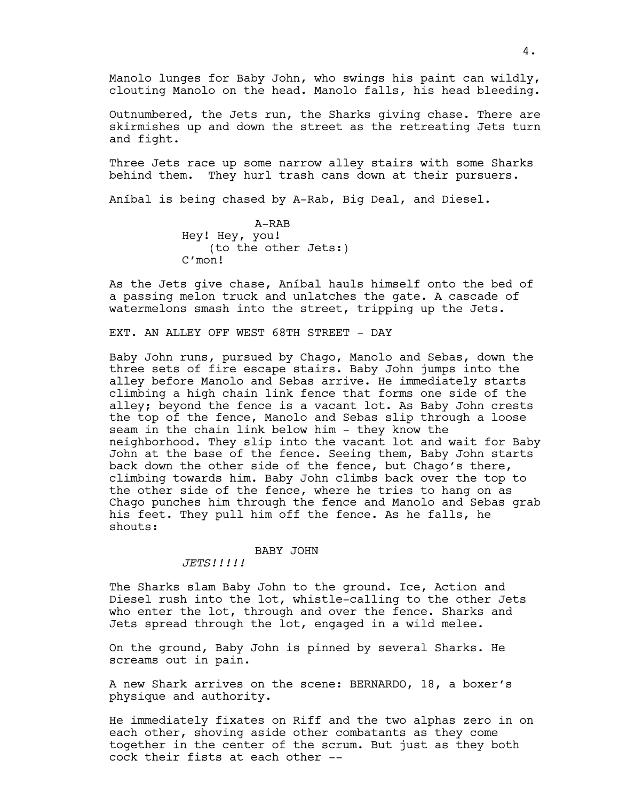Manolo lunges for Baby John, who swings his paint can wildly, clouting Manolo on the head. Manolo falls, his head bleeding.

Outnumbered, the Jets run, the Sharks giving chase. There are skirmishes up and down the street as the retreating Jets turn and fight.

Three Jets race up some narrow alley stairs with some Sharks behind them. They hurl trash cans down at their pursuers.

Aníbal is being chased by A-Rab, Big Deal, and Diesel.

A-RAB Hey! Hey, you! (to the other Jets:) C'mon!

As the Jets give chase, Aníbal hauls himself onto the bed of a passing melon truck and unlatches the gate. A cascade of watermelons smash into the street, tripping up the Jets.

EXT. AN ALLEY OFF WEST 68TH STREET - DAY

Baby John runs, pursued by Chago, Manolo and Sebas, down the three sets of fire escape stairs. Baby John jumps into the alley before Manolo and Sebas arrive. He immediately starts climbing a high chain link fence that forms one side of the alley; beyond the fence is a vacant lot. As Baby John crests the top of the fence, Manolo and Sebas slip through a loose seam in the chain link below him - they know the neighborhood. They slip into the vacant lot and wait for Baby John at the base of the fence. Seeing them, Baby John starts back down the other side of the fence, but Chago's there, climbing towards him. Baby John climbs back over the top to the other side of the fence, where he tries to hang on as Chago punches him through the fence and Manolo and Sebas grab his feet. They pull him off the fence. As he falls, he shouts:

# BABY JOHN

*JETS!!!!!*

The Sharks slam Baby John to the ground. Ice, Action and Diesel rush into the lot, whistle-calling to the other Jets who enter the lot, through and over the fence. Sharks and Jets spread through the lot, engaged in a wild melee.

On the ground, Baby John is pinned by several Sharks. He screams out in pain.

A new Shark arrives on the scene: BERNARDO, 18, a boxer's physique and authority.

He immediately fixates on Riff and the two alphas zero in on each other, shoving aside other combatants as they come together in the center of the scrum. But just as they both cock their fists at each other --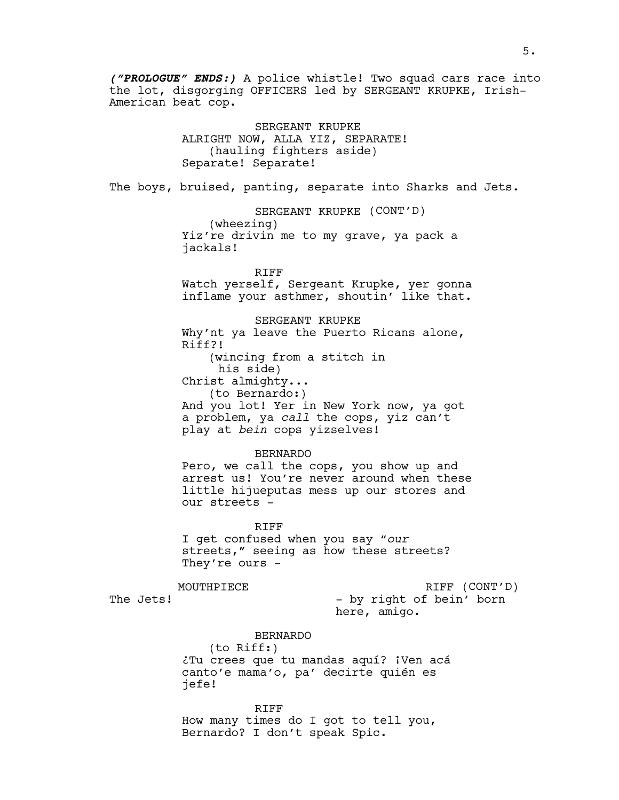American beat cop. SERGEANT KRUPKE ALRIGHT NOW, ALLA YIZ, SEPARATE! (hauling fighters aside) Separate! Separate! The boys, bruised, panting, separate into Sharks and Jets. SERGEANT KRUPKE (CONT'D) (wheezing) Yiz're drivin me to my grave, ya pack a jackals! RIFF Watch yerself, Sergeant Krupke, yer gonna inflame your asthmer, shoutin' like that. SERGEANT KRUPKE Why'nt ya leave the Puerto Ricans alone, Riff?! (wincing from a stitch in his side) Christ almighty... (to Bernardo:) And you lot! Yer in New York now, ya got a problem, ya *call* the cops, yiz can't play at *bein* cops yizselves! BERNARDO Pero, we call the cops, you show up and arrest us! You're never around when these little hijueputas mess up our stores and our streets - RIFF I get confused when you say "*our*  streets," seeing as how these streets? They're ours -MOUTHPIECE The Jets! RIFF (CONT'D) - by right of bein' born here, amigo. BERNARDO (to Riff:) ¿Tu crees que tu mandas aquí? ¡Ven acá canto'e mama'o, pa' decirte quién es jefe! RIFF How many times do I got to tell you, Bernardo? I don't speak Spic.

*("PROLOGUE" ENDS:)* A police whistle! Two squad cars race into the lot, disgorging OFFICERS led by SERGEANT KRUPKE, Irish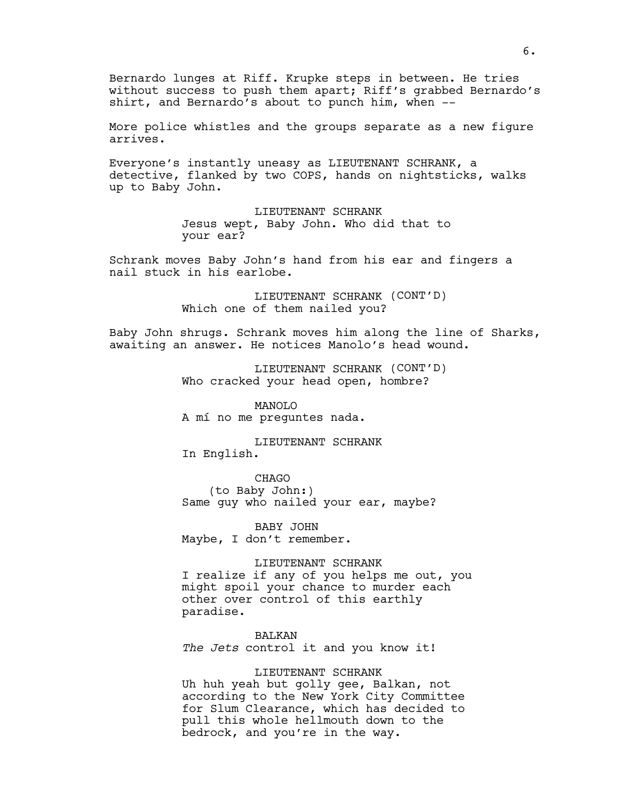Bernardo lunges at Riff. Krupke steps in between. He tries without success to push them apart; Riff's grabbed Bernardo's shirt, and Bernardo's about to punch him, when --

More police whistles and the groups separate as a new figure arrives.

Everyone's instantly uneasy as LIEUTENANT SCHRANK, a detective, flanked by two COPS, hands on nightsticks, walks up to Baby John.

> LIEUTENANT SCHRANK Jesus wept, Baby John. Who did that to your ear?

Schrank moves Baby John's hand from his ear and fingers a nail stuck in his earlobe.

> LIEUTENANT SCHRANK (CONT'D) Which one of them nailed you?

Baby John shrugs. Schrank moves him along the line of Sharks, awaiting an answer. He notices Manolo's head wound.

> LIEUTENANT SCHRANK (CONT'D) Who cracked your head open, hombre?

MANOLO A mí no me preguntes nada.

LIEUTENANT SCHRANK In English.

**CHAGO** (to Baby John:) Same guy who nailed your ear, maybe?

BABY JOHN Maybe, I don't remember.

#### LIEUTENANT SCHRANK

I realize if any of you helps me out, you might spoil your chance to murder each other over control of this earthly paradise.

BALKAN *The Jets* control it and you know it!

### LIEUTENANT SCHRANK

Uh huh yeah but golly gee, Balkan, not according to the New York City Committee for Slum Clearance, which has decided to pull this whole hellmouth down to the bedrock, and you're in the way.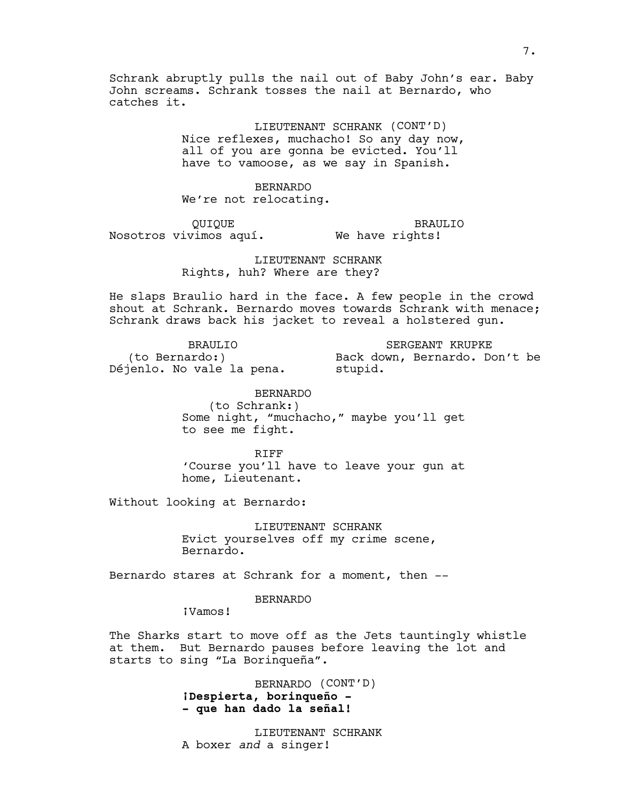Schrank abruptly pulls the nail out of Baby John's ear. Baby John screams. Schrank tosses the nail at Bernardo, who catches it.

> LIEUTENANT SCHRANK (CONT'D) Nice reflexes, muchacho! So any day now, all of you are gonna be evicted. You'll have to vamoose, as we say in Spanish.

BERNARDO We're not relocating.

QUIQUE Nosotros vivimos aquí.

BRAULIO We have rights!

LIEUTENANT SCHRANK Rights, huh? Where are they?

He slaps Braulio hard in the face. A few people in the crowd shout at Schrank. Bernardo moves towards Schrank with menace; Schrank draws back his jacket to reveal a holstered gun.

BRAULIO (to Bernardo:) Déjenlo. No vale la pena. SERGEANT KRUPKE Back down, Bernardo. Don't be stupid.

> BERNARDO (to Schrank:) Some night, "muchacho," maybe you'll get to see me fight.

> RIFF 'Course you'll have to leave your gun at home, Lieutenant.

Without looking at Bernardo:

LIEUTENANT SCHRANK Evict yourselves off my crime scene, Bernardo.

Bernardo stares at Schrank for a moment, then --

BERNARDO

¡Vamos!

The Sharks start to move off as the Jets tauntingly whistle at them. But Bernardo pauses before leaving the lot and starts to sing "La Borinqueña".

> BERNARDO (CONT'D) **¡Despierta, borinqueño - - que han dado la señal!**

LIEUTENANT SCHRANK A boxer *and* a singer!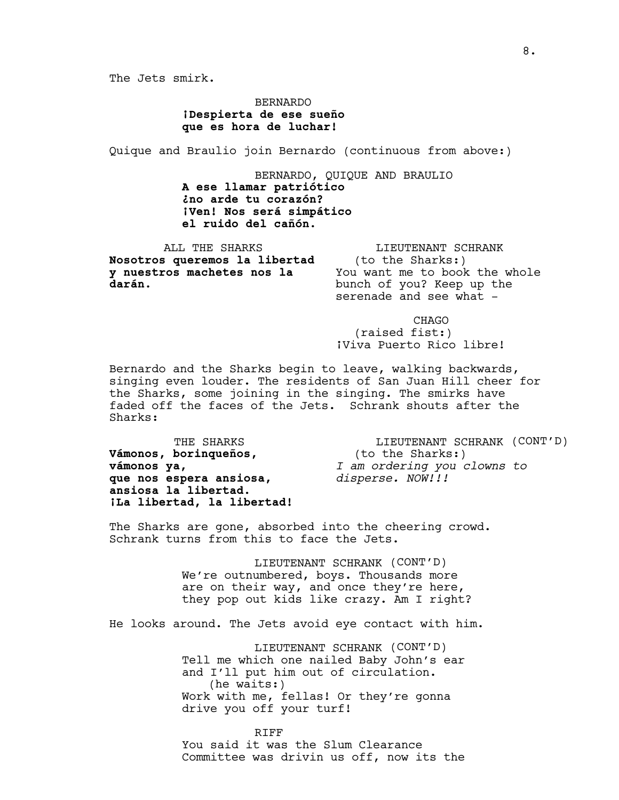The Jets smirk.

BERNARDO **¡Despierta de ese sueño que es hora de luchar!**

Quique and Braulio join Bernardo (continuous from above:)

BERNARDO, QUIQUE AND BRAULIO **A ese llamar patriótico ¿no arde tu corazón? ¡Ven! Nos será simpático el ruido del cañón.**

ALL THE SHARKS **Nosotros queremos la libertad y nuestros machetes nos la darán.**

LIEUTENANT SCHRANK (to the Sharks:) You want me to book the whole bunch of you? Keep up the serenade and see what -

 CHAGO (raised fist:) ¡Viva Puerto Rico libre!

Bernardo and the Sharks begin to leave, walking backwards, singing even louder. The residents of San Juan Hill cheer for the Sharks, some joining in the singing. The smirks have faded off the faces of the Jets. Schrank shouts after the Sharks:

THE SHARKS **Vámonos, borinqueños, vámonos ya, que nos espera ansiosa, ansiosa la libertad. ¡La libertad, la libertad!**

LIEUTENANT SCHRANK (CONT'D) (to the Sharks:) *I am ordering you clowns to disperse. NOW!!!*

The Sharks are gone, absorbed into the cheering crowd. Schrank turns from this to face the Jets.

> LIEUTENANT SCHRANK (CONT'D) We're outnumbered, boys. Thousands more are on their way, and once they're here, they pop out kids like crazy. Am I right?

He looks around. The Jets avoid eye contact with him.

LIEUTENANT SCHRANK (CONT'D) Tell me which one nailed Baby John's ear and I'll put him out of circulation. (he waits:) Work with me, fellas! Or they're gonna drive you off your turf!

RIFF You said it was the Slum Clearance Committee was drivin us off, now its the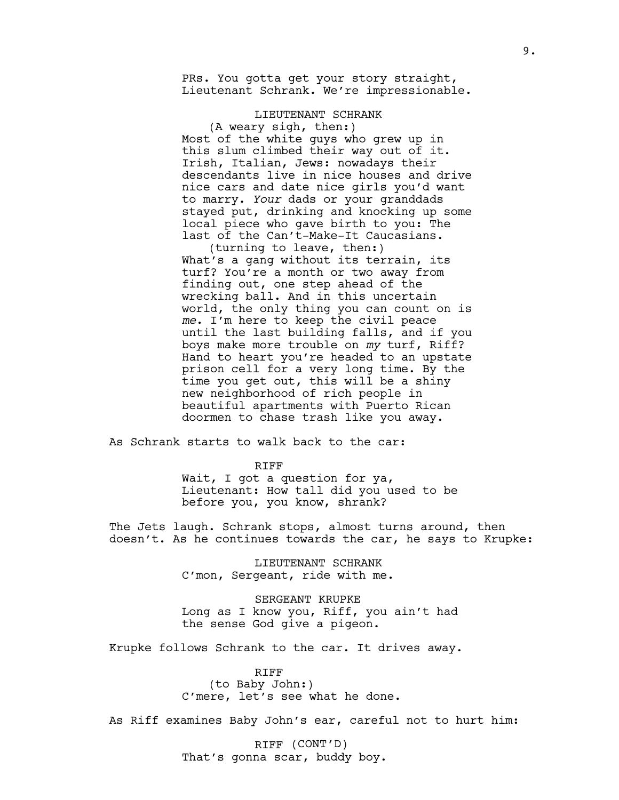PRs. You gotta get your story straight, Lieutenant Schrank. We're impressionable.

# LIEUTENANT SCHRANK

(A weary sigh, then:) Most of the white guys who grew up in this slum climbed their way out of it. Irish, Italian, Jews: nowadays their descendants live in nice houses and drive nice cars and date nice girls you'd want to marry. *Your* dads or your granddads stayed put, drinking and knocking up some local piece who gave birth to you: The last of the Can't-Make-It Caucasians.

(turning to leave, then:) What's a gang without its terrain, its turf? You're a month or two away from finding out, one step ahead of the wrecking ball. And in this uncertain world, the only thing you can count on is *me*. I'm here to keep the civil peace until the last building falls, and if you boys make more trouble on *my* turf, Riff? Hand to heart you're headed to an upstate prison cell for a very long time. By the time you get out, this will be a shiny new neighborhood of rich people in beautiful apartments with Puerto Rican doormen to chase trash like you away.

As Schrank starts to walk back to the car:

RIFF

Wait, I got a question for ya, Lieutenant: How tall did you used to be before you, you know, shrank?

The Jets laugh. Schrank stops, almost turns around, then doesn't. As he continues towards the car, he says to Krupke:

> LIEUTENANT SCHRANK C'mon, Sergeant, ride with me.

SERGEANT KRUPKE Long as I know you, Riff, you ain't had the sense God give a pigeon.

Krupke follows Schrank to the car. It drives away.

RIFF (to Baby John:) C'mere, let's see what he done.

As Riff examines Baby John's ear, careful not to hurt him:

RIFF (CONT'D) That's gonna scar, buddy boy.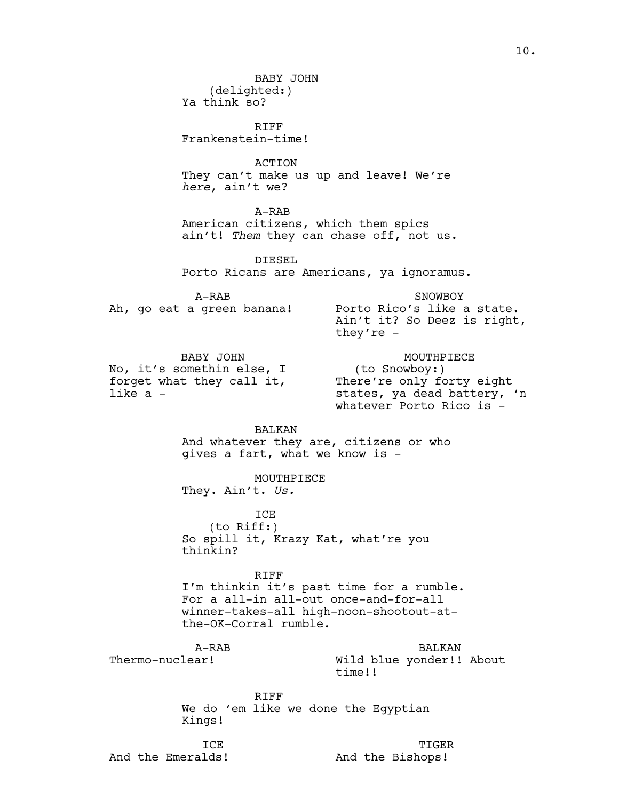BABY JOHN (delighted:) Ya think so? RIFF Frankenstein-time! ACTION They can't make us up and leave! We're *here*, ain't we? A-RAB American citizens, which them spics ain't! *Them* they can chase off, not us. DIESEL Porto Ricans are Americans, ya ignoramus. A-RAB Ah, go eat a green banana! SNOWBOY Porto Rico's like a state. Ain't it? So Deez is right, they're - BABY JOHN No, it's somethin else, I forget what they call it, like a - MOUTHPIECE (to Snowboy:) There're only forty eight states, ya dead battery, 'n whatever Porto Rico is -BALKAN And whatever they are, citizens or who gives a fart, what we know is - MOUTHPIECE They. Ain't. *Us.* ICE (to Riff:) So spill it, Krazy Kat, what're you thinkin? RIFF I'm thinkin it's past time for a rumble. For a all-in all-out once-and-for-all winner-takes-all high-noon-shootout-atthe-OK-Corral rumble. A-RAB Thermo-nuclear! BALKAN Wild blue yonder!! About time!! RIFF We do 'em like we done the Egyptian Kings!

ICE And the Emeralds!

TIGER And the Bishops!

# 10.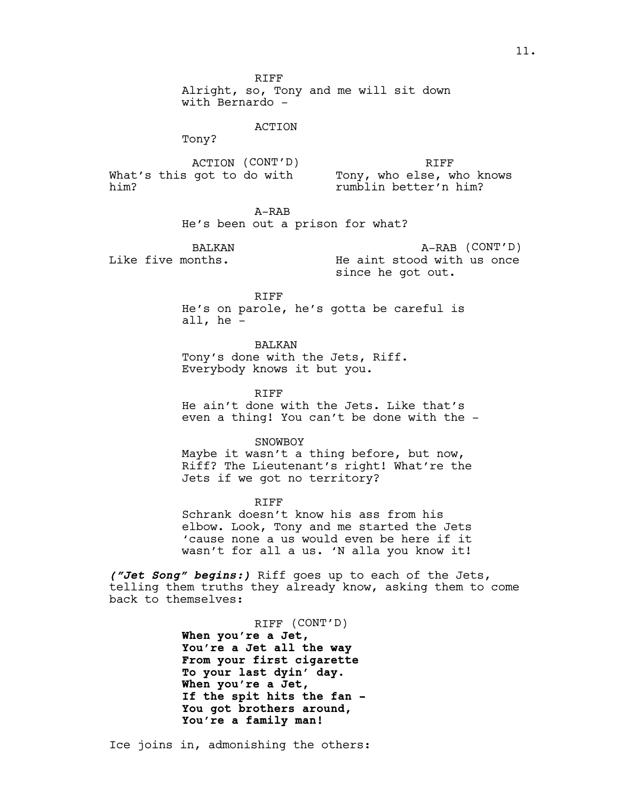RIFF Alright, so, Tony and me will sit down with Bernardo - ACTION Tony? ACTION (CONT'D) What's this got to do with him? RIFF Tony, who else, who knows rumblin better'n him? A-RAB He's been out a prison for what? BALKAN Like five months. A-RAB (CONT'D) He aint stood with us once since he got out. RIFF He's on parole, he's gotta be careful is all, he - BALKAN Tony's done with the Jets, Riff. Everybody knows it but you. RIFF He ain't done with the Jets. Like that's even a thing! You can't be done with the - SNOWBOY Maybe it wasn't a thing before, but now, Riff? The Lieutenant's right! What're the Jets if we got no territory? RIFF

Schrank doesn't know his ass from his elbow. Look, Tony and me started the Jets 'cause none a us would even be here if it wasn't for all a us. 'N alla you know it!

*("Jet Song" begins:)* Riff goes up to each of the Jets, telling them truths they already know, asking them to come back to themselves:

> RIFF (CONT'D) **When you're a Jet, You're a Jet all the way From your first cigarette To your last dyin' day. When you're a Jet, If the spit hits the fan - You got brothers around, You're a family man!**

Ice joins in, admonishing the others: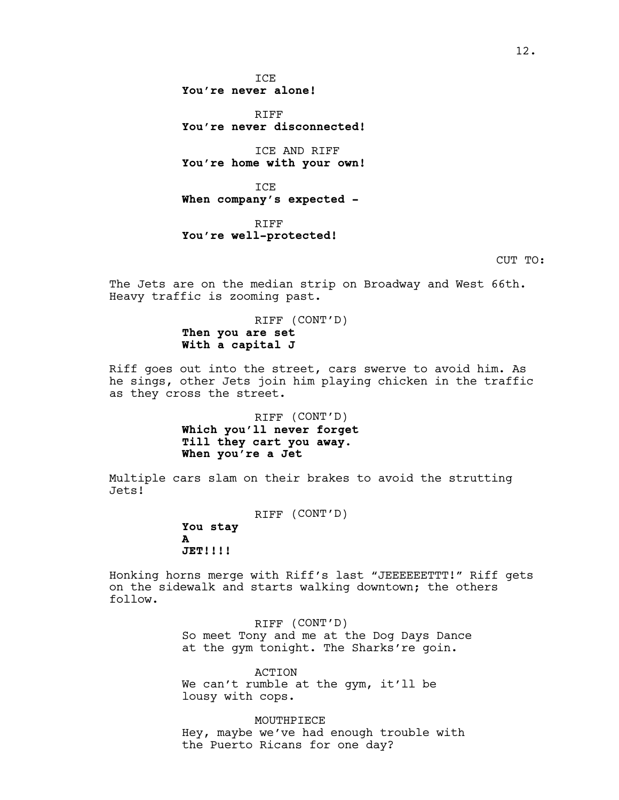**TCE You're never alone!**

RIFF **You're never disconnected!**

ICE AND RIFF **You're home with your own!**

ICE **When company's expected -** 

RIFF **You're well-protected!** 

CUT TO:

The Jets are on the median strip on Broadway and West 66th. Heavy traffic is zooming past.

# RIFF (CONT'D) **Then you are set With a capital J**

Riff goes out into the street, cars swerve to avoid him. As he sings, other Jets join him playing chicken in the traffic as they cross the street.

> RIFF (CONT'D) **Which you'll never forget Till they cart you away. When you're a Jet**

Multiple cars slam on their brakes to avoid the strutting Jets!

RIFF (CONT'D)

**You stay A JET!!!!**

Honking horns merge with Riff's last "JEEEEEETTT!" Riff gets on the sidewalk and starts walking downtown; the others follow.

> RIFF (CONT'D) So meet Tony and me at the Dog Days Dance at the gym tonight. The Sharks're goin.

ACTION We can't rumble at the gym, it'll be lousy with cops.

MOUTHPIECE Hey, maybe we've had enough trouble with the Puerto Ricans for one day?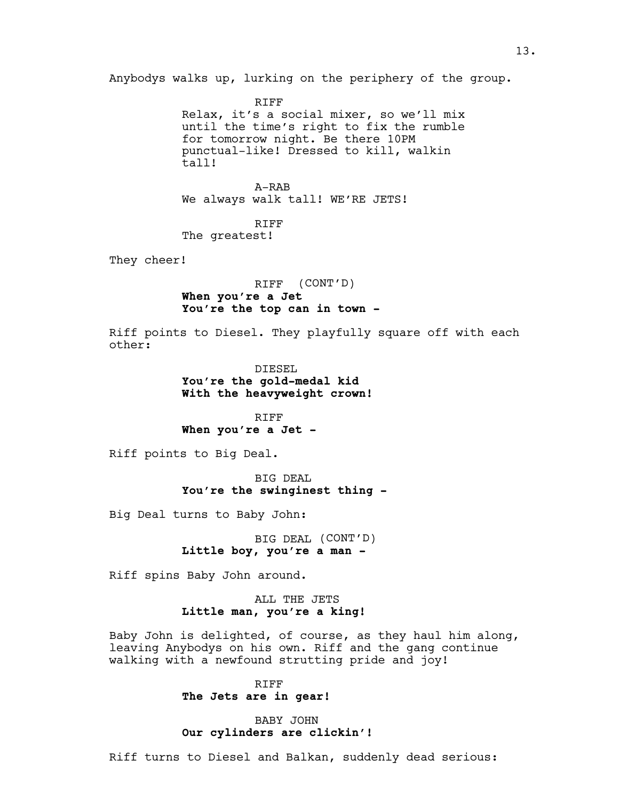Anybodys walks up, lurking on the periphery of the group.

RIFF Relax, it's a social mixer, so we'll mix until the time's right to fix the rumble for tomorrow night. Be there 10PM punctual-like! Dressed to kill, walkin tall!

A-RAB We always walk tall! WE'RE JETS!

RIFF

The greatest!

They cheer!

RIFF (CONT'D) **When you're a Jet You're the top can in town -**

Riff points to Diesel. They playfully square off with each other:

> DIESEL **You're the gold-medal kid With the heavyweight crown!**

RIFF **When you're a Jet -** 

Riff points to Big Deal.

BIG DEAL **You're the swinginest thing -** 

Big Deal turns to Baby John:

BIG DEAL (CONT'D) **Little boy, you're a man -** 

Riff spins Baby John around.

ALL THE JETS **Little man, you're a king!**

Baby John is delighted, of course, as they haul him along, leaving Anybodys on his own. Riff and the gang continue walking with a newfound strutting pride and joy!

> RIFF **The Jets are in gear!**

BABY JOHN **Our cylinders are clickin'!**

Riff turns to Diesel and Balkan, suddenly dead serious: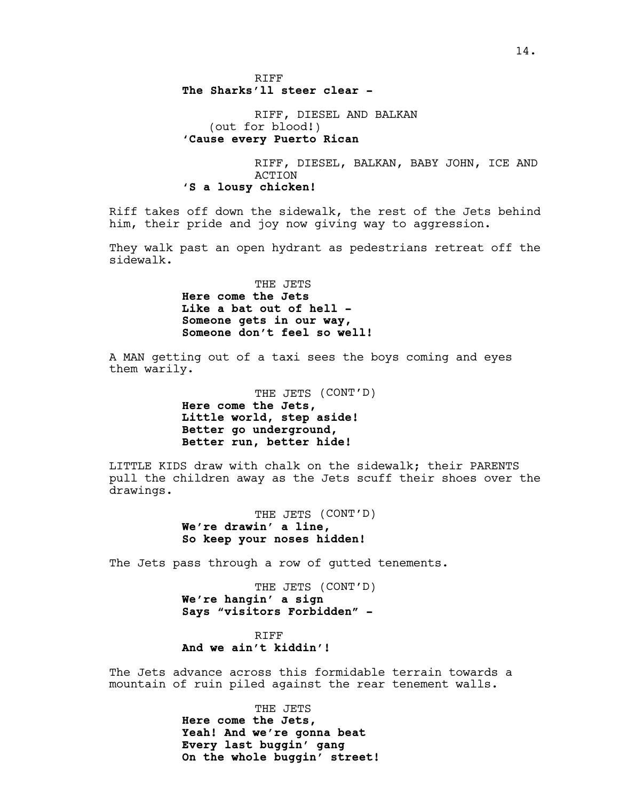RIFF **The Sharks'll steer clear -**

RIFF, DIESEL AND BALKAN (out for blood!) **'Cause every Puerto Rican**

RIFF, DIESEL, BALKAN, BABY JOHN, ICE AND ACTION **'S a lousy chicken!**

Riff takes off down the sidewalk, the rest of the Jets behind him, their pride and joy now giving way to aggression.

They walk past an open hydrant as pedestrians retreat off the sidewalk.

> THE JETS **Here come the Jets Like a bat out of hell - Someone gets in our way, Someone don't feel so well!**

A MAN getting out of a taxi sees the boys coming and eyes them warily.

> THE JETS (CONT'D) **Here come the Jets, Little world, step aside! Better go underground, Better run, better hide!**

LITTLE KIDS draw with chalk on the sidewalk; their PARENTS pull the children away as the Jets scuff their shoes over the drawings.

> THE JETS (CONT'D) **We're drawin' a line, So keep your noses hidden!**

The Jets pass through a row of gutted tenements.

THE JETS (CONT'D) **We're hangin' a sign Says "visitors Forbidden" -**

RIFF **And we ain't kiddin'!**

The Jets advance across this formidable terrain towards a mountain of ruin piled against the rear tenement walls.

> THE JETS **Here come the Jets, Yeah! And we're gonna beat Every last buggin' gang On the whole buggin' street!**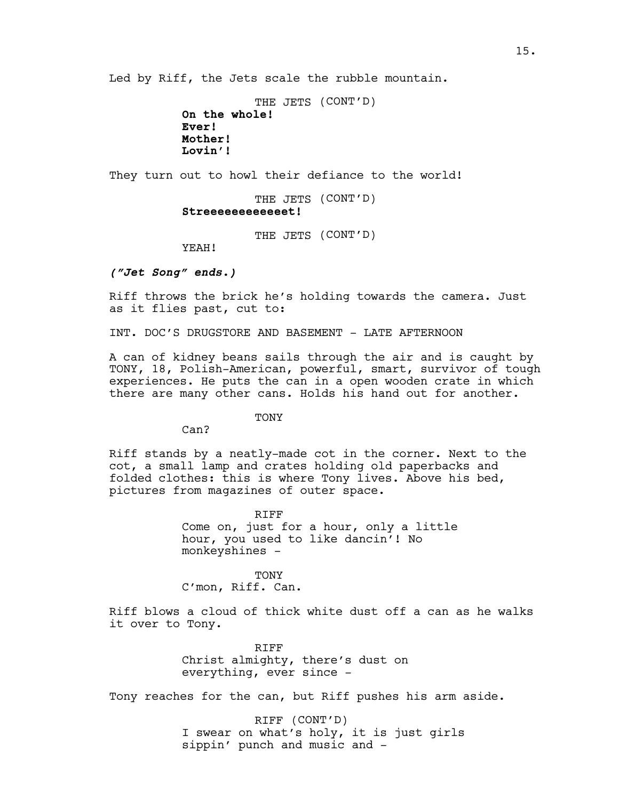Led by Riff, the Jets scale the rubble mountain.

THE JETS (CONT'D) **On the whole! Ever! Mother! Lovin'!**

They turn out to howl their defiance to the world!

THE JETS (CONT'D) **Streeeeeeeeeeeet!**

THE JETS (CONT'D)

YEAH!

*("Jet Song" ends.)*

Riff throws the brick he's holding towards the camera. Just as it flies past, cut to:

INT. DOC'S DRUGSTORE AND BASEMENT - LATE AFTERNOON

A can of kidney beans sails through the air and is caught by TONY, 18, Polish-American, powerful, smart, survivor of tough experiences. He puts the can in a open wooden crate in which there are many other cans. Holds his hand out for another.

TONY

Can?

Riff stands by a neatly-made cot in the corner. Next to the cot, a small lamp and crates holding old paperbacks and folded clothes: this is where Tony lives. Above his bed, pictures from magazines of outer space.

> RIFF Come on, just for a hour, only a little hour, you used to like dancin'! No monkeyshines -

TONY C'mon, Riff. Can.

Riff blows a cloud of thick white dust off a can as he walks it over to Tony.

> RIFF Christ almighty, there's dust on everything, ever since -

Tony reaches for the can, but Riff pushes his arm aside.

RIFF (CONT'D) I swear on what's holy, it is just girls sippin' punch and music and -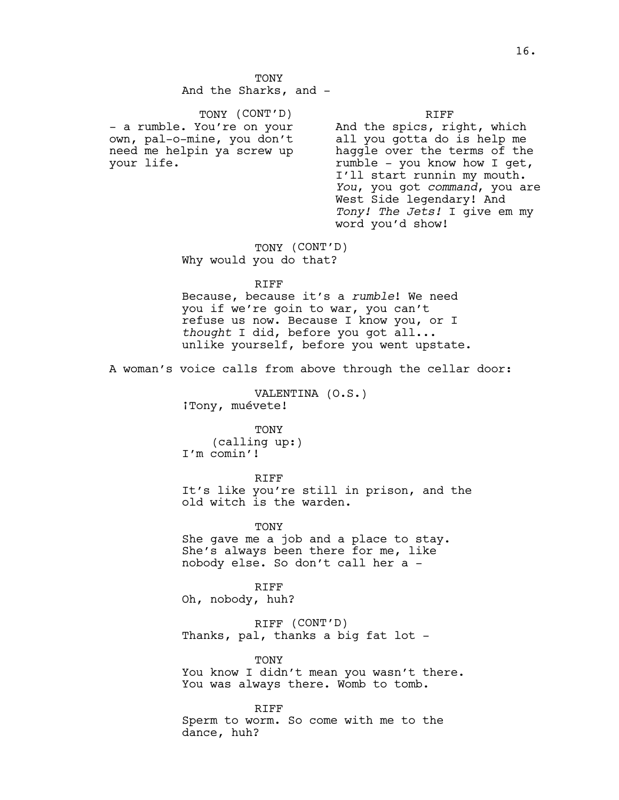**TONY** And the Sharks, and -

TONY (CONT'D) - a rumble. You're on your own, pal-o-mine, you don't need me helpin ya screw up your life. RIFF And the spics, right, which all you gotta do is help me haggle over the terms of the rumble - you know how I get, I'll start runnin my mouth. *You*, you got *command*, you are West Side legendary! And *Tony! The Jets!* I give em my word you'd show! TONY (CONT'D) Why would you do that? RIFF Because, because it's a *rumble*! We need you if we're goin to war, you can't refuse us now. Because I know you, or I *thought* I did, before you got all... unlike yourself, before you went upstate. A woman's voice calls from above through the cellar door: VALENTINA (O.S.) ¡Tony, muévete! TONY (calling up:) I'm comin'!

> RIFF It's like you're still in prison, and the old witch is the warden.

**TONY** She gave me a job and a place to stay. She's always been there for me, like nobody else. So don't call her a -

RIFF Oh, nobody, huh?

RIFF (CONT'D) Thanks, pal, thanks a big fat lot -

TONY You know I didn't mean you wasn't there. You was always there. Womb to tomb.

RIFF Sperm to worm. So come with me to the dance, huh?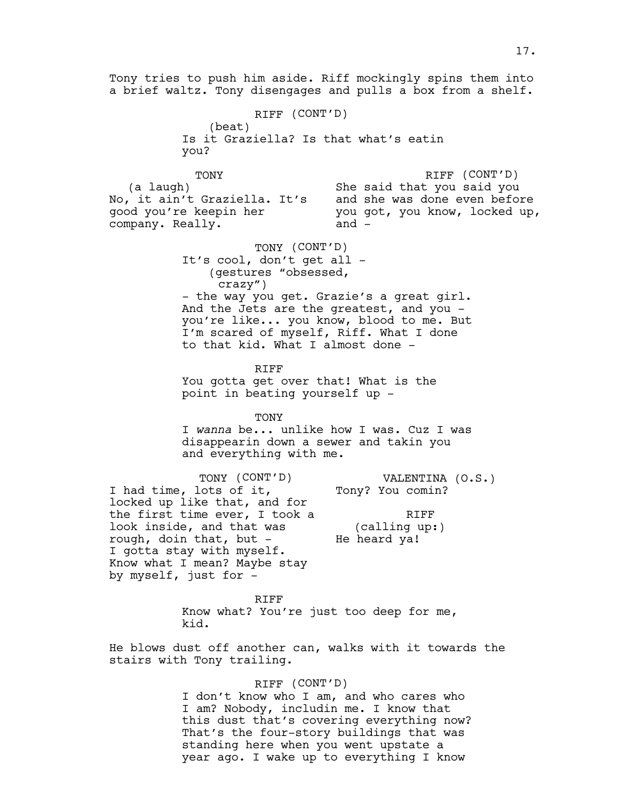Tony tries to push him aside. Riff mockingly spins them into a brief waltz. Tony disengages and pulls a box from a shelf. RIFF (CONT'D) Is it Graziella? Is that what's eatin No, it ain't Graziella. It's good you're keepin her RIFF (CONT'D) She said that you said you and she was done even before you got, you know, locked up, and - TONY (CONT'D) It's cool, don't get all - (gestures "obsessed,

crazy")

(beat)

you?

(a laugh)

company. Really.

TONY

- the way you get. Grazie's a great girl. And the Jets are the greatest, and you you're like... you know, blood to me. But I'm scared of myself, Riff. What I done to that kid. What I almost done -

RIFF You gotta get over that! What is the point in beating yourself up -

TONY

I *wanna* be... unlike how I was. Cuz I was disappearin down a sewer and takin you and everything with me.

TONY (CONT'D) I had time, lots of it, locked up like that, and for the first time ever, I took a look inside, and that was rough, doin that, but - I gotta stay with myself. Know what I mean? Maybe stay by myself, just for - VALENTINA (O.S.) Tony? You comin? RIFF (calling up:) He heard ya!

> RIFF Know what? You're just too deep for me, kid.

He blows dust off another can, walks with it towards the stairs with Tony trailing.

# RIFF (CONT'D)

I don't know who I am, and who cares who I am? Nobody, includin me. I know that this dust that's covering everything now? That's the four-story buildings that was standing here when you went upstate a year ago. I wake up to everything I know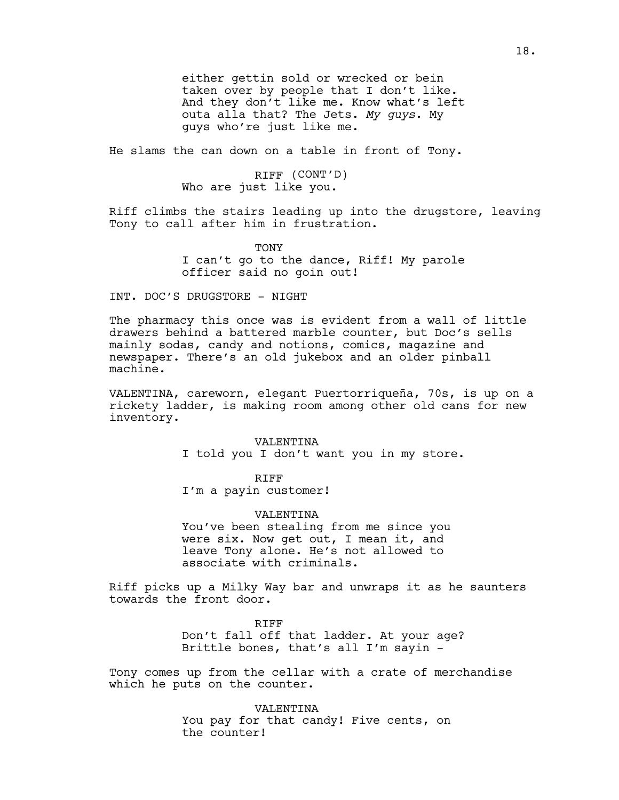either gettin sold or wrecked or bein taken over by people that I don't like. And they don't like me. Know what's left outa alla that? The Jets. *My guys*. My guys who're just like me.

He slams the can down on a table in front of Tony.

# RIFF (CONT'D) Who are just like you.

Riff climbs the stairs leading up into the drugstore, leaving Tony to call after him in frustration.

> **TONY** I can't go to the dance, Riff! My parole officer said no goin out!

INT. DOC'S DRUGSTORE - NIGHT

The pharmacy this once was is evident from a wall of little drawers behind a battered marble counter, but Doc's sells mainly sodas, candy and notions, comics, magazine and newspaper. There's an old jukebox and an older pinball machine.

VALENTINA, careworn, elegant Puertorriqueña, 70s, is up on a rickety ladder, is making room among other old cans for new inventory.

> VALENTINA I told you I don't want you in my store.

> > RIFF

I'm a payin customer!

#### VALENTINA

You've been stealing from me since you were six. Now get out, I mean it, and leave Tony alone. He's not allowed to associate with criminals.

Riff picks up a Milky Way bar and unwraps it as he saunters towards the front door.

> RIFF Don't fall off that ladder. At your age? Brittle bones, that's all I'm sayin -

Tony comes up from the cellar with a crate of merchandise which he puts on the counter.

> VALENTINA You pay for that candy! Five cents, on the counter!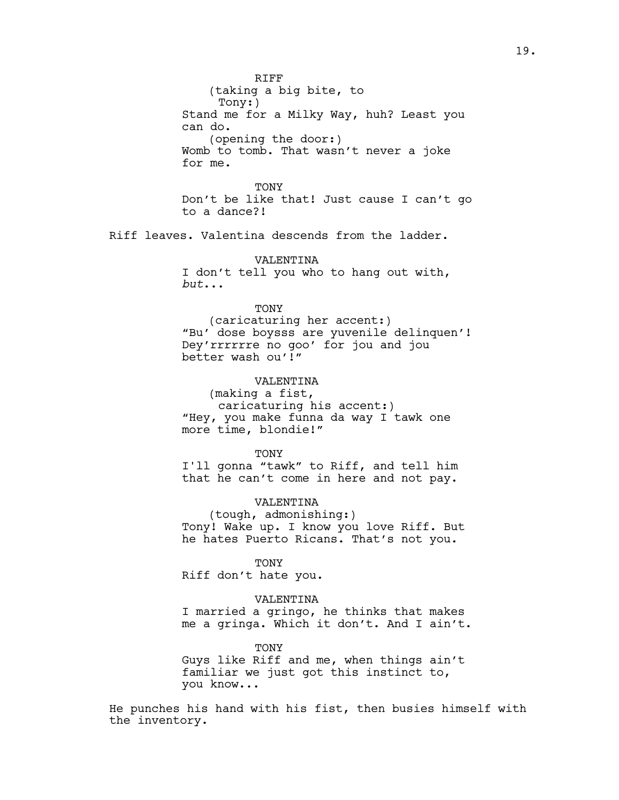RIFF (taking a big bite, to Tony:) Stand me for a Milky Way, huh? Least you can do. (opening the door:) Womb to tomb. That wasn't never a joke for me.

**TONY** Don't be like that! Just cause I can't go to a dance?!

Riff leaves. Valentina descends from the ladder.

VALENTINA I don't tell you who to hang out with, *but*...

### **TONY**

(caricaturing her accent:) "Bu' dose boysss are yuvenile delinquen'! Dey'rrrrrre no goo' for jou and jou better wash ou'!"

### VALENTINA

(making a fist, caricaturing his accent:) "Hey, you make funna da way I tawk one more time, blondie!"

TONY

I'll gonna "tawk" to Riff, and tell him that he can't come in here and not pay.

# VALENTINA

(tough, admonishing:) Tony! Wake up. I know you love Riff. But he hates Puerto Ricans. That's not you.

#### TONY

Riff don't hate you.

#### VALENTINA

I married a gringo, he thinks that makes me a gringa. Which it don't. And I ain't.

#### TONY

Guys like Riff and me, when things ain't familiar we just got this instinct to, you know...

He punches his hand with his fist, then busies himself with the inventory.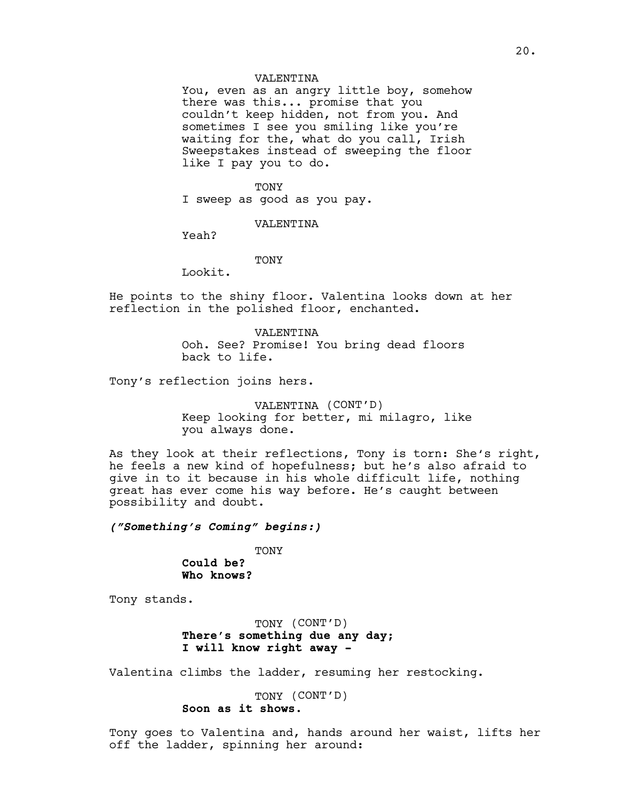### **VALENTINA**

You, even as an angry little boy, somehow there was this... promise that you couldn't keep hidden, not from you. And sometimes I see you smiling like you're waiting for the, what do you call, Irish Sweepstakes instead of sweeping the floor like I pay you to do.

### TONY

I sweep as good as you pay.

VALENTINA

Yeah?

### TONY

Lookit.

He points to the shiny floor. Valentina looks down at her reflection in the polished floor, enchanted.

> VALENTINA Ooh. See? Promise! You bring dead floors back to life.

Tony's reflection joins hers.

VALENTINA (CONT'D) Keep looking for better, mi milagro, like you always done.

As they look at their reflections, Tony is torn: She's right, he feels a new kind of hopefulness; but he's also afraid to give in to it because in his whole difficult life, nothing great has ever come his way before. He's caught between possibility and doubt.

*("Something's Coming" begins:)*

TONY **Could be? Who knows?**

Tony stands.

TONY (CONT'D) **There's something due any day; I will know right away -** 

Valentina climbs the ladder, resuming her restocking.

TONY (CONT'D) **Soon as it shows.**

Tony goes to Valentina and, hands around her waist, lifts her off the ladder, spinning her around: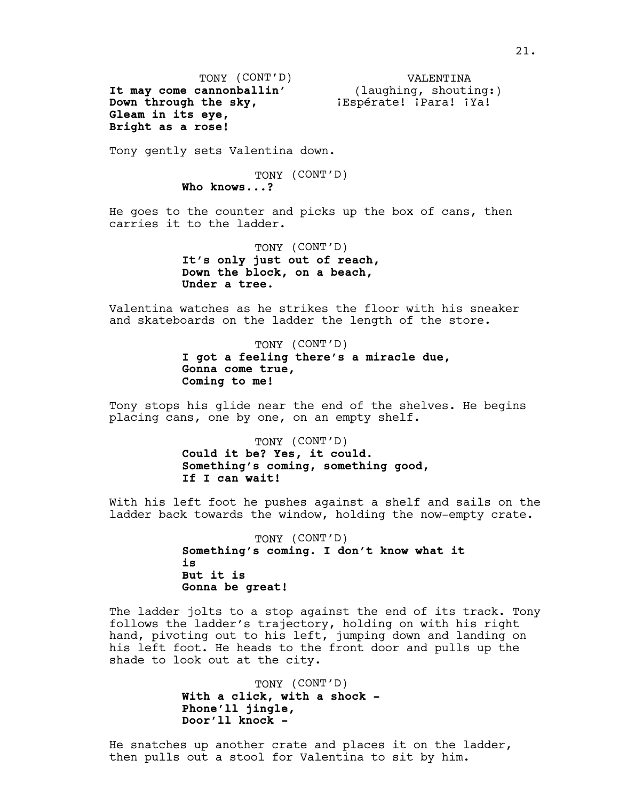TONY (CONT'D) **It may come cannonballin' Down through the sky, Gleam in its eye, Bright as a rose!**

VALENTINA (laughing, shouting:) ¡Espérate! ¡Para! ¡Ya!

Tony gently sets Valentina down.

# TONY (CONT'D)

# **Who knows...?**

He goes to the counter and picks up the box of cans, then carries it to the ladder.

> TONY (CONT'D) **It's only just out of reach, Down the block, on a beach, Under a tree.**

Valentina watches as he strikes the floor with his sneaker and skateboards on the ladder the length of the store.

> TONY (CONT'D) **I got a feeling there's a miracle due, Gonna come true, Coming to me!**

Tony stops his glide near the end of the shelves. He begins placing cans, one by one, on an empty shelf.

> TONY (CONT'D) **Could it be? Yes, it could. Something's coming, something good, If I can wait!**

With his left foot he pushes against a shelf and sails on the ladder back towards the window, holding the now-empty crate.

> TONY (CONT'D) **Something's coming. I don't know what it is But it is Gonna be great!**

The ladder jolts to a stop against the end of its track. Tony follows the ladder's trajectory, holding on with his right hand, pivoting out to his left, jumping down and landing on his left foot. He heads to the front door and pulls up the shade to look out at the city.

> TONY (CONT'D) **With a click, with a shock - Phone'll jingle, Door'll knock -**

He snatches up another crate and places it on the ladder, then pulls out a stool for Valentina to sit by him.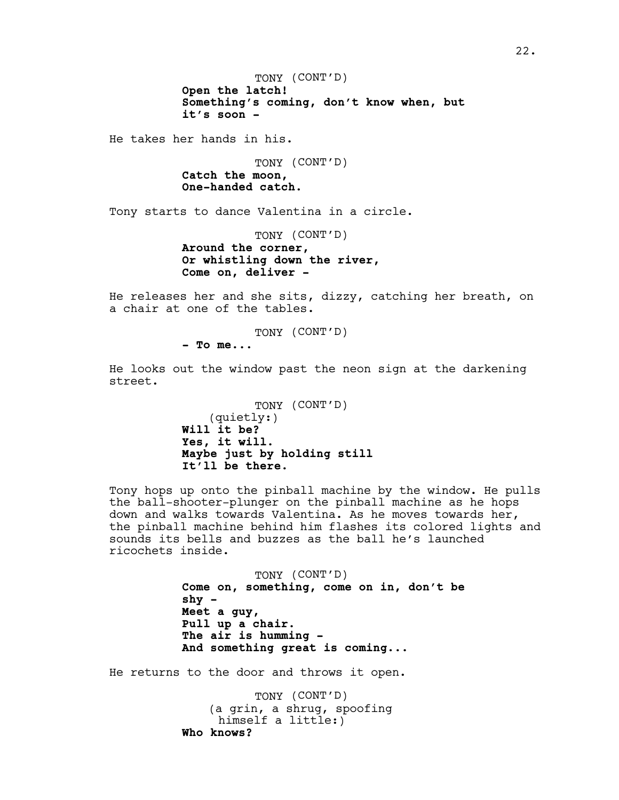TONY (CONT'D) **Open the latch! Something's coming, don't know when, but it's soon -**

He takes her hands in his.

TONY (CONT'D) **Catch the moon, One-handed catch.**

Tony starts to dance Valentina in a circle.

TONY (CONT'D) **Around the corner, Or whistling down the river, Come on, deliver -**

He releases her and she sits, dizzy, catching her breath, on a chair at one of the tables.

TONY (CONT'D)

**- To me...**

He looks out the window past the neon sign at the darkening street.

> TONY (CONT'D) (quietly:) **Will it be? Yes, it will. Maybe just by holding still It'll be there.**

Tony hops up onto the pinball machine by the window. He pulls the ball-shooter-plunger on the pinball machine as he hops down and walks towards Valentina. As he moves towards her, the pinball machine behind him flashes its colored lights and sounds its bells and buzzes as the ball he's launched ricochets inside.

> TONY (CONT'D) **Come on, something, come on in, don't be shy - Meet a guy, Pull up a chair. The air is humming - And something great is coming...**

He returns to the door and throws it open.

TONY (CONT'D) (a grin, a shrug, spoofing himself a little:) **Who knows?**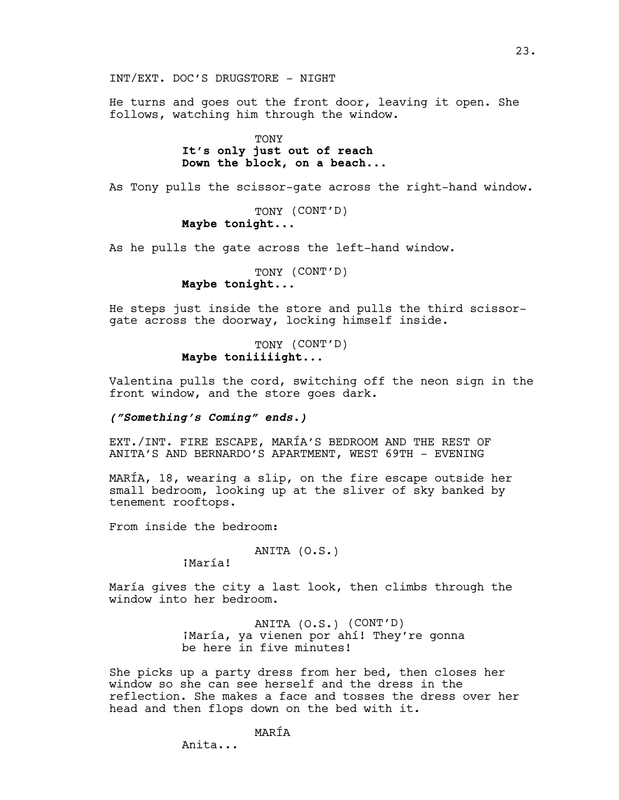He turns and goes out the front door, leaving it open. She follows, watching him through the window.

> TONY **It's only just out of reach Down the block, on a beach...**

As Tony pulls the scissor-gate across the right-hand window.

TONY (CONT'D) **Maybe tonight...**

As he pulls the gate across the left-hand window.

TONY (CONT'D) **Maybe tonight...**

He steps just inside the store and pulls the third scissorgate across the doorway, locking himself inside.

> TONY (CONT'D) **Maybe toniiiiight...**

Valentina pulls the cord, switching off the neon sign in the front window, and the store goes dark.

*("Something's Coming" ends.)*

EXT./INT. FIRE ESCAPE, MARÍA'S BEDROOM AND THE REST OF ANITA'S AND BERNARDO'S APARTMENT, WEST 69TH - EVENING

MARÍA, 18, wearing a slip, on the fire escape outside her small bedroom, looking up at the sliver of sky banked by tenement rooftops.

From inside the bedroom:

ANITA (O.S.)

¡María!

María gives the city a last look, then climbs through the window into her bedroom.

> ANITA (O.S.) (CONT'D) ¡María, ya vienen por ahí! They're gonna be here in five minutes!

She picks up a party dress from her bed, then closes her window so she can see herself and the dress in the reflection. She makes a face and tosses the dress over her head and then flops down on the bed with it.

MARÍA

Anita...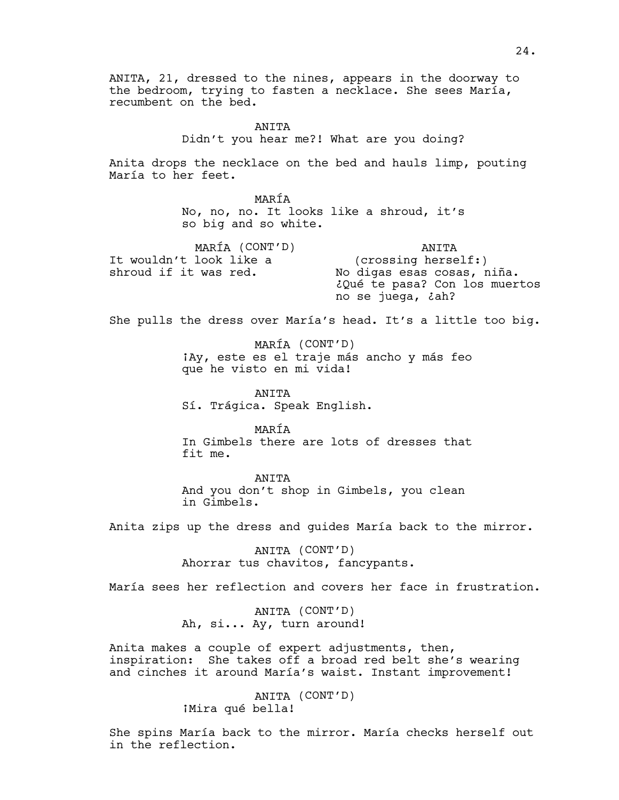ANITA, 21, dressed to the nines, appears in the doorway to the bedroom, trying to fasten a necklace. She sees María, recumbent on the bed. ANTTA Didn't you hear me?! What are you doing? Anita drops the necklace on the bed and hauls limp, pouting María to her feet. MARÍA No, no, no. It looks like a shroud, it's so big and so white. MARÍA (CONT'D) It wouldn't look like a shroud if it was red. ANITA (crossing herself:) No digas esas cosas, niña. ¿Qué te pasa? Con los muertos no se juega, ¿ah?

She pulls the dress over María's head. It's a little too big.

MARÍA (CONT'D) ¡Ay, este es el traje más ancho y más feo que he visto en mi vida!

ANITA Sí. Trágica. Speak English.

MARÍA In Gimbels there are lots of dresses that fit me.

ANITA And you don't shop in Gimbels, you clean in Gimbels.

Anita zips up the dress and guides María back to the mirror.

ANITA (CONT'D) Ahorrar tus chavitos, fancypants.

María sees her reflection and covers her face in frustration.

ANITA (CONT'D) Ah, si... Ay, turn around!

Anita makes a couple of expert adjustments, then, inspiration: She takes off a broad red belt she's wearing and cinches it around María's waist. Instant improvement!

> ANITA (CONT'D) ¡Mira qué bella!

She spins María back to the mirror. María checks herself out in the reflection.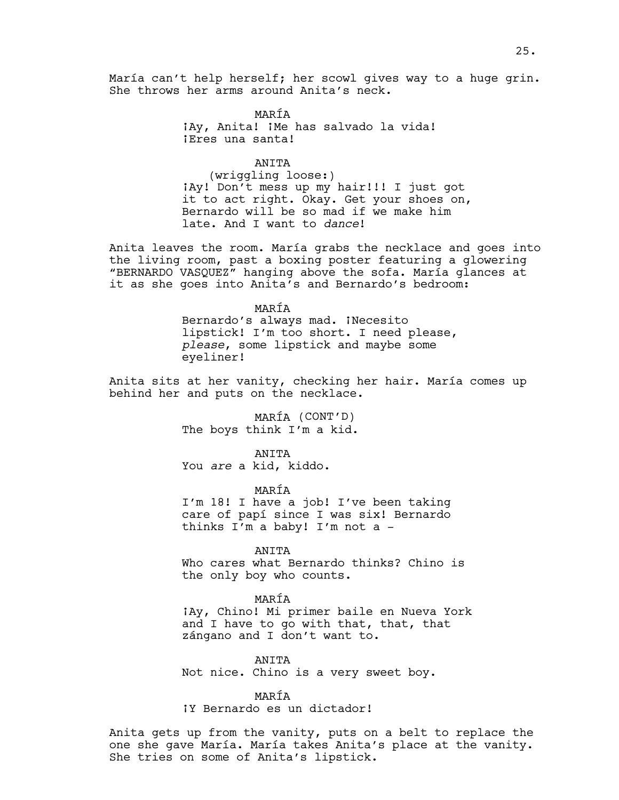María can't help herself; her scowl gives way to a huge grin. She throws her arms around Anita's neck.

> MARÍA ¡Ay, Anita! ¡Me has salvado la vida! ¡Eres una santa!

> > ANITA

(wriggling loose:) ¡Ay! Don't mess up my hair!!! I just got it to act right. Okay. Get your shoes on, Bernardo will be so mad if we make him late. And I want to *dance*!

Anita leaves the room. María grabs the necklace and goes into the living room, past a boxing poster featuring a glowering "BERNARDO VASQUEZ" hanging above the sofa. María glances at it as she goes into Anita's and Bernardo's bedroom:

> MARÍA Bernardo's always mad. ¡Necesito lipstick! I'm too short. I need please, *please*, some lipstick and maybe some eyeliner!

Anita sits at her vanity, checking her hair. María comes up behind her and puts on the necklace.

> MARÍA (CONT'D) The boys think I'm a kid.

ANITA You *are* a kid, kiddo.

MARÍA I'm 18! I have a job! I've been taking care of papí since I was six! Bernardo thinks I'm a baby! I'm not a -

ANITA

Who cares what Bernardo thinks? Chino is the only boy who counts.

#### MARÍA

¡Ay, Chino! Mi primer baile en Nueva York and I have to go with that, that, that zángano and I don't want to.

ANITA

Not nice. Chino is a very sweet boy.

MARÍA

¡Y Bernardo es un dictador!

Anita gets up from the vanity, puts on a belt to replace the one she gave María. María takes Anita's place at the vanity. She tries on some of Anita's lipstick.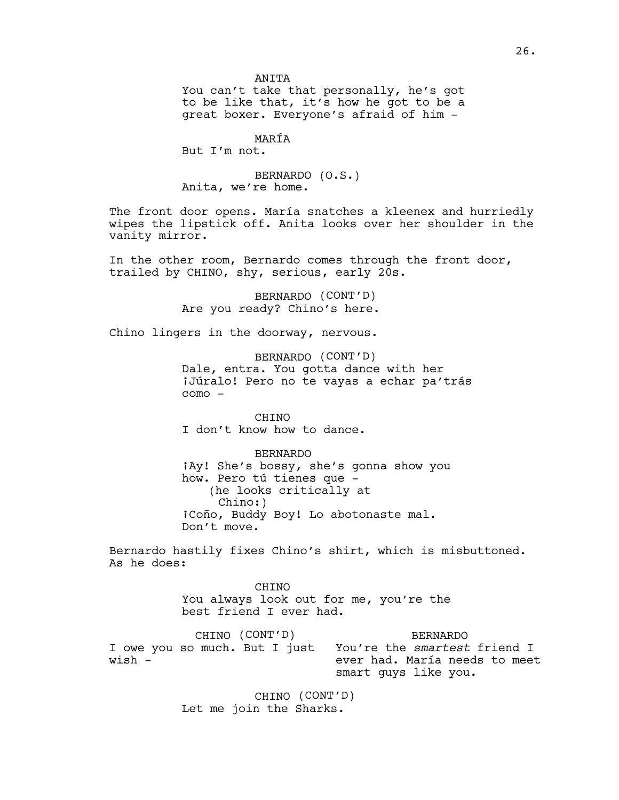You can't take that personally, he's got to be like that, it's how he got to be a great boxer. Everyone's afraid of him -

MARÍA

But I'm not.

BERNARDO (O.S.) Anita, we're home.

The front door opens. María snatches a kleenex and hurriedly wipes the lipstick off. Anita looks over her shoulder in the vanity mirror.

In the other room, Bernardo comes through the front door, trailed by CHINO, shy, serious, early 20s.

> BERNARDO (CONT'D) Are you ready? Chino's here.

Chino lingers in the doorway, nervous.

BERNARDO (CONT'D) Dale, entra. You gotta dance with her ¡Júralo! Pero no te vayas a echar pa'trás como –

CHINO I don't know how to dance.

BERNARDO ¡Ay! She's bossy, she's gonna show you how. Pero tú tienes que - (he looks critically at Chino:) ¡Coño, Buddy Boy! Lo abotonaste mal. Don't move.

Bernardo hastily fixes Chino's shirt, which is misbuttoned. As he does:

> CHINO You always look out for me, you're the best friend I ever had.

CHINO (CONT'D) I owe you so much. But I just wish - BERNARDO You're the *smartest* friend I ever had. María needs to meet smart guys like you.

> CHINO (CONT'D) Let me join the Sharks.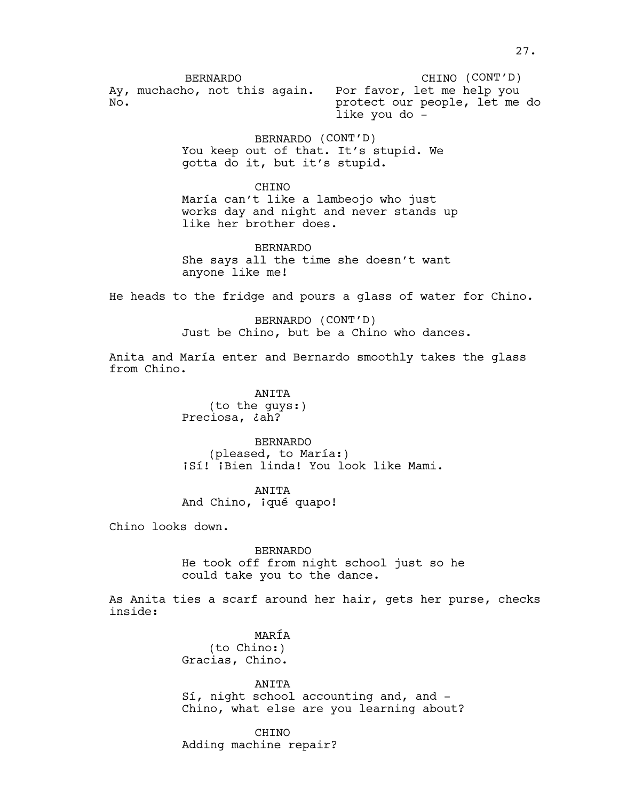BERNARDO Ay, muchacho, not this again. Por favor, let me help you No. CHINO (CONT'D) protect our people, let me do like you do -

> BERNARDO (CONT'D) You keep out of that. It's stupid. We gotta do it, but it's stupid.

CHINO María can't like a lambeojo who just works day and night and never stands up like her brother does.

BERNARDO She says all the time she doesn't want anyone like me!

He heads to the fridge and pours a glass of water for Chino.

BERNARDO (CONT'D) Just be Chino, but be a Chino who dances.

Anita and María enter and Bernardo smoothly takes the glass from Chino.

> ANITA (to the guys:) Preciosa, ¿ah?

BERNARDO (pleased, to María:) ¡Sí! ¡Bien linda! You look like Mami.

ANITA And Chino, iqué quapo!

Chino looks down.

BERNARDO He took off from night school just so he could take you to the dance.

As Anita ties a scarf around her hair, gets her purse, checks inside:

> MARÍA (to Chino:) Gracias, Chino.

ANITA Sí, night school accounting and, and - Chino, what else are you learning about?

CHINO Adding machine repair?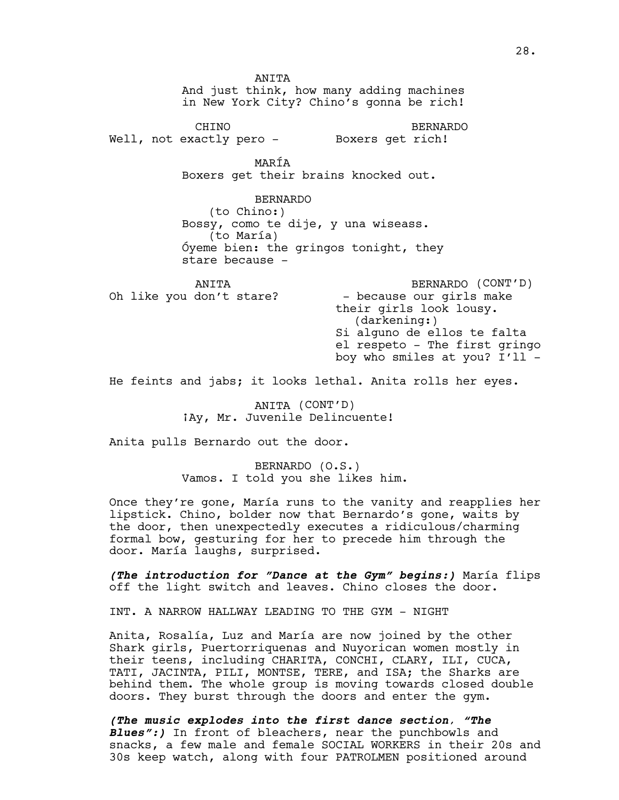**ANTTA** And just think, how many adding machines in New York City? Chino's gonna be rich! CHINO Well, not exactly pero - Boxers get rich! BERNARDO MARÍA Boxers get their brains knocked out. BERNARDO (to Chino:) Bossy, como te dije, y una wiseass. (to María) Óyeme bien: the gringos tonight, they stare because - ANITA Oh like you don't stare? BERNARDO (CONT'D) - because our girls make their girls look lousy. (darkening:) Si alguno de ellos te falta el respeto - The first gringo boy who smiles at you? I'll - He feints and jabs; it looks lethal. Anita rolls her eyes. ANITA (CONT'D) iAy, Mr. Juvenile Delincuente!

Anita pulls Bernardo out the door.

BERNARDO (O.S.) Vamos. I told you she likes him.

Once they're gone, María runs to the vanity and reapplies her lipstick. Chino, bolder now that Bernardo's gone, waits by the door, then unexpectedly executes a ridiculous/charming formal bow, gesturing for her to precede him through the door. María laughs, surprised.

*(The introduction for "Dance at the Gym" begins:)* María flips off the light switch and leaves. Chino closes the door.

INT. A NARROW HALLWAY LEADING TO THE GYM - NIGHT

Anita, Rosalía, Luz and María are now joined by the other Shark girls, Puertorriquenas and Nuyorican women mostly in their teens, including CHARITA, CONCHI, CLARY, ILI, CUCA, TATI, JACINTA, PILI, MONTSE, TERE, and ISA; the Sharks are behind them. The whole group is moving towards closed double doors. They burst through the doors and enter the gym.

*(The music explodes into the first dance section, "The Blues":)* In front of bleachers, near the punchbowls and snacks, a few male and female SOCIAL WORKERS in their 20s and 30s keep watch, along with four PATROLMEN positioned around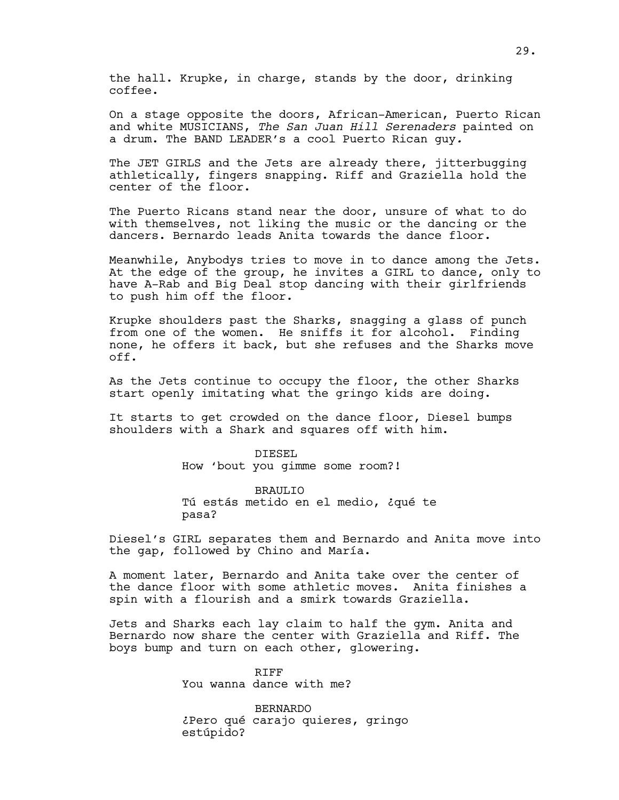the hall. Krupke, in charge, stands by the door, drinking coffee.

On a stage opposite the doors, African-American, Puerto Rican and white MUSICIANS, *The San Juan Hill Serenaders* painted on a drum. The BAND LEADER's a cool Puerto Rican guy*.* 

The JET GIRLS and the Jets are already there, jitterbugging athletically, fingers snapping. Riff and Graziella hold the center of the floor.

The Puerto Ricans stand near the door, unsure of what to do with themselves, not liking the music or the dancing or the dancers. Bernardo leads Anita towards the dance floor.

Meanwhile, Anybodys tries to move in to dance among the Jets. At the edge of the group, he invites a GIRL to dance, only to have A-Rab and Big Deal stop dancing with their girlfriends to push him off the floor.

Krupke shoulders past the Sharks, snagging a glass of punch from one of the women. He sniffs it for alcohol. Finding none, he offers it back, but she refuses and the Sharks move off.

As the Jets continue to occupy the floor, the other Sharks start openly imitating what the gringo kids are doing.

It starts to get crowded on the dance floor, Diesel bumps shoulders with a Shark and squares off with him.

> DIESEL How 'bout you gimme some room?!

BRAULIO Tú estás metido en el medio, ¿qué te pasa?

Diesel's GIRL separates them and Bernardo and Anita move into the gap, followed by Chino and María.

A moment later, Bernardo and Anita take over the center of the dance floor with some athletic moves. Anita finishes a spin with a flourish and a smirk towards Graziella.

Jets and Sharks each lay claim to half the gym. Anita and Bernardo now share the center with Graziella and Riff. The boys bump and turn on each other, glowering.

> RIFF You wanna dance with me?

BERNARDO ¿Pero qué carajo quieres, gringo estúpido?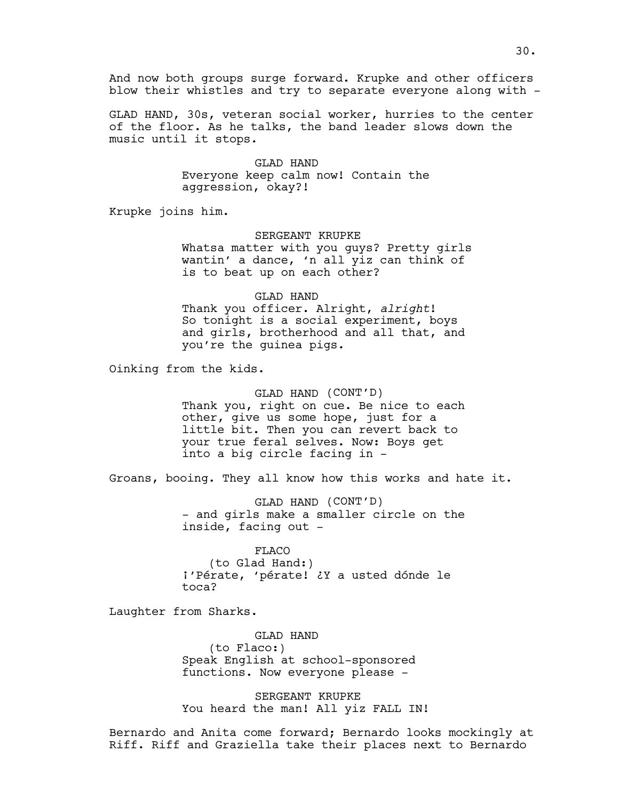And now both groups surge forward. Krupke and other officers blow their whistles and try to separate everyone along with -

GLAD HAND, 30s, veteran social worker, hurries to the center of the floor. As he talks, the band leader slows down the music until it stops.

> GLAD HAND Everyone keep calm now! Contain the aggression, okay?!

Krupke joins him.

SERGEANT KRUPKE Whatsa matter with you guys? Pretty girls wantin' a dance, 'n all yiz can think of is to beat up on each other?

GLAD HAND

Thank you officer. Alright, *alright*! So tonight is a social experiment, boys and girls, brotherhood and all that, and you're the guinea pigs.

Oinking from the kids.

GLAD HAND (CONT'D) Thank you, right on cue. Be nice to each other, give us some hope, just for a little bit. Then you can revert back to your true feral selves. Now: Boys get into a big circle facing in -

Groans, booing. They all know how this works and hate it.

GLAD HAND (CONT'D) - and girls make a smaller circle on the inside, facing out -

FLACO (to Glad Hand:) ¡'Pérate, 'pérate! ¿Y a usted dónde le toca?

Laughter from Sharks.

GLAD HAND (to Flaco:) Speak English at school-sponsored functions. Now everyone please -

SERGEANT KRUPKE You heard the man! All yiz FALL IN!

Bernardo and Anita come forward; Bernardo looks mockingly at Riff. Riff and Graziella take their places next to Bernardo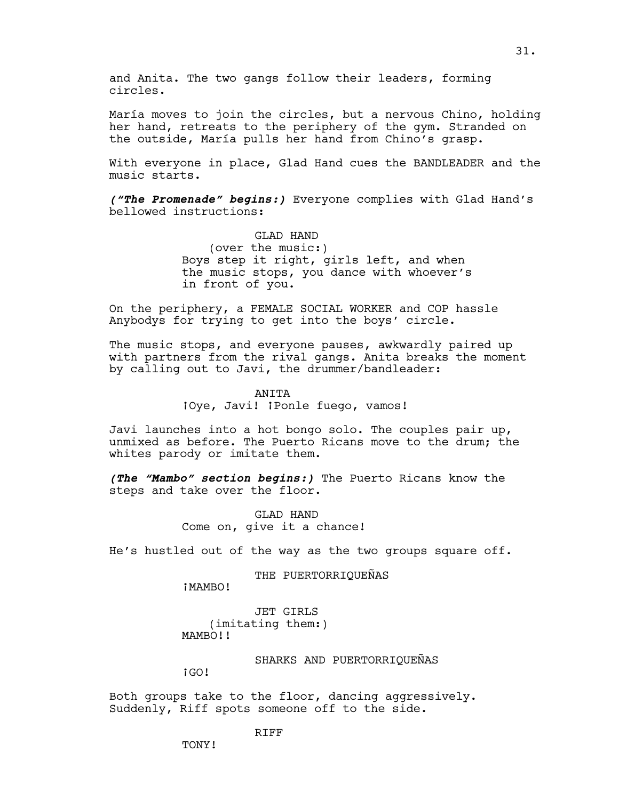and Anita. The two gangs follow their leaders, forming circles.

María moves to join the circles, but a nervous Chino, holding her hand, retreats to the periphery of the gym. Stranded on the outside, María pulls her hand from Chino's grasp.

With everyone in place, Glad Hand cues the BANDLEADER and the music starts.

*("The Promenade" begins:)* Everyone complies with Glad Hand's bellowed instructions:

# GLAD HAND

(over the music:) Boys step it right, girls left, and when the music stops, you dance with whoever's in front of you.

On the periphery, a FEMALE SOCIAL WORKER and COP hassle Anybodys for trying to get into the boys' circle.

The music stops, and everyone pauses, awkwardly paired up with partners from the rival gangs. Anita breaks the moment by calling out to Javi, the drummer/bandleader:

### ANITA

¡Oye, Javi! ¡Ponle fuego, vamos!

Javi launches into a hot bongo solo. The couples pair up, unmixed as before. The Puerto Ricans move to the drum; the whites parody or imitate them.

*(The "Mambo" section begins:)* The Puerto Ricans know the steps and take over the floor.

> GLAD HAND Come on, give it a chance!

He's hustled out of the way as the two groups square off.

THE PUERTORRIQUEÑAS

¡MAMBO!

JET GIRLS (imitating them:) MAMBO!!

SHARKS AND PUERTORRIQUEÑAS

¡GO!

Both groups take to the floor, dancing aggressively. Suddenly, Riff spots someone off to the side.

31.

RIFF

TONY!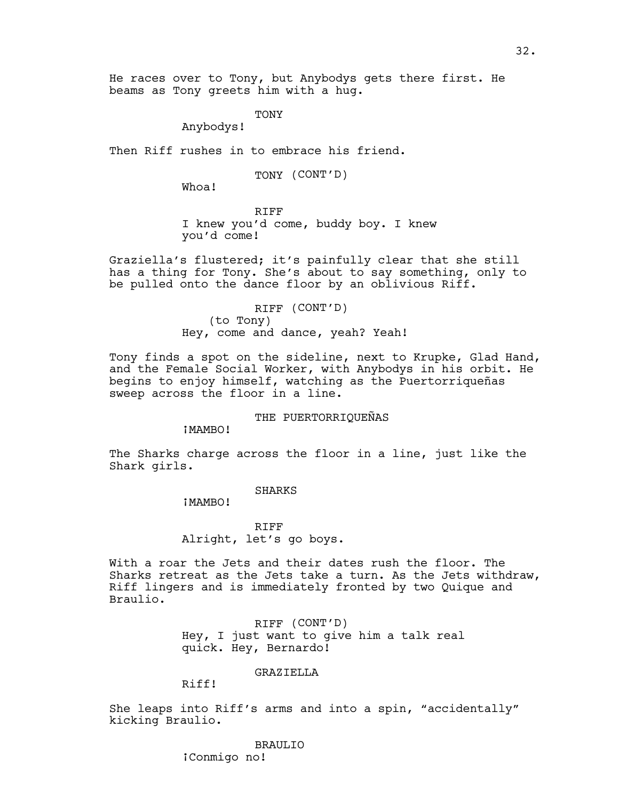TONY

Anybodys!

Then Riff rushes in to embrace his friend.

TONY (CONT'D)

Whoa!

RIFF I knew you'd come, buddy boy. I knew you'd come!

Graziella's flustered; it's painfully clear that she still has a thing for Tony. She's about to say something, only to be pulled onto the dance floor by an oblivious Riff.

> RIFF (CONT'D) (to Tony) Hey, come and dance, yeah? Yeah!

Tony finds a spot on the sideline, next to Krupke, Glad Hand, and the Female Social Worker, with Anybodys in his orbit. He begins to enjoy himself, watching as the Puertorriqueñas sweep across the floor in a line.

THE PUERTORRIQUEÑAS

¡MAMBO!

The Sharks charge across the floor in a line, just like the Shark girls.

# SHARKS

¡MAMBO!

RIFF Alright, let's go boys.

With a roar the Jets and their dates rush the floor. The Sharks retreat as the Jets take a turn. As the Jets withdraw, Riff lingers and is immediately fronted by two Quique and Braulio.

> RIFF (CONT'D) Hey, I just want to give him a talk real quick. Hey, Bernardo!

# GRAZIELLA

Riff!

She leaps into Riff's arms and into a spin, "accidentally" kicking Braulio.

# BRAULIO

¡Conmigo no!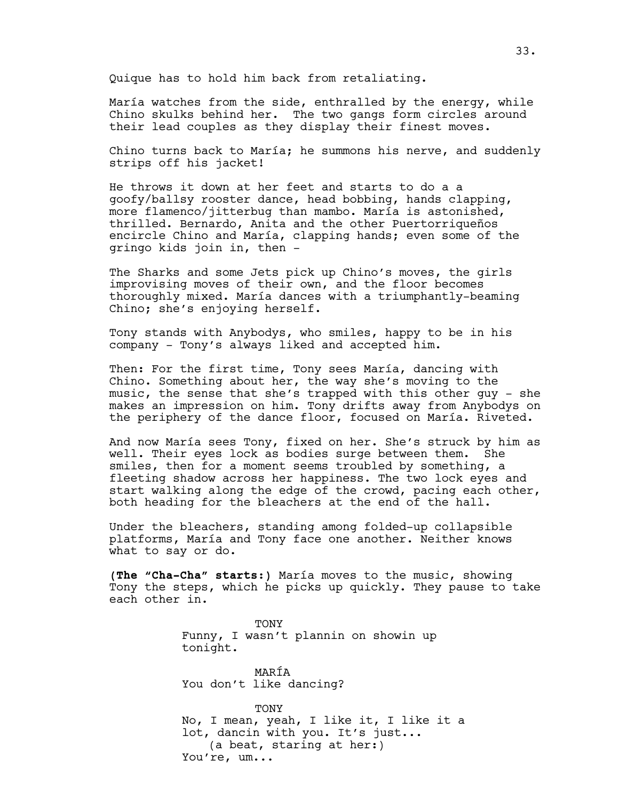Quique has to hold him back from retaliating.

María watches from the side, enthralled by the energy, while Chino skulks behind her. The two gangs form circles around their lead couples as they display their finest moves.

Chino turns back to María; he summons his nerve, and suddenly strips off his jacket!

He throws it down at her feet and starts to do a a goofy/ballsy rooster dance, head bobbing, hands clapping, more flamenco/jitterbug than mambo. María is astonished, thrilled. Bernardo, Anita and the other Puertorriqueños encircle Chino and María, clapping hands; even some of the gringo kids join in, then -

The Sharks and some Jets pick up Chino's moves, the girls improvising moves of their own, and the floor becomes thoroughly mixed. María dances with a triumphantly-beaming Chino; she's enjoying herself.

Tony stands with Anybodys, who smiles, happy to be in his company - Tony's always liked and accepted him.

Then: For the first time, Tony sees María, dancing with Chino. Something about her, the way she's moving to the music, the sense that she's trapped with this other guy - she makes an impression on him. Tony drifts away from Anybodys on the periphery of the dance floor, focused on María. Riveted.

And now María sees Tony, fixed on her. She's struck by him as well. Their eyes lock as bodies surge between them. She smiles, then for a moment seems troubled by something, a fleeting shadow across her happiness. The two lock eyes and start walking along the edge of the crowd, pacing each other, both heading for the bleachers at the end of the hall.

Under the bleachers, standing among folded-up collapsible platforms, María and Tony face one another. Neither knows what to say or do.

**(The "Cha-Cha" starts:)** María moves to the music, showing Tony the steps, which he picks up quickly. They pause to take each other in.

> TONY Funny, I wasn't plannin on showin up tonight.

MARÍA You don't like dancing?

TONY No, I mean, yeah, I like it, I like it a lot, dancin with you. It's just... (a beat, staring at her:) You're, um...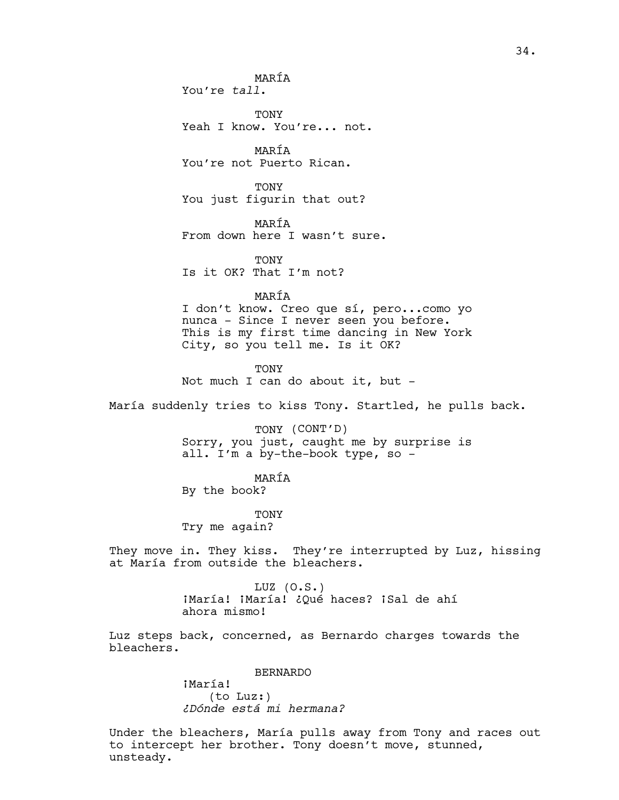MARÍA You're *tall*.

**TONY** Yeah I know. You're... not.

MARÍA You're not Puerto Rican.

**TONY** You just figurin that out?

MARÍA From down here I wasn't sure.

**TONY** Is it OK? That I'm not?

# MARÍA

I don't know. Creo que sí, pero...como yo nunca - Since I never seen you before. This is my first time dancing in New York City, so you tell me. Is it OK?

**TONY** Not much I can do about it, but -

María suddenly tries to kiss Tony. Startled, he pulls back.

TONY (CONT'D) Sorry, you just, caught me by surprise is all. I'm a by-the-book type, so -

MARÍA By the book?

TONY Try me again?

They move in. They kiss. They're interrupted by Luz, hissing at María from outside the bleachers.

> LUZ  $(O.S.)$ ¡María! ¡María! ¿Qué haces? ¡Sal de ahí ahora mismo!

Luz steps back, concerned, as Bernardo charges towards the bleachers.

BERNARDO

¡María! (to Luz:) *¿Dónde está mi hermana?*

Under the bleachers, María pulls away from Tony and races out to intercept her brother. Tony doesn't move, stunned, unsteady.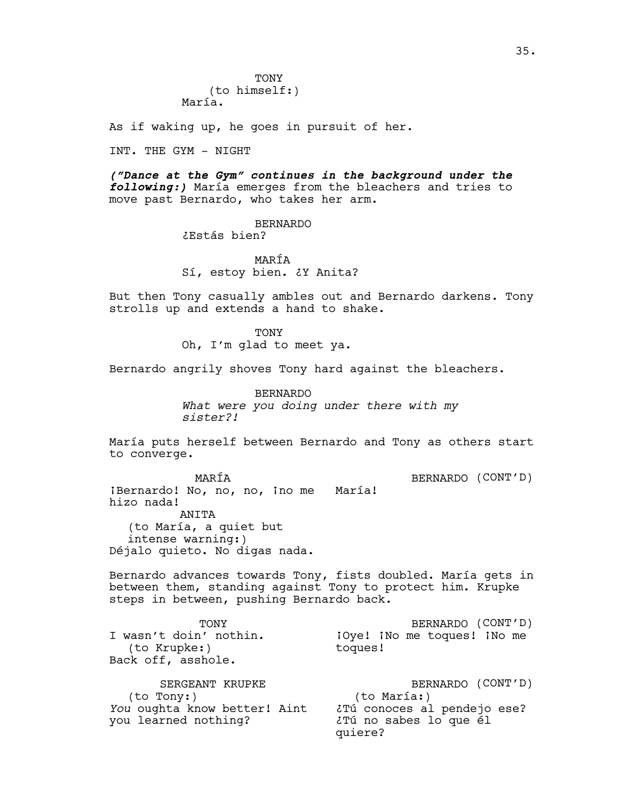As if waking up, he goes in pursuit of her.

INT. THE GYM - NIGHT

*("Dance at the Gym" continues in the background under the following:)* María emerges from the bleachers and tries to move past Bernardo, who takes her arm.

> BERNARDO ¿Estás bien?

MARÍA Sí, estoy bien. ¿Y Anita?

But then Tony casually ambles out and Bernardo darkens. Tony strolls up and extends a hand to shake.

> TONY Oh, I'm glad to meet ya.

Bernardo angrily shoves Tony hard against the bleachers.

BERNARDO *What were you doing under there with my sister?!*

María puts herself between Bernardo and Tony as others start to converge.

MARÍA iBernardo! No, no, no, ino me María! hizo nada! ANITA (to María, a quiet but intense warning:) Déjalo quieto. No digas nada. BERNARDO (CONT'D)

Bernardo advances towards Tony, fists doubled. María gets in between them, standing against Tony to protect him. Krupke steps in between, pushing Bernardo back.

TONY I wasn't doin' nothin. (to Krupke:) Back off, asshole. BERNARDO (CONT'D) ¡Oye! ¡No me toques! ¡No me toques!

SERGEANT KRUPKE (to Tony:) *You* oughta know better! Aint ¿Tú conoces al pendejo ese? you learned nothing?

BERNARDO (CONT'D) (to María:) ¿Tú no sabes lo que él quiere?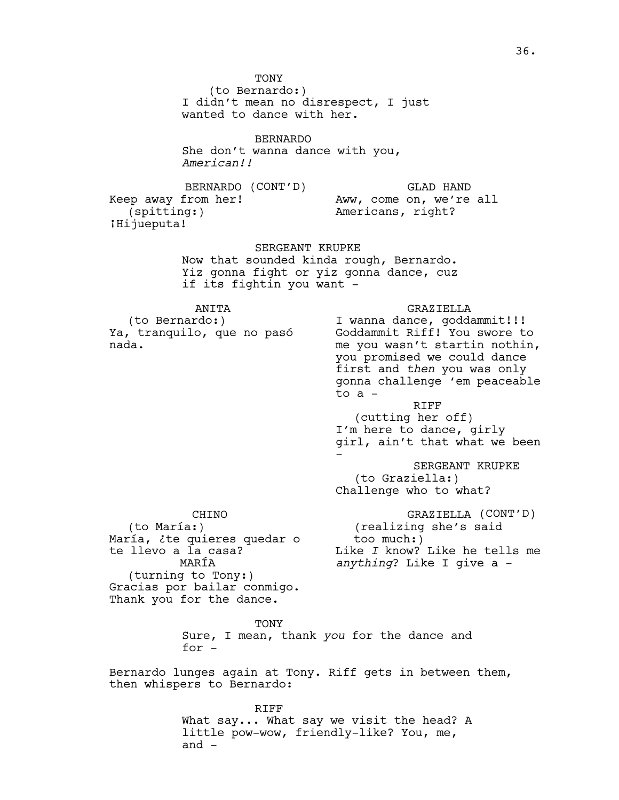TONY

(to Bernardo:) I didn't mean no disrespect, I just wanted to dance with her.

BERNARDO She don't wanna dance with you, *American!!*

BERNARDO (CONT'D) Keep away from her! (spitting:) ¡Hijueputa! GLAD HAND Aww, come on, we're all Americans, right?

> SERGEANT KRUPKE Now that sounded kinda rough, Bernardo. Yiz gonna fight or yiz gonna dance, cuz if its fightin you want -

ANITA

(to Bernardo:) Ya, tranquilo, que no pasó nada.

GRAZIELLA

I wanna dance, goddammit!!! Goddammit Riff! You swore to me you wasn't startin nothin, you promised we could dance first and *then* you was only gonna challenge 'em peaceable to a -

 RIFF (cutting her off) I'm here to dance, girly girl, ain't that what we been -

 SERGEANT KRUPKE (to Graziella:) Challenge who to what?

CHINO

(to María:) María, ¿te quieres quedar o te llevo a la casa? MARÍA (turning to Tony:) Gracias por bailar conmigo. Thank you for the dance.

GRAZIELLA (CONT'D) (realizing she's said too much:) Like *I* know? Like he tells me *anything*? Like I give a -

TONY Sure, I mean, thank *you* for the dance and for -

Bernardo lunges again at Tony. Riff gets in between them, then whispers to Bernardo:

> RIFF What say... What say we visit the head? A little pow-wow, friendly-like? You, me, and  $-$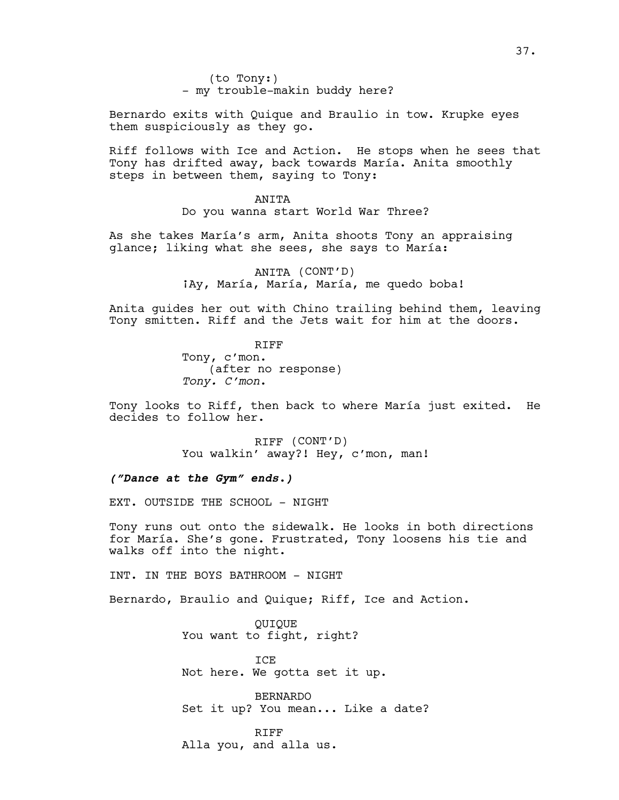Bernardo exits with Quique and Braulio in tow. Krupke eyes them suspiciously as they go.

Riff follows with Ice and Action. He stops when he sees that Tony has drifted away, back towards María. Anita smoothly steps in between them, saying to Tony:

> ANITA Do you wanna start World War Three?

As she takes María's arm, Anita shoots Tony an appraising glance; liking what she sees, she says to María:

> ANITA (CONT'D) ¡Ay, María, María, María, me quedo boba!

Anita guides her out with Chino trailing behind them, leaving Tony smitten. Riff and the Jets wait for him at the doors.

> **RTFF** Tony, c'mon. (after no response) *Tony. C'mon*.

Tony looks to Riff, then back to where María just exited. He decides to follow her.

> RIFF (CONT'D) You walkin' away?! Hey, c'mon, man!

*("Dance at the Gym" ends.)* 

EXT. OUTSIDE THE SCHOOL - NIGHT

Tony runs out onto the sidewalk. He looks in both directions for María. She's gone. Frustrated, Tony loosens his tie and walks off into the night.

INT. IN THE BOYS BATHROOM - NIGHT

Bernardo, Braulio and Quique; Riff, Ice and Action.

QUIQUE You want to fight, right?

TCE. Not here. We gotta set it up.

BERNARDO Set it up? You mean... Like a date?

RIFF Alla you, and alla us.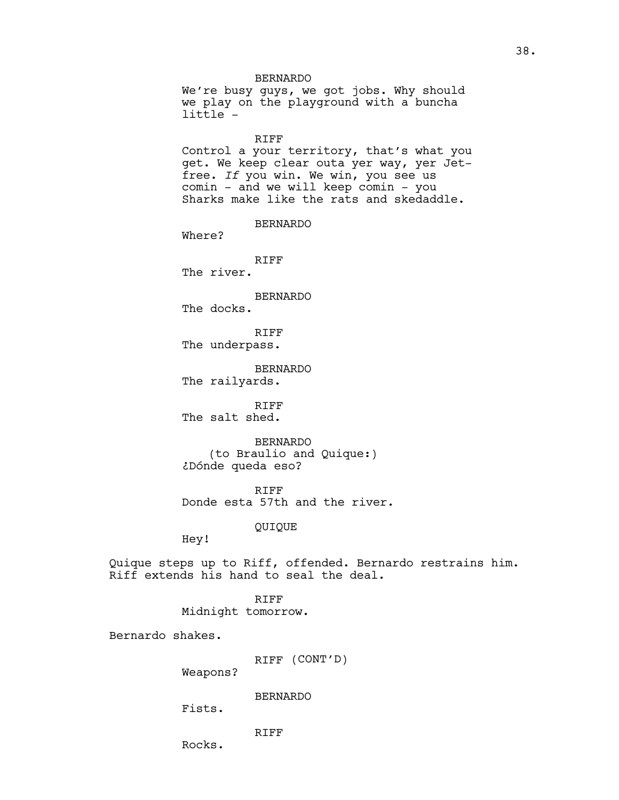BERNARDO We're busy guys, we got jobs. Why should we play on the playground with a buncha little -

#### RIFF

Control a your territory, that's what you get. We keep clear outa yer way, yer Jetfree. *If* you win. We win, you see us comin - and we will keep comin - you Sharks make like the rats and skedaddle.

BERNARDO

Where?

RIFF

The river.

BERNARDO

The docks.

RIFF The underpass.

BERNARDO The railyards.

RIFF The salt shed.

BERNARDO (to Braulio and Quique:) ¿Dónde queda eso?

RIFF Donde esta 57th and the river.

QUIQUE

Hey!

Quique steps up to Riff, offended. Bernardo restrains him. Riff extends his hand to seal the deal.

> RIFF Midnight tomorrow.

Bernardo shakes.

RIFF (CONT'D)

Weapons?

BERNARDO

Fists.

RIFF

Rocks.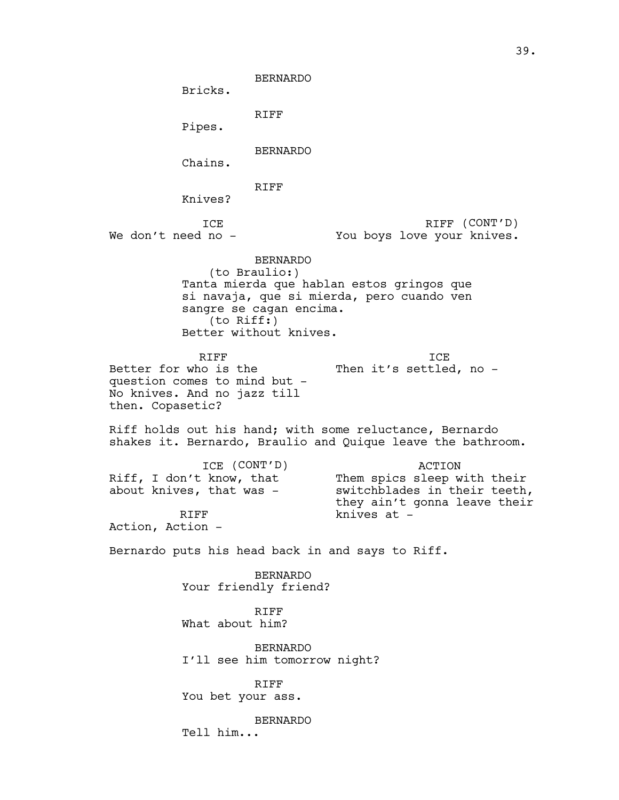BERNARDO Bricks. RIFF Pipes. BERNARDO Chains. RIFF Knives? ICE We don't need no -RIFF (CONT'D) You boys love your knives. BERNARDO (to Braulio:) Tanta mierda que hablan estos gringos que si navaja, que si mierda, pero cuando ven sangre se cagan encima. (to Riff:) Better without knives. RIFF Better for who is the question comes to mind but - No knives. And no jazz till then. Copasetic? ICE Then it's settled, no -Riff holds out his hand; with some reluctance, Bernardo shakes it. Bernardo, Braulio and Quique leave the bathroom. ICE (CONT'D) Riff, I don't know, that about knives, that was - RIFF Action, Action - ACTION Them spics sleep with their switchblades in their teeth, they ain't gonna leave their knives at - Bernardo puts his head back in and says to Riff. BERNARDO Your friendly friend? RIFF What about him? BERNARDO I'll see him tomorrow night? RIFF You bet your ass. BERNARDO Tell him...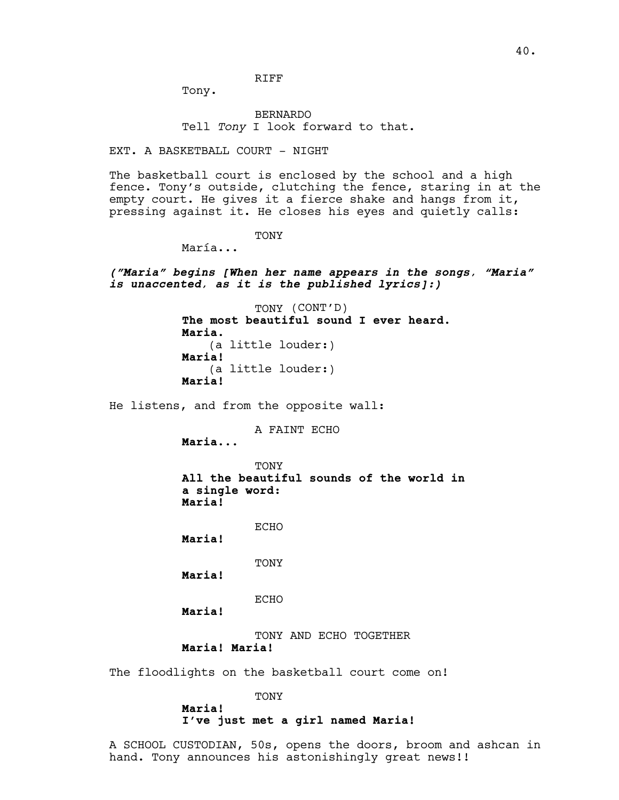RIFF

Tony.

BERNARDO Tell *Tony* I look forward to that.

EXT. A BASKETBALL COURT - NIGHT

The basketball court is enclosed by the school and a high fence. Tony's outside, clutching the fence, staring in at the empty court. He gives it a fierce shake and hangs from it, pressing against it. He closes his eyes and quietly calls:

**TONY** 

María...

*("Maria" begins [When her name appears in the songs, "Maria" is unaccented, as it is the published lyrics]:)* 

> TONY (CONT'D) **The most beautiful sound I ever heard. Maria.** (a little louder:) **Maria!** (a little louder:) **Maria!**

He listens, and from the opposite wall:

A FAINT ECHO

**Maria...**

TONY **All the beautiful sounds of the world in a single word: Maria!**

ECHO

**Maria!**

TONY

**Maria!** 

ECHO

**Maria!** 

TONY AND ECHO TOGETHER **Maria! Maria!**

The floodlights on the basketball court come on!

TONY

**Maria! I've just met a girl named Maria!**

A SCHOOL CUSTODIAN, 50s, opens the doors, broom and ashcan in hand. Tony announces his astonishingly great news!!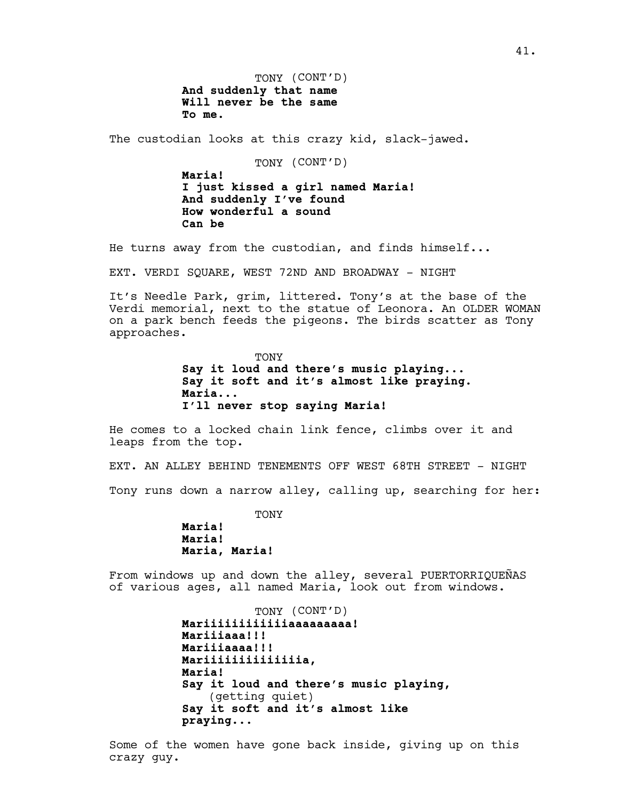TONY (CONT'D) **And suddenly that name Will never be the same To me.**

The custodian looks at this crazy kid, slack-jawed.

TONY (CONT'D)

**Maria! I just kissed a girl named Maria! And suddenly I've found How wonderful a sound Can be**

He turns away from the custodian, and finds himself...

EXT. VERDI SQUARE, WEST 72ND AND BROADWAY - NIGHT

It's Needle Park, grim, littered. Tony's at the base of the Verdi memorial, next to the statue of Leonora. An OLDER WOMAN on a park bench feeds the pigeons. The birds scatter as Tony approaches.

> TONY **Say it loud and there's music playing... Say it soft and it's almost like praying. Maria... I'll never stop saying Maria!**

He comes to a locked chain link fence, climbs over it and leaps from the top.

EXT. AN ALLEY BEHIND TENEMENTS OFF WEST 68TH STREET - NIGHT Tony runs down a narrow alley, calling up, searching for her:

**TONY** 

**Maria! Maria! Maria, Maria!** 

From windows up and down the alley, several PUERTORRIQUEÑAS of various ages, all named Maria, look out from windows.

```
TONY (CONT'D)
Mariiiiiiiiiiiiaaaaaaaaa!
Mariiiaaa!!!
Mariiiaaaa!!!
Mariiiiiiiiiiiiiia, 
Maria!
Say it loud and there's music playing,
    (getting quiet)
Say it soft and it's almost like 
praying...
```
Some of the women have gone back inside, giving up on this crazy guy.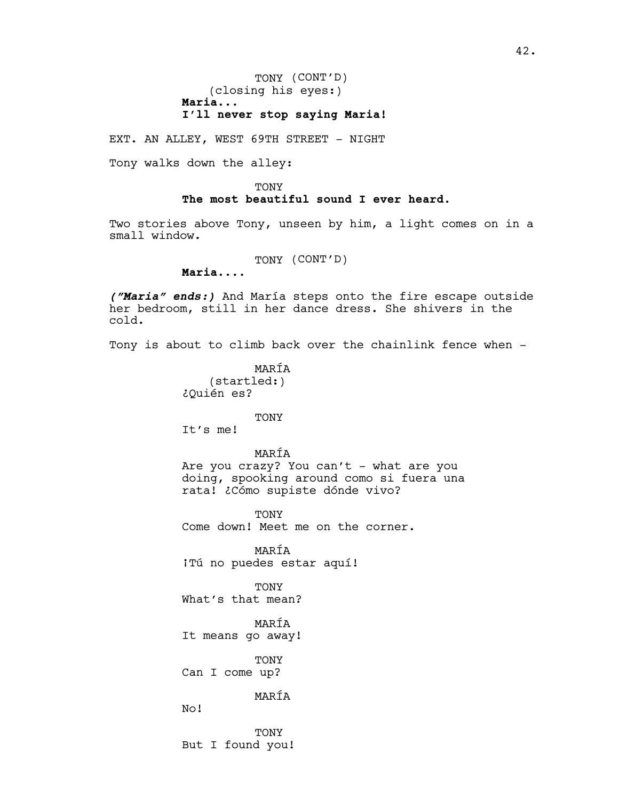EXT. AN ALLEY, WEST 69TH STREET - NIGHT

Tony walks down the alley:

# **TONY The most beautiful sound I ever heard.**

Two stories above Tony, unseen by him, a light comes on in a small window.

TONY (CONT'D)

**Maria....**

*("Maria" ends:)* And María steps onto the fire escape outside her bedroom, still in her dance dress. She shivers in the cold.

Tony is about to climb back over the chainlink fence when -

MARÍA (startled:) ¿Quién es?

### TONY

It's me!

MARÍA Are you crazy? You can't - what are you doing, spooking around como si fuera una rata! ¿Cómo supiste dónde vivo?

TONY Come down! Meet me on the corner.

MARÍA ¡Tú no puedes estar aquí!

**TONY** What's that mean?

MARÍA It means go away!

TONY Can I come up?

MARÍA

No!

TONY But I found you!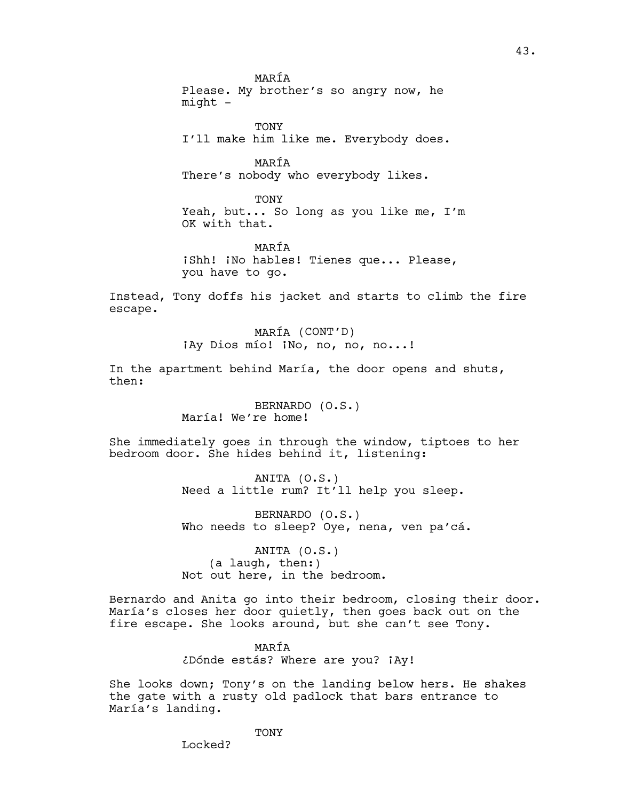MARÍA Please. My brother's so angry now, he  $mid$   $-$ 

**TONY** I'll make him like me. Everybody does.

MARÍA There's nobody who everybody likes.

TONY Yeah, but... So long as you like me, I'm OK with that.

MARÍA ¡Shh! ¡No hables! Tienes que... Please, you have to go.

Instead, Tony doffs his jacket and starts to climb the fire escape.

> MARÍA (CONT'D) ¡Ay Dios mío! ¡No, no, no, no...!

In the apartment behind María, the door opens and shuts, then:

> BERNARDO (O.S.) María! We're home!

She immediately goes in through the window, tiptoes to her bedroom door. She hides behind it, listening:

> ANITA (O.S.) Need a little rum? It'll help you sleep.

BERNARDO (O.S.) Who needs to sleep? Oye, nena, ven pa'cá.

ANITA (O.S.) (a laugh, then:) Not out here, in the bedroom.

Bernardo and Anita go into their bedroom, closing their door. María's closes her door quietly, then goes back out on the fire escape. She looks around, but she can't see Tony.

MARÍA

TONY

¿Dónde estás? Where are you? ¡Ay!

She looks down; Tony's on the landing below hers. He shakes the gate with a rusty old padlock that bars entrance to María's landing.

Locked?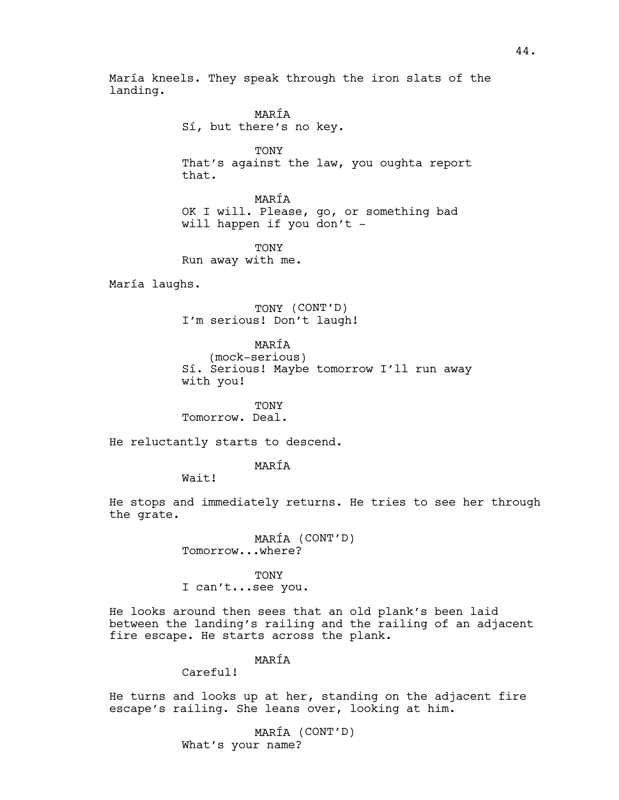María kneels. They speak through the iron slats of the landing.

> MARÍA Sí, but there's no key.

TONY That's against the law, you oughta report that.

MARÍA OK I will. Please, go, or something bad will happen if you don't -

TONY Run away with me.

María laughs.

TONY (CONT'D) I'm serious! Don't laugh!

MARÍA

(mock-serious) Sí. Serious! Maybe tomorrow I'll run away with you!

TONY Tomorrow. Deal.

He reluctantly starts to descend.

MARÍA

Wait!

He stops and immediately returns. He tries to see her through the grate.

> MARÍA (CONT'D) Tomorrow...where?

TONY I can't...see you.

He looks around then sees that an old plank's been laid between the landing's railing and the railing of an adjacent fire escape. He starts across the plank.

MARÍA

Careful!

He turns and looks up at her, standing on the adjacent fire escape's railing. She leans over, looking at him.

> MARÍA (CONT'D) What's your name?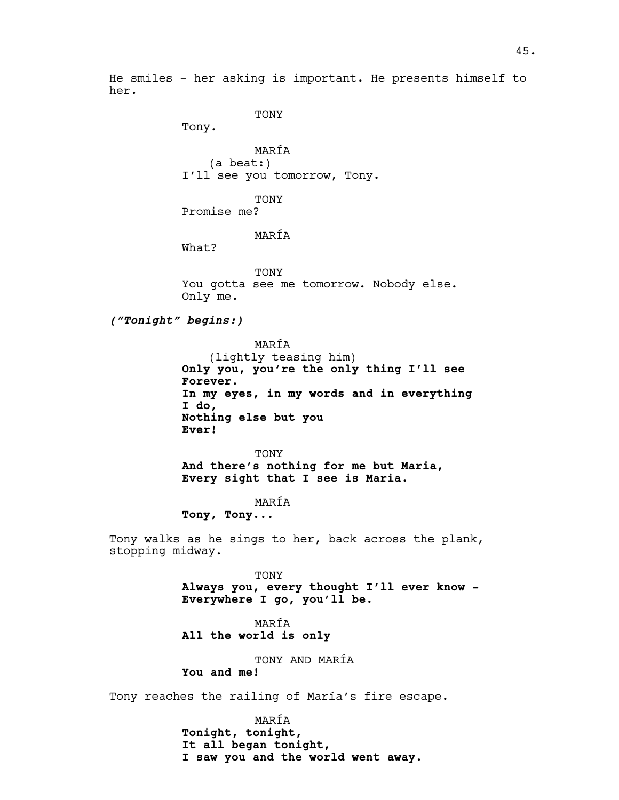He smiles - her asking is important. He presents himself to her.

TONY

Tony.

MARÍA (a beat:) I'll see you tomorrow, Tony.

TONY

Promise me?

# MARÍA

What?

TONY You gotta see me tomorrow. Nobody else. Only me.

*("Tonight" begins:)* 

MARÍA

(lightly teasing him) **Only you, you're the only thing I'll see Forever. In my eyes, in my words and in everything I do, Nothing else but you Ever!**

TONY **And there's nothing for me but Maria, Every sight that I see is Maria.**

# MARÍA

**Tony, Tony...**

Tony walks as he sings to her, back across the plank, stopping midway.

> TONY **Always you, every thought I'll ever know - Everywhere I go, you'll be.**

MARÍA **All the world is only** 

TONY AND MARÍA

**You and me!**

Tony reaches the railing of María's fire escape.

MARÍA **Tonight, tonight, It all began tonight, I saw you and the world went away.**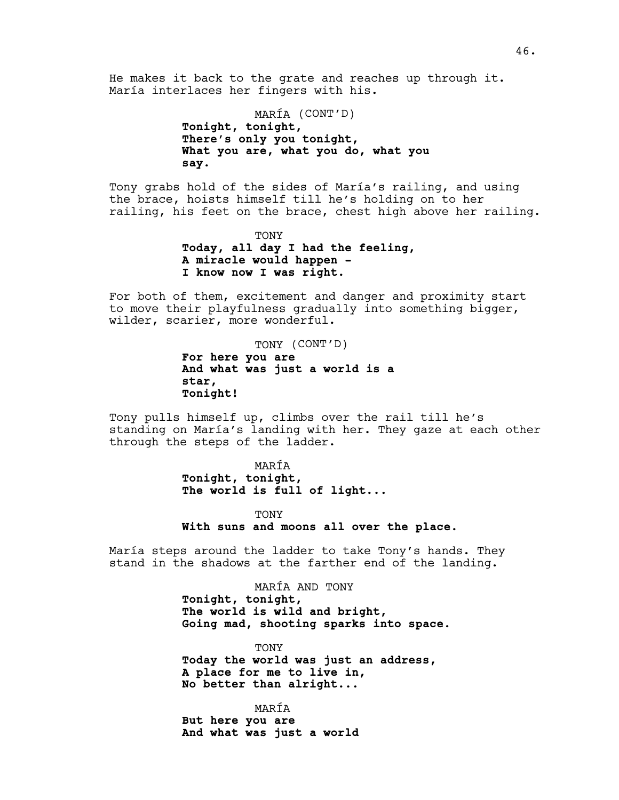He makes it back to the grate and reaches up through it. María interlaces her fingers with his.

> MARÍA (CONT'D) **Tonight, tonight, There's only you tonight, What you are, what you do, what you say.**

Tony grabs hold of the sides of María's railing, and using the brace, hoists himself till he's holding on to her railing, his feet on the brace, chest high above her railing.

> TONY **Today, all day I had the feeling, A miracle would happen - I know now I was right.**

For both of them, excitement and danger and proximity start to move their playfulness gradually into something bigger, wilder, scarier, more wonderful.

TONY (CONT'D)

**For here you are And what was just a world is a star, Tonight!**

Tony pulls himself up, climbs over the rail till he's standing on María's landing with her. They gaze at each other through the steps of the ladder.

> MARÍA **Tonight, tonight, The world is full of light...**

> > **TONY**

**With suns and moons all over the place.**

María steps around the ladder to take Tony's hands. They stand in the shadows at the farther end of the landing.

> MARÍA AND TONY **Tonight, tonight, The world is wild and bright, Going mad, shooting sparks into space.**

TONY **Today the world was just an address, A place for me to live in, No better than alright...**

MARÍA **But here you are And what was just a world**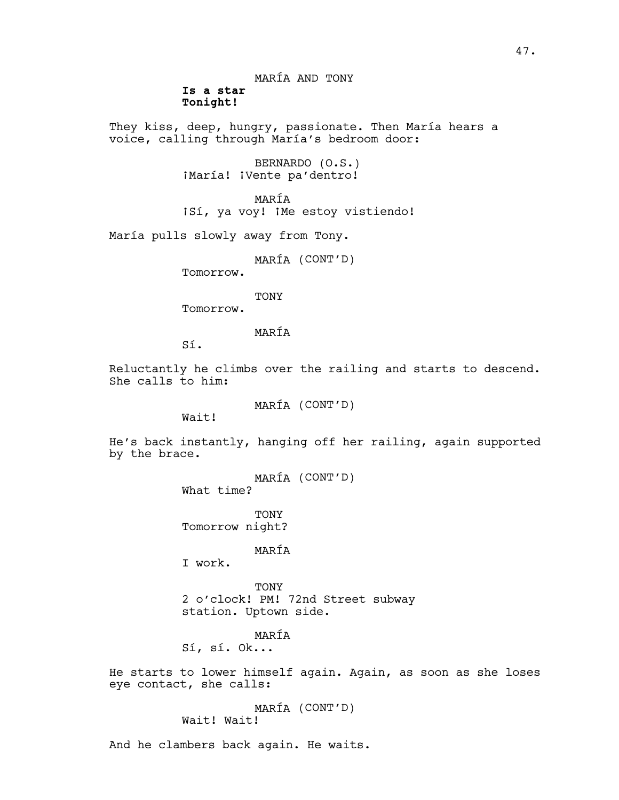They kiss, deep, hungry, passionate. Then María hears a voice, calling through María's bedroom door:

> BERNARDO (O.S.) ¡María! ¡Vente pa'dentro!

MARÍA ¡Sí, ya voy! ¡Me estoy vistiendo!

María pulls slowly away from Tony.

MARÍA (CONT'D)

Tomorrow.

TONY

Tomorrow.

MARÍA

Sí.

Reluctantly he climbs over the railing and starts to descend. She calls to him:

MARÍA (CONT'D)

Wait!

He's back instantly, hanging off her railing, again supported by the brace.

```
MARÍA (CONT'D)
```
What time?

TONY Tomorrow night?

MARÍA

I work.

TONY 2 o'clock! PM! 72nd Street subway station. Uptown side.

# MARÍA

Sí, sí. Ok...

He starts to lower himself again. Again, as soon as she loses eye contact, she calls:

> MARÍA (CONT'D) Wait! Wait!

And he clambers back again. He waits.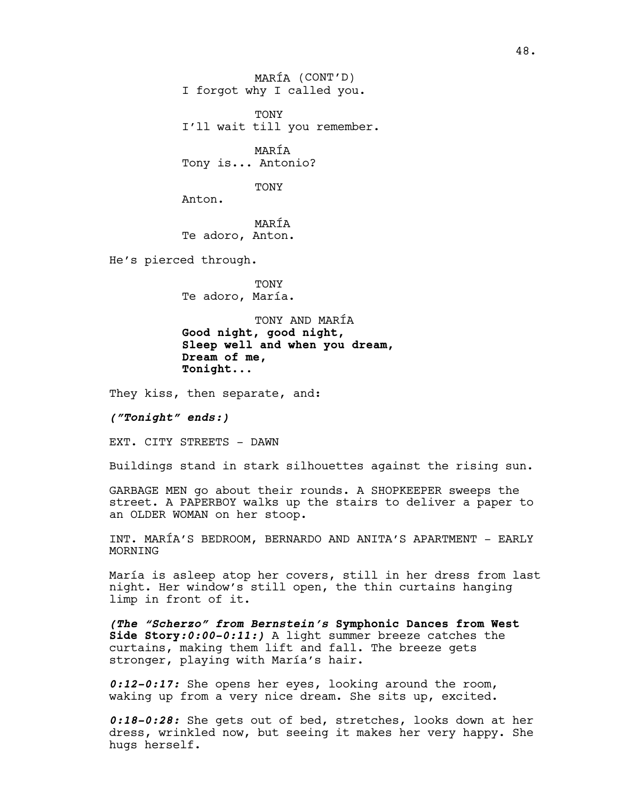MARÍA (CONT'D) I forgot why I called you.

TONY I'll wait till you remember.

MARÍA Tony is... Antonio?

**TONY** 

Anton.

MARÍA Te adoro, Anton.

He's pierced through.

TONY Te adoro, María.

TONY AND MARÍA **Good night, good night, Sleep well and when you dream, Dream of me, Tonight...**

They kiss, then separate, and:

*("Tonight" ends:)*

EXT. CITY STREETS - DAWN

Buildings stand in stark silhouettes against the rising sun.

GARBAGE MEN go about their rounds. A SHOPKEEPER sweeps the street. A PAPERBOY walks up the stairs to deliver a paper to an OLDER WOMAN on her stoop.

INT. MARÍA'S BEDROOM, BERNARDO AND ANITA'S APARTMENT - EARLY MORNING

María is asleep atop her covers, still in her dress from last night. Her window's still open, the thin curtains hanging limp in front of it.

*(The "Scherzo" from Bernstein's* **Symphonic Dances from West Side Story***:0:00-0:11:)* A light summer breeze catches the curtains, making them lift and fall. The breeze gets stronger, playing with María's hair.

*0:12-0:17:* She opens her eyes, looking around the room, waking up from a very nice dream. She sits up, excited.

*0:18-0:28:* She gets out of bed, stretches, looks down at her dress, wrinkled now, but seeing it makes her very happy. She hugs herself.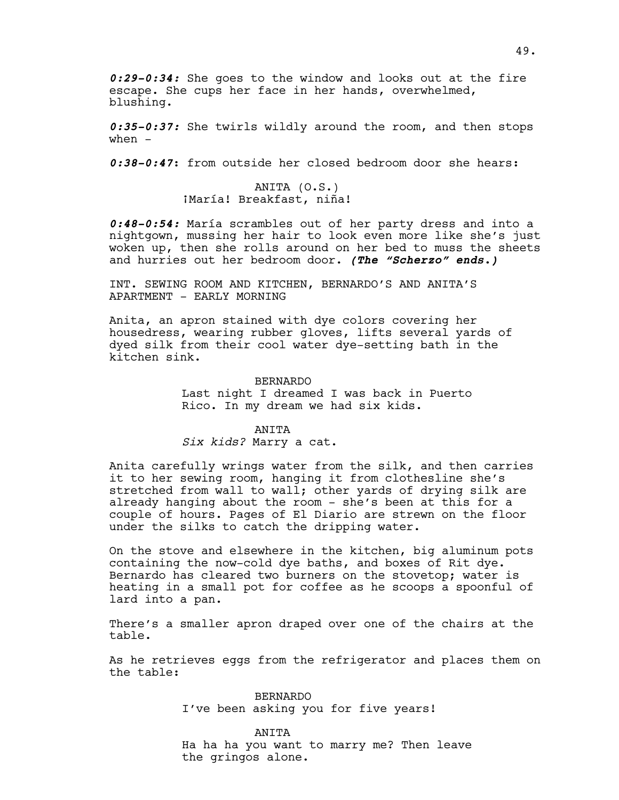*0:29-0:34:* She goes to the window and looks out at the fire escape. She cups her face in her hands, overwhelmed, blushing.

*0:35-0:37:* She twirls wildly around the room, and then stops when  $-$ 

*0:38-0:47***:** from outside her closed bedroom door she hears:

ANITA (O.S.) ¡María! Breakfast, niña!

*0:48-0:54:* María scrambles out of her party dress and into a nightgown, mussing her hair to look even more like she's just woken up, then she rolls around on her bed to muss the sheets and hurries out her bedroom door. *(The "Scherzo" ends.)*

INT. SEWING ROOM AND KITCHEN, BERNARDO'S AND ANITA'S APARTMENT - EARLY MORNING

Anita, an apron stained with dye colors covering her housedress, wearing rubber gloves, lifts several yards of dyed silk from their cool water dye-setting bath in the kitchen sink.

> BERNARDO Last night I dreamed I was back in Puerto Rico. In my dream we had six kids.

#### ANITA

*Six kids?* Marry a cat.

Anita carefully wrings water from the silk, and then carries it to her sewing room, hanging it from clothesline she's stretched from wall to wall; other yards of drying silk are already hanging about the room - she's been at this for a couple of hours. Pages of El Diario are strewn on the floor under the silks to catch the dripping water.

On the stove and elsewhere in the kitchen, big aluminum pots containing the now-cold dye baths, and boxes of Rit dye. Bernardo has cleared two burners on the stovetop; water is heating in a small pot for coffee as he scoops a spoonful of lard into a pan.

There's a smaller apron draped over one of the chairs at the table.

As he retrieves eggs from the refrigerator and places them on the table:

> BERNARDO I've been asking you for five years!

#### ANITA

Ha ha ha you want to marry me? Then leave the gringos alone.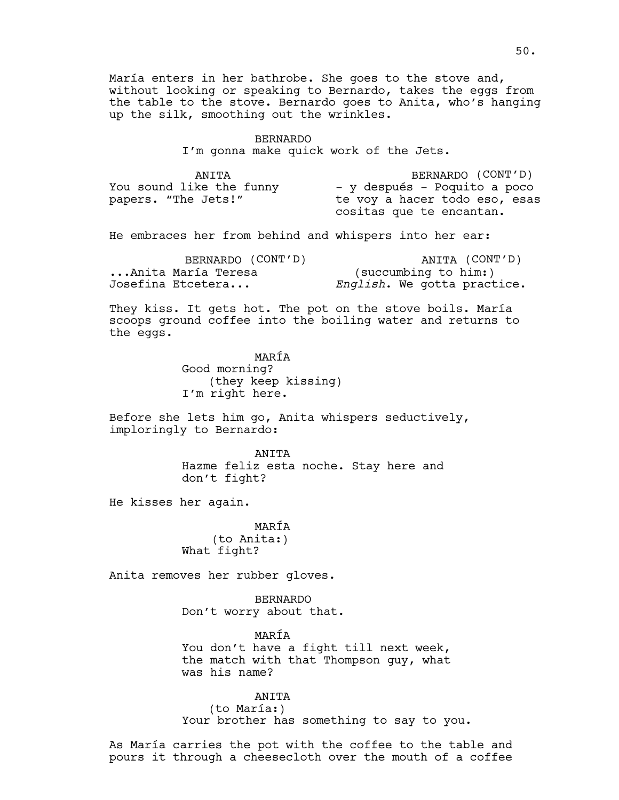María enters in her bathrobe. She goes to the stove and, without looking or speaking to Bernardo, takes the eggs from the table to the stove. Bernardo goes to Anita, who's hanging up the silk, smoothing out the wrinkles.

> BERNARDO I'm gonna make quick work of the Jets.

ANITA You sound like the funny papers. "The Jets!" BERNARDO (CONT'D) – y después - Poquito a poco te voy a hacer todo eso, esas cositas que te encantan.

He embraces her from behind and whispers into her ear:

| BERNARDO (CONT'D)  | ANITA (CONT'D)              |
|--------------------|-----------------------------|
| Anita María Teresa | (succumbing to him:)        |
| Josefina Etcetera  | English. We gotta practice. |

They kiss. It gets hot. The pot on the stove boils. María scoops ground coffee into the boiling water and returns to the eggs.

> MARÍA Good morning? (they keep kissing) I'm right here.

Before she lets him go, Anita whispers seductively, imploringly to Bernardo:

> ANITA Hazme feliz esta noche. Stay here and don't fight?

He kisses her again.

MARÍA (to Anita:) What fight?

Anita removes her rubber gloves.

BERNARDO Don't worry about that.

MARÍA You don't have a fight till next week, the match with that Thompson guy, what was his name?

#### ANITA

(to María:) Your brother has something to say to you.

As María carries the pot with the coffee to the table and pours it through a cheesecloth over the mouth of a coffee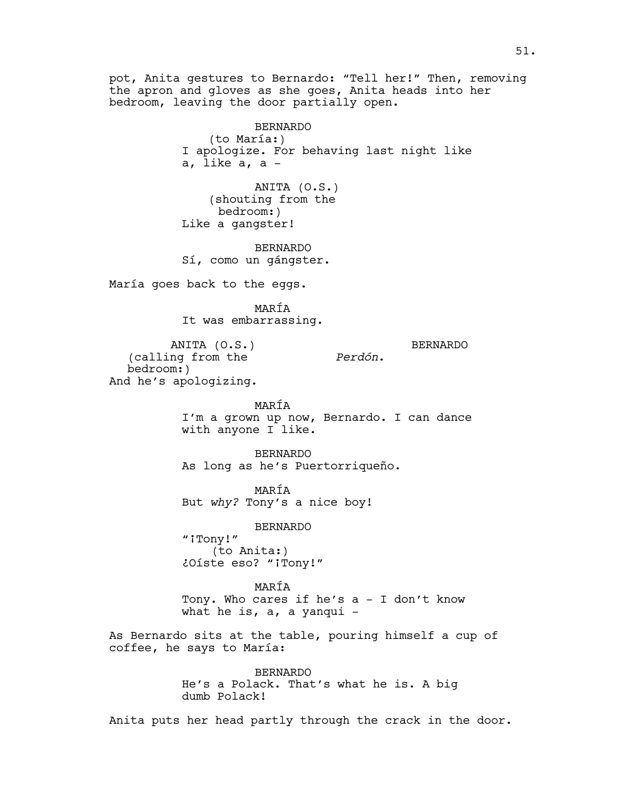pot, Anita gestures to Bernardo: "Tell her!" Then, removing the apron and gloves as she goes, Anita heads into her bedroom, leaving the door partially open.

> BERNARDO (to María:) I apologize. For behaving last night like a, like a, a -

ANITA (O.S.) (shouting from the bedroom:) Like a gangster!

BERNARDO Sí, como un gángster.

María goes back to the eggs.

MARÍA It was embarrassing.

ANITA (O.S.) (calling from the bedroom:) And he's apologizing. BERNARDO

MARÍA I'm a grown up now, Bernardo. I can dance with anyone I like.

*Perdón*.

BERNARDO As long as he's Puertorriqueño.

MARÍA But *why?* Tony's a nice boy!

BERNARDO "¡Tony!" (to Anita:) ¿Oíste eso? "¡Tony!"

MARÍA Tony. Who cares if he's a - I don't know what he is, a, a yanqui -

As Bernardo sits at the table, pouring himself a cup of coffee, he says to María:

> BERNARDO He's a Polack. That's what he is. A big dumb Polack!

Anita puts her head partly through the crack in the door.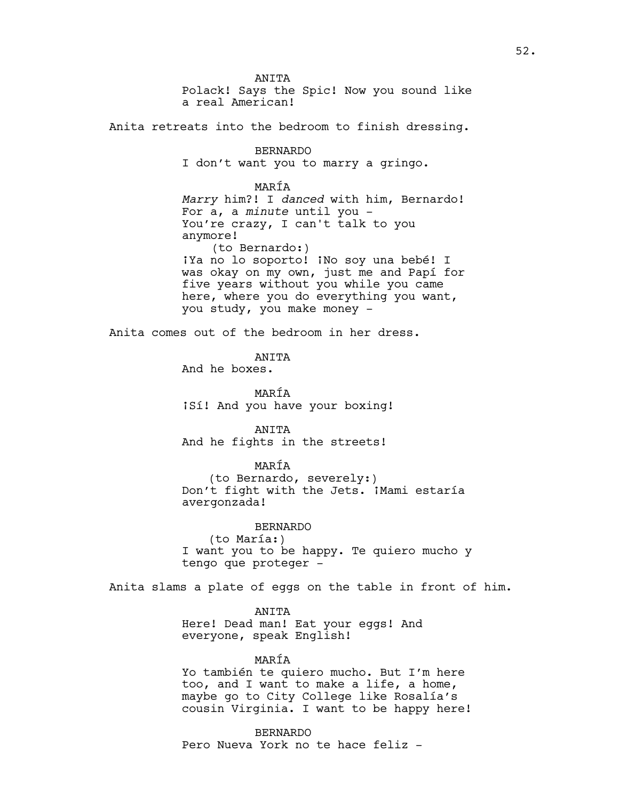**ANTTA** Polack! Says the Spic! Now you sound like a real American!

Anita retreats into the bedroom to finish dressing.

BERNARDO I don't want you to marry a gringo.

MARÍA *Marry* him?! I *danced* with him, Bernardo! For a, a *minute* until you - You're crazy, I can't talk to you anymore! (to Bernardo:) ¡Ya no lo soporto! ¡No soy una bebé! I was okay on my own, just me and Papí for five years without you while you came here, where you do everything you want, you study, you make money -

Anita comes out of the bedroom in her dress.

ANITA

And he boxes.

MARÍA ¡Sí! And you have your boxing!

ANITA And he fights in the streets!

### MARÍA

(to Bernardo, severely:) Don't fight with the Jets. *¡Mami estaría* avergonzada!

BERNARDO (to María:) I want you to be happy. Te quiero mucho y tengo que proteger -

Anita slams a plate of eggs on the table in front of him.

#### ANITA

Here! Dead man! Eat your eggs! And everyone, speak English!

MARÍA Yo también te quiero mucho. But I'm here too, and I want to make a life, a home, maybe go to City College like Rosalía's

cousin Virginia. I want to be happy here!

BERNARDO Pero Nueva York no te hace feliz -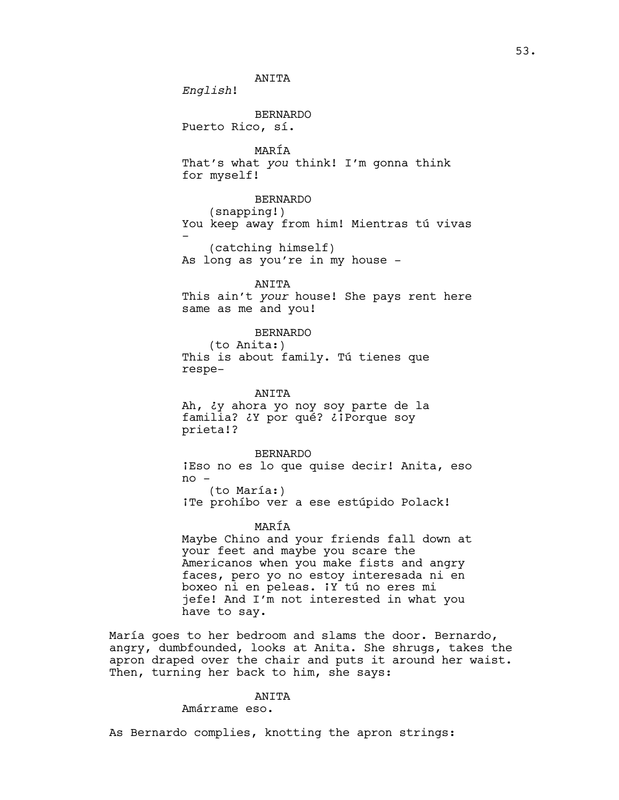ANITA

*English*!

BERNARDO Puerto Rico, sí.

MARÍA That's what *you* think! I'm gonna think for myself!

BERNARDO (snapping!) You keep away from him! Mientras tú vivas - (catching himself)

As long as you're in my house -

ANITA This ain't *your* house! She pays rent here same as me and you!

BERNARDO (to Anita:) This is about family. Tú tienes que respe–

ANITA Ah, ¿y ahora yo noy soy parte de la familia? ¿Y por qué? ¿¡Porque soy prieta!?

BERNARDO ¡Eso no es lo que quise decir! Anita, eso no - (to María:) ¡Te prohíbo ver a ese estúpido Polack!

MARÍA

Maybe Chino and your friends fall down at your feet and maybe you scare the Americanos when you make fists and angry faces, pero yo no estoy interesada ni en boxeo ni en peleas. ¡Y tú no eres mi jefe! And I'm not interested in what you have to say.

María goes to her bedroom and slams the door. Bernardo, angry, dumbfounded, looks at Anita. She shrugs, takes the apron draped over the chair and puts it around her waist. Then, turning her back to him, she says:

#### ANITA

Amárrame eso.

As Bernardo complies, knotting the apron strings: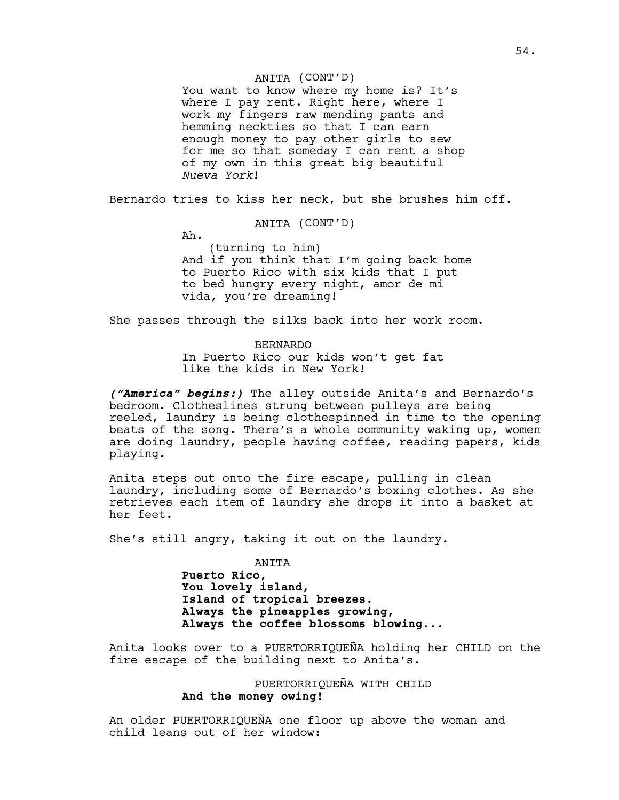### ANITA (CONT'D)

You want to know where my home is? It's where I pay rent. Right here, where I work my fingers raw mending pants and hemming neckties so that I can earn enough money to pay other girls to sew for me so that someday I can rent a shop of my own in this great big beautiful *Nueva York*!

Bernardo tries to kiss her neck, but she brushes him off.

ANITA (CONT'D)

Ah.

(turning to him) And if you think that I'm going back home to Puerto Rico with six kids that I put to bed hungry every night, amor de mi vida, you're dreaming!

She passes through the silks back into her work room.

BERNARDO In Puerto Rico our kids won't get fat like the kids in New York!

*("America" begins:)* The alley outside Anita's and Bernardo's bedroom. Clotheslines strung between pulleys are being reeled, laundry is being clothespinned in time to the opening beats of the song. There's a whole community waking up, women are doing laundry, people having coffee, reading papers, kids playing.

Anita steps out onto the fire escape, pulling in clean laundry, including some of Bernardo's boxing clothes. As she retrieves each item of laundry she drops it into a basket at her feet.

She's still angry, taking it out on the laundry.

ANITA

**Puerto Rico, You lovely island, Island of tropical breezes. Always the pineapples growing, Always the coffee blossoms blowing...** 

Anita looks over to a PUERTORRIQUEÑA holding her CHILD on the fire escape of the building next to Anita's.

> PUERTORRIQUEÑA WITH CHILD **And the money owing!**

An older PUERTORRIQUEÑA one floor up above the woman and child leans out of her window: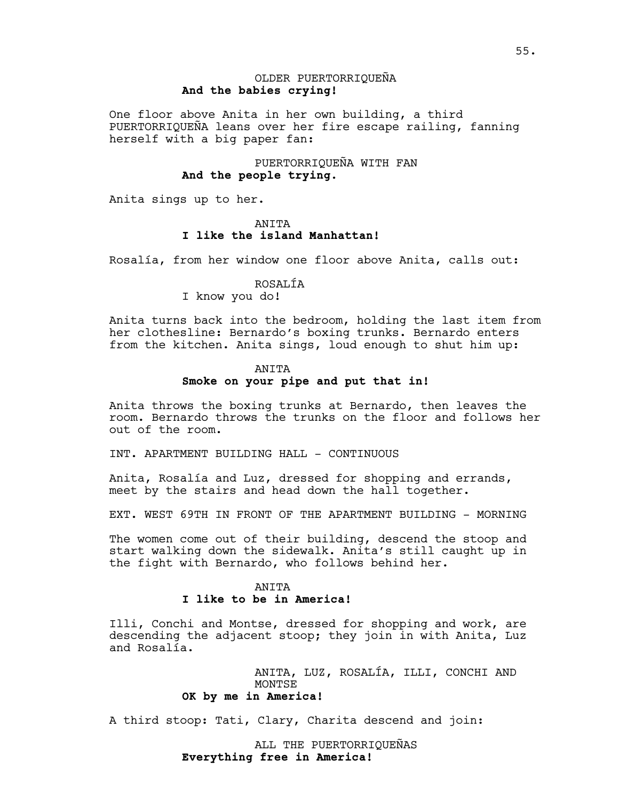# OLDER PUERTORRIQUEÑA **And the babies crying!**

One floor above Anita in her own building, a third PUERTORRIQUEÑA leans over her fire escape railing, fanning herself with a big paper fan:

# PUERTORRIQUEÑA WITH FAN **And the people trying.**

Anita sings up to her.

# ANITA **I like the island Manhattan!**

Rosalía, from her window one floor above Anita, calls out:

# ROSALÍA I know you do!

Anita turns back into the bedroom, holding the last item from her clothesline: Bernardo's boxing trunks. Bernardo enters from the kitchen. Anita sings, loud enough to shut him up:

# **ANTTA Smoke on your pipe and put that in!**

Anita throws the boxing trunks at Bernardo, then leaves the room. Bernardo throws the trunks on the floor and follows her out of the room.

INT. APARTMENT BUILDING HALL - CONTINUOUS

Anita, Rosalía and Luz, dressed for shopping and errands, meet by the stairs and head down the hall together.

EXT. WEST 69TH IN FRONT OF THE APARTMENT BUILDING - MORNING

The women come out of their building, descend the stoop and start walking down the sidewalk. Anita's still caught up in the fight with Bernardo, who follows behind her.

# ANTTA **I like to be in America!**

Illi, Conchi and Montse, dressed for shopping and work, are descending the adjacent stoop; they join in with Anita, Luz and Rosalía.

> ANITA, LUZ, ROSALÍA, ILLI, CONCHI AND MONTSE

# **OK by me in America!**

A third stoop: Tati, Clary, Charita descend and join:

ALL THE PUERTORRIQUEÑAS **Everything free in America!**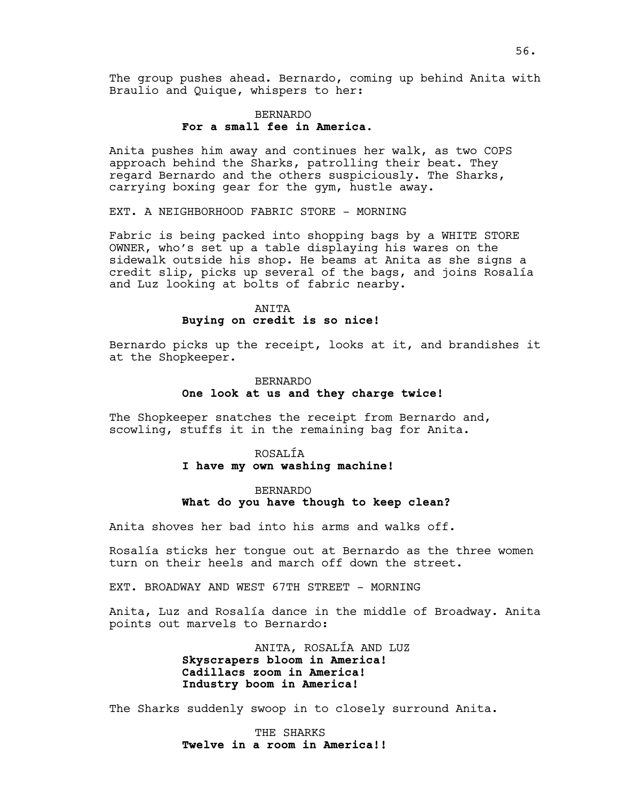The group pushes ahead. Bernardo, coming up behind Anita with Braulio and Quique, whispers to her:

### BERNARDO **For a small fee in America.**

Anita pushes him away and continues her walk, as two COPS approach behind the Sharks, patrolling their beat. They regard Bernardo and the others suspiciously. The Sharks, carrying boxing gear for the gym, hustle away.

EXT. A NEIGHBORHOOD FABRIC STORE - MORNING

Fabric is being packed into shopping bags by a WHITE STORE OWNER, who's set up a table displaying his wares on the sidewalk outside his shop. He beams at Anita as she signs a credit slip, picks up several of the bags, and joins Rosalía and Luz looking at bolts of fabric nearby.

### ANITA **Buying on credit is so nice!**

Bernardo picks up the receipt, looks at it, and brandishes it at the Shopkeeper.

# BERNARDO

# **One look at us and they charge twice!**

The Shopkeeper snatches the receipt from Bernardo and, scowling, stuffs it in the remaining bag for Anita.

# ROSALÍA **I have my own washing machine!**

#### BERNARDO **What do you have though to keep clean?**

Anita shoves her bad into his arms and walks off.

Rosalía sticks her tongue out at Bernardo as the three women turn on their heels and march off down the street.

EXT. BROADWAY AND WEST 67TH STREET - MORNING

Anita, Luz and Rosalía dance in the middle of Broadway. Anita points out marvels to Bernardo:

> ANITA, ROSALÍA AND LUZ **Skyscrapers bloom in America! Cadillacs zoom in America! Industry boom in America!**

The Sharks suddenly swoop in to closely surround Anita.

THE SHARKS **Twelve in a room in America!!**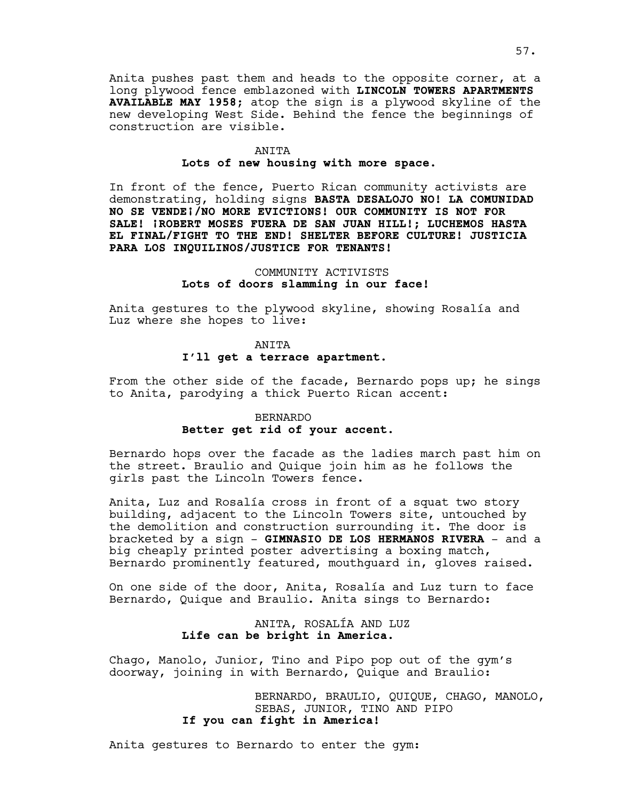Anita pushes past them and heads to the opposite corner, at a long plywood fence emblazoned with **LINCOLN TOWERS APARTMENTS AVAILABLE MAY 1958**; atop the sign is a plywood skyline of the new developing West Side. Behind the fence the beginnings of construction are visible.

#### ANITA

#### **Lots of new housing with more space.**

In front of the fence, Puerto Rican community activists are demonstrating, holding signs **BASTA DESALOJO NO! LA COMUNIDAD NO SE VENDE¡/NO MORE EVICTIONS! OUR COMMUNITY IS NOT FOR SALE! ¡ROBERT MOSES FUERA DE SAN JUAN HILL!; LUCHEMOS HASTA EL FINAL/FIGHT TO THE END! SHELTER BEFORE CULTURE! JUSTICIA PARA LOS INQUILINOS/JUSTICE FOR TENANTS!**

### COMMUNITY ACTIVISTS **Lots of doors slamming in our face!**

Anita gestures to the plywood skyline, showing Rosalía and Luz where she hopes to live:

ANITA

#### **I'll get a terrace apartment.**

From the other side of the facade, Bernardo pops up; he sings to Anita, parodying a thick Puerto Rican accent:

### BERNARDO **Better get rid of your accent.**

Bernardo hops over the facade as the ladies march past him on the street. Braulio and Quique join him as he follows the girls past the Lincoln Towers fence.

Anita, Luz and Rosalía cross in front of a squat two story building, adjacent to the Lincoln Towers site, untouched by the demolition and construction surrounding it. The door is bracketed by a sign - **GIMNASIO DE LOS HERMANOS RIVERA** - and a big cheaply printed poster advertising a boxing match, Bernardo prominently featured, mouthguard in, gloves raised.

On one side of the door, Anita, Rosalía and Luz turn to face Bernardo, Quique and Braulio. Anita sings to Bernardo:

# ANITA, ROSALÍA AND LUZ **Life can be bright in America.**

Chago, Manolo, Junior, Tino and Pipo pop out of the gym's doorway, joining in with Bernardo, Quique and Braulio:

> BERNARDO, BRAULIO, QUIQUE, CHAGO, MANOLO, SEBAS, JUNIOR, TINO AND PIPO **If you can fight in America!**

Anita gestures to Bernardo to enter the gym: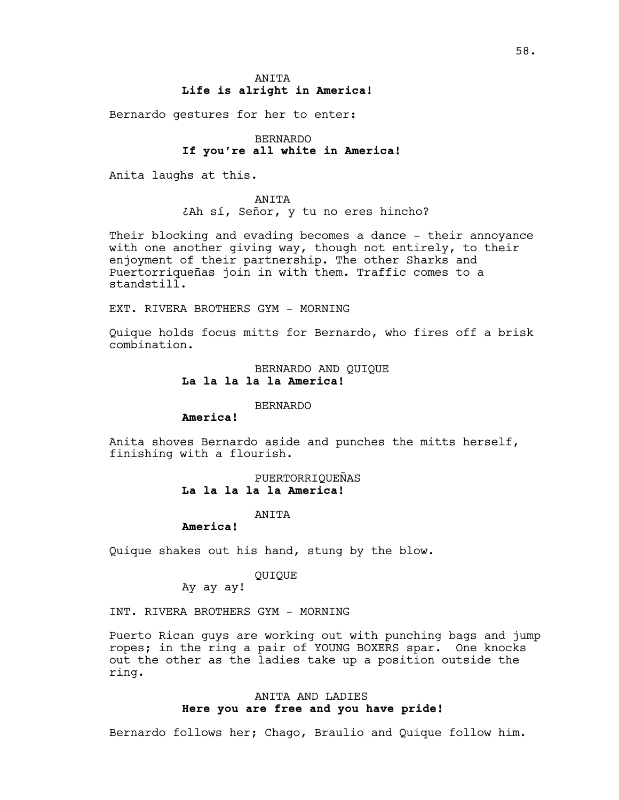Bernardo gestures for her to enter:

# BERNARDO **If you're all white in America!**

Anita laughs at this.

### ANITA

¿Ah sí, Señor, y tu no eres hincho?

Their blocking and evading becomes a dance - their annoyance with one another giving way, though not entirely, to their enjoyment of their partnership. The other Sharks and Puertorriqueñas join in with them. Traffic comes to a standstill.

EXT. RIVERA BROTHERS GYM - MORNING

Quique holds focus mitts for Bernardo, who fires off a brisk combination.

# BERNARDO AND QUIQUE **La la la la la America!**

#### BERNARDO

**America!**

Anita shoves Bernardo aside and punches the mitts herself, finishing with a flourish.

# PUERTORRIQUEÑAS **La la la la la America!**

#### ANITA

#### **America!**

Quique shakes out his hand, stung by the blow.

#### QUIQUE

Ay ay ay!

INT. RIVERA BROTHERS GYM - MORNING

Puerto Rican guys are working out with punching bags and jump ropes; in the ring a pair of YOUNG BOXERS spar. One knocks out the other as the ladies take up a position outside the ring.

### ANITA AND LADIES **Here you are free and you have pride!**

Bernardo follows her; Chago, Braulio and Quique follow him.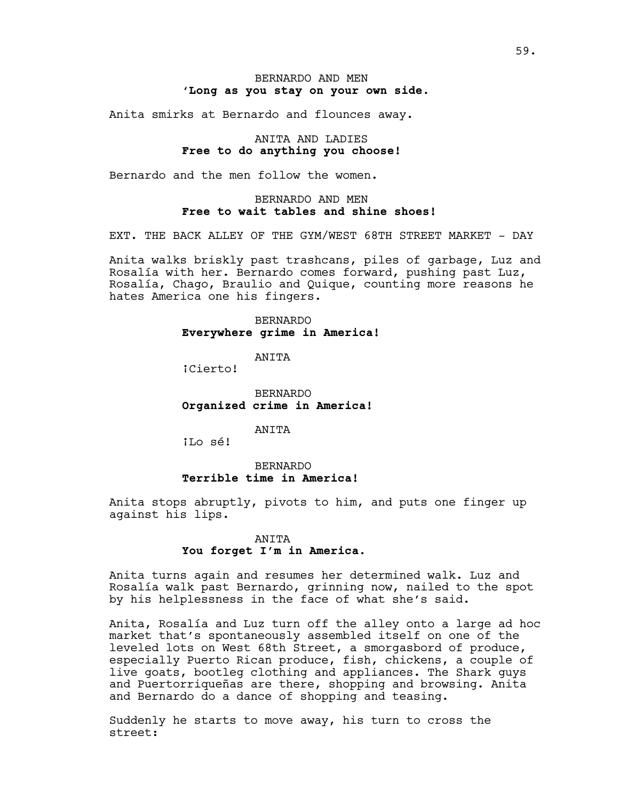# BERNARDO AND MEN **'Long as you stay on your own side.**

Anita smirks at Bernardo and flounces away.

# ANITA AND LADIES **Free to do anything you choose!**

Bernardo and the men follow the women.

### BERNARDO AND MEN **Free to wait tables and shine shoes!**

EXT. THE BACK ALLEY OF THE GYM/WEST 68TH STREET MARKET - DAY

Anita walks briskly past trashcans, piles of garbage, Luz and Rosalía with her. Bernardo comes forward, pushing past Luz, Rosalía, Chago, Braulio and Quique, counting more reasons he hates America one his fingers.

#### BERNARDO **Everywhere grime in America!**

ANITA

¡Cierto!

BERNARDO **Organized crime in America!**

ANITA

¡Lo sé!

## BERNARDO **Terrible time in America!**

Anita stops abruptly, pivots to him, and puts one finger up against his lips.

# ANITA **You forget I'm in America.**

Anita turns again and resumes her determined walk. Luz and Rosalía walk past Bernardo, grinning now, nailed to the spot by his helplessness in the face of what she's said.

Anita, Rosalía and Luz turn off the alley onto a large ad hoc market that's spontaneously assembled itself on one of the leveled lots on West 68th Street, a smorgasbord of produce, especially Puerto Rican produce, fish, chickens, a couple of live goats, bootleg clothing and appliances. The Shark guys and Puertorriqueñas are there, shopping and browsing. Anita and Bernardo do a dance of shopping and teasing.

Suddenly he starts to move away, his turn to cross the street: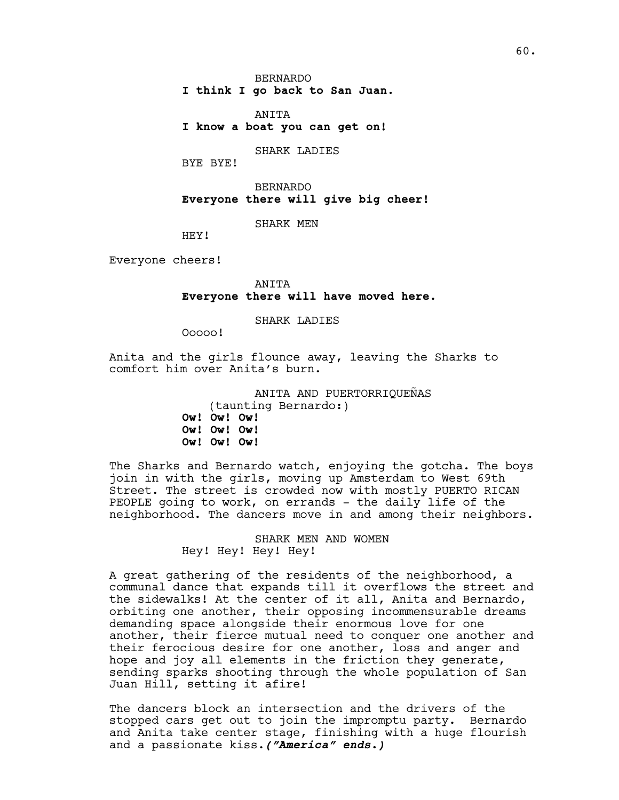BERNARDO

**I think I go back to San Juan.**

ANITA **I know a boat you can get on!** 

SHARK LADIES

BYE BYE!

BERNARDO **Everyone there will give big cheer!**

SHARK MEN

HEY!

Everyone cheers!

ANITA **Everyone there will have moved here.**

SHARK LADIES

Ooooo!

Anita and the girls flounce away, leaving the Sharks to comfort him over Anita's burn.

> ANITA AND PUERTORRIQUEÑAS (taunting Bernardo:) **Ow! Ow! Ow! Ow! Ow! Ow! Ow! Ow! Ow!**

The Sharks and Bernardo watch, enjoying the gotcha. The boys join in with the girls, moving up Amsterdam to West 69th Street. The street is crowded now with mostly PUERTO RICAN PEOPLE going to work, on errands - the daily life of the neighborhood. The dancers move in and among their neighbors.

> SHARK MEN AND WOMEN Hey! Hey! Hey! Hey!

A great gathering of the residents of the neighborhood, a communal dance that expands till it overflows the street and the sidewalks! At the center of it all, Anita and Bernardo, orbiting one another, their opposing incommensurable dreams demanding space alongside their enormous love for one another, their fierce mutual need to conquer one another and their ferocious desire for one another, loss and anger and hope and joy all elements in the friction they generate, sending sparks shooting through the whole population of San Juan Hill, setting it afire!

The dancers block an intersection and the drivers of the stopped cars get out to join the impromptu party. Bernardo and Anita take center stage, finishing with a huge flourish and a passionate kiss.*("America" ends.)*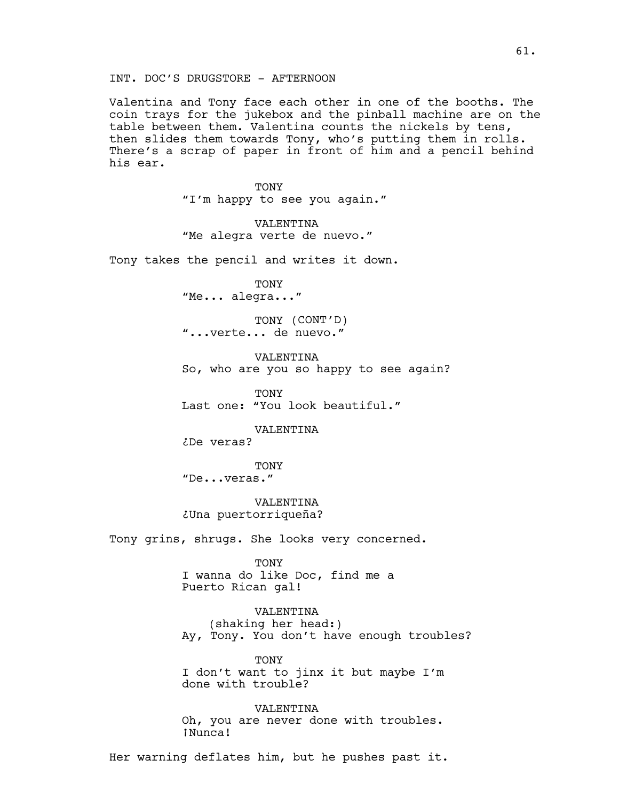INT. DOC'S DRUGSTORE - AFTERNOON

Valentina and Tony face each other in one of the booths. The coin trays for the jukebox and the pinball machine are on the table between them. Valentina counts the nickels by tens, then slides them towards Tony, who's putting them in rolls. There's a scrap of paper in front of him and a pencil behind his ear.

> **TONY** "I'm happy to see you again."

VALENTINA "Me alegra verte de nuevo."

Tony takes the pencil and writes it down.

TONY "Me... alegra..."

TONY (CONT'D) "...verte... de nuevo."

VALENTINA So, who are you so happy to see again?

TONY Last one: "You look beautiful."

VALENTINA

¿De veras?

TONY "De...veras."

VALENTINA ¿Una puertorriqueña?

Tony grins, shrugs. She looks very concerned.

TONY I wanna do like Doc, find me a Puerto Rican gal!

VALENTINA (shaking her head:) Ay, Tony. You don't have enough troubles?

TONY I don't want to jinx it but maybe I'm done with trouble?

VALENTINA Oh, you are never done with troubles. ¡Nunca!

Her warning deflates him, but he pushes past it.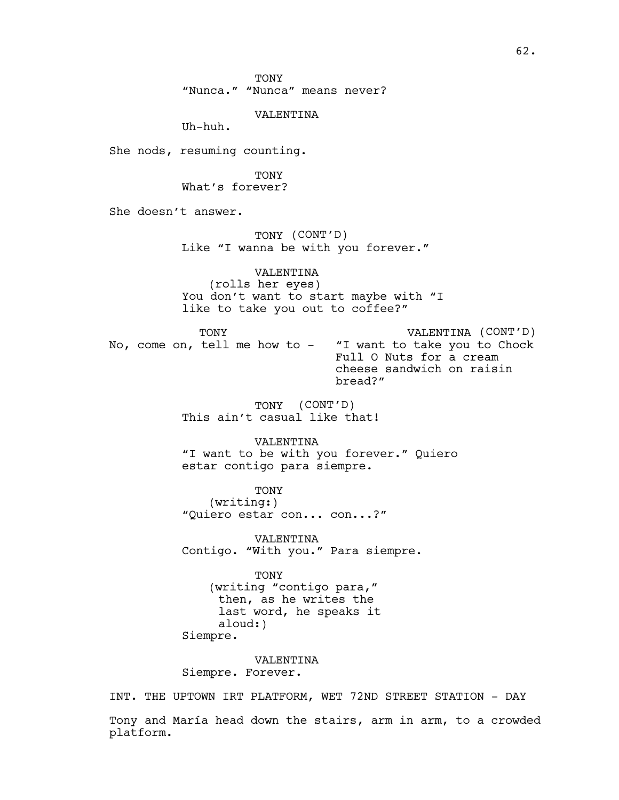TONY

"Nunca." "Nunca" means never?

VALENTINA

Uh-huh.

She nods, resuming counting.

TONY What's forever?

She doesn't answer.

TONY (CONT'D) Like "I wanna be with you forever."

VALENTINA (rolls her eyes) You don't want to start maybe with "I like to take you out to coffee?"

TONY No, come on, tell me how to - "I want to take you to Chock VALENTINA (CONT'D) Full O Nuts for a cream cheese sandwich on raisin bread?"

> TONY (CONT'D) This ain't casual like that!

VALENTINA "I want to be with you forever." Quiero estar contigo para siempre.

TONY (writing:) "Quiero estar con... con...?"

VALENTINA Contigo. "With you." Para siempre.

TONY (writing "contigo para," then, as he writes the last word, he speaks it aloud:) Siempre.

VALENTINA Siempre. Forever.

INT. THE UPTOWN IRT PLATFORM, WET 72ND STREET STATION - DAY

Tony and María head down the stairs, arm in arm, to a crowded platform.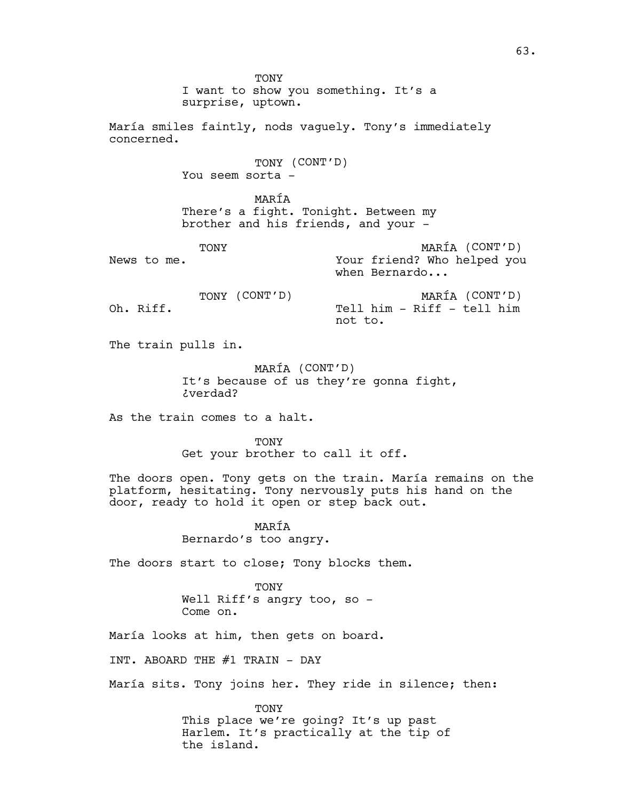**TONY** I want to show you something. It's a surprise, uptown. María smiles faintly, nods vaguely. Tony's immediately concerned. TONY (CONT'D) You seem sorta -MARÍA There's a fight. Tonight. Between my brother and his friends, and your - TONY News to me. MARÍA (CONT'D) Your friend? Who helped you when Bernardo... TONY (CONT'D) Oh. Riff. MARÍA (CONT'D) Tell him - Riff - tell him not to. The train pulls in. MARÍA (CONT'D) It's because of us they're gonna fight, ¿verdad? As the train comes to a halt. **TONY** Get your brother to call it off. The doors open. Tony gets on the train. María remains on the platform, hesitating. Tony nervously puts his hand on the door, ready to hold it open or step back out. MARÍA Bernardo's too angry. The doors start to close; Tony blocks them. TONY Well Riff's angry too, so -Come on. María looks at him, then gets on board. INT. ABOARD THE #1 TRAIN - DAY María sits. Tony joins her. They ride in silence; then: TONY This place we're going? It's up past Harlem. It's practically at the tip of

the island.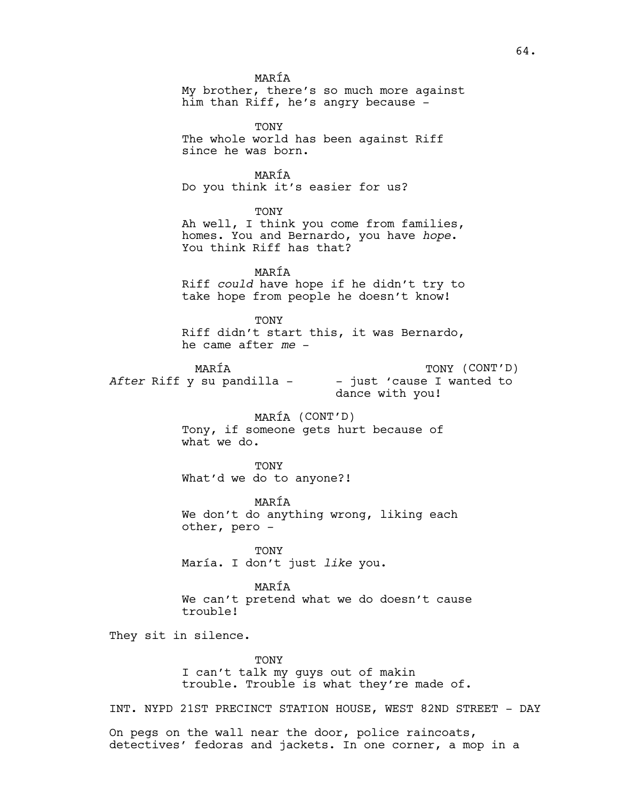MARÍA My brother, there's so much more against him than Riff, he's angry because - TONY The whole world has been against Riff since he was born. MARÍA Do you think it's easier for us? TONY Ah well, I think you come from families, homes. You and Bernardo, you have *hope*. You think Riff has that? MARÍA Riff *could* have hope if he didn't try to take hope from people he doesn't know! TONY Riff didn't start this, it was Bernardo, he came after *me* - MARÍA *After* Riff y su pandilla - TONY (CONT'D) - just 'cause I wanted to dance with you! MARÍA (CONT'D) Tony, if someone gets hurt because of what we do. TONY What'd we do to anyone?! MARÍA We don't do anything wrong, liking each other, pero - TONY María. I don't just *like* you. MARÍA We can't pretend what we do doesn't cause trouble! They sit in silence. **TONY** I can't talk my guys out of makin trouble. Trouble is what they're made of. INT. NYPD 21ST PRECINCT STATION HOUSE, WEST 82ND STREET - DAY On pegs on the wall near the door, police raincoats,

detectives' fedoras and jackets. In one corner, a mop in a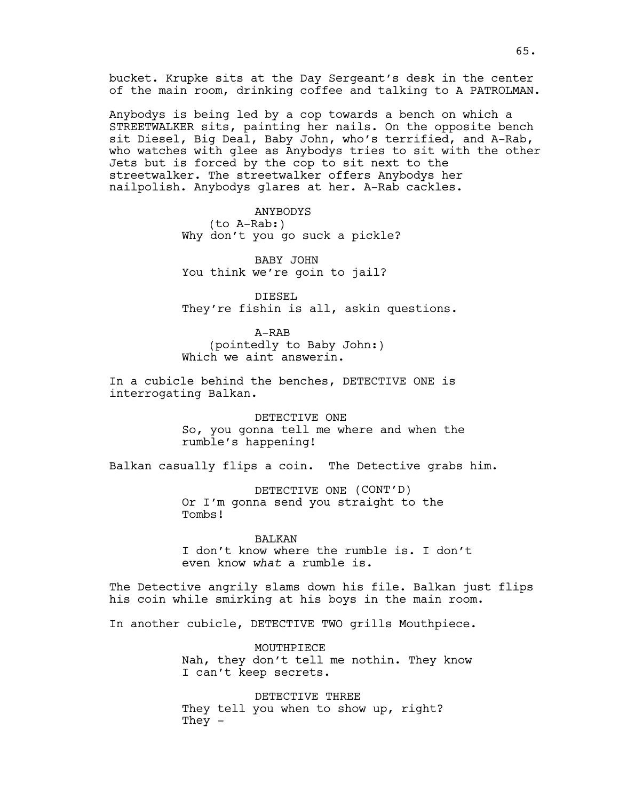bucket. Krupke sits at the Day Sergeant's desk in the center of the main room, drinking coffee and talking to A PATROLMAN.

Anybodys is being led by a cop towards a bench on which a STREETWALKER sits, painting her nails. On the opposite bench sit Diesel, Big Deal, Baby John, who's terrified, and A-Rab, who watches with glee as Anybodys tries to sit with the other Jets but is forced by the cop to sit next to the streetwalker. The streetwalker offers Anybodys her nailpolish. Anybodys glares at her. A-Rab cackles.

> ANYBODYS (to A-Rab:) Why don't you go suck a pickle?

BABY JOHN You think we're goin to jail?

DIESEL They're fishin is all, askin questions.

A-RAB

(pointedly to Baby John:) Which we aint answerin.

In a cubicle behind the benches, DETECTIVE ONE is interrogating Balkan.

> DETECTIVE ONE So, you gonna tell me where and when the rumble's happening!

Balkan casually flips a coin. The Detective grabs him.

DETECTIVE ONE (CONT'D) Or I'm gonna send you straight to the Tombs!

BALKAN I don't know where the rumble is. I don't even know *what* a rumble is.

The Detective angrily slams down his file. Balkan just flips his coin while smirking at his boys in the main room.

In another cubicle, DETECTIVE TWO grills Mouthpiece.

MOUTHPIECE Nah, they don't tell me nothin. They know I can't keep secrets.

DETECTIVE THREE They tell you when to show up, right? They -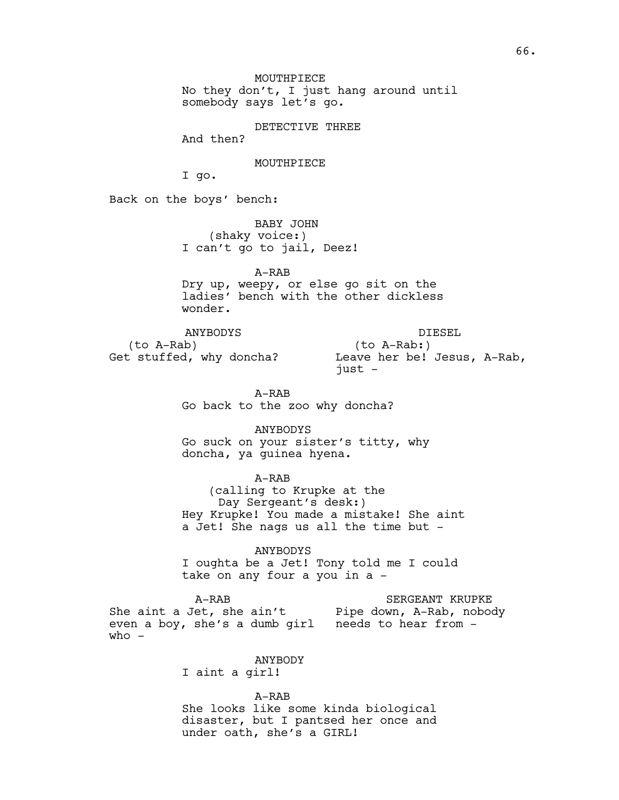MOUTHPIECE

No they don't, I just hang around until somebody says let's go.

DETECTIVE THREE

And then?

MOUTHPIECE

I go.

Back on the boys' bench:

BABY JOHN (shaky voice:) I can't go to jail, Deez!

A-RAB Dry up, weepy, or else go sit on the ladies' bench with the other dickless wonder.

ANYBODYS (to A-Rab) Get stuffed, why doncha?

DIESEL (to A-Rab:) Leave her be! Jesus, A-Rab, just -

A-RAB Go back to the zoo why doncha?

ANYBODYS Go suck on your sister's titty, why doncha, ya guinea hyena.

A-RAB (calling to Krupke at the Day Sergeant's desk:) Hey Krupke! You made a mistake! She aint a Jet! She nags us all the time but -

ANYBODYS I oughta be a Jet! Tony told me I could take on any four a you in a -

A-RAB She aint a Jet, she ain't Pipe down, A-Rab, nobody even a boy, she's a dumb girl needs to hear from who  $-$ SERGEANT KRUPKE

ANYBODY

under oath, she's a GIRL!

I aint a girl!

A-RAB She looks like some kinda biological disaster, but I pantsed her once and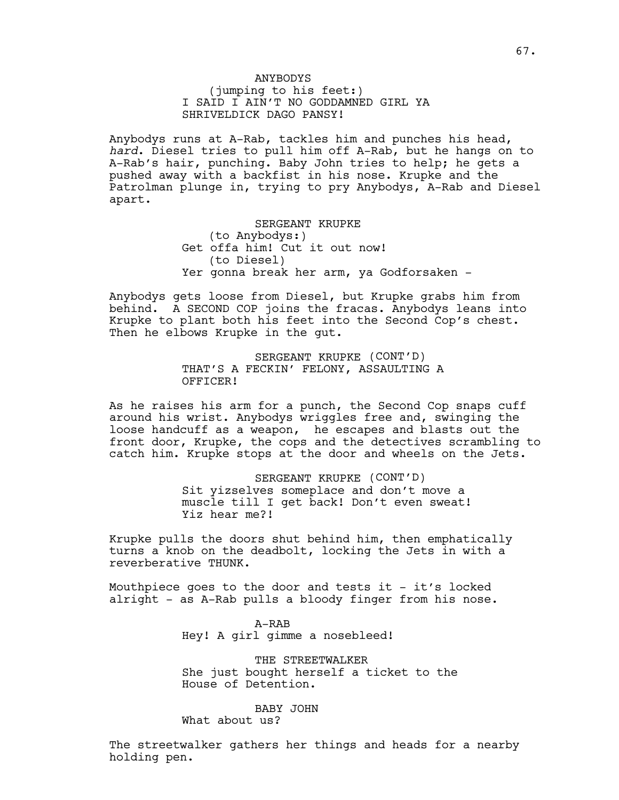# ANYBODYS (jumping to his feet:) I SAID I AIN'T NO GODDAMNED GIRL YA SHRIVELDICK DAGO PANSY!

Anybodys runs at A-Rab, tackles him and punches his head, *hard*. Diesel tries to pull him off A-Rab, but he hangs on to A-Rab's hair, punching. Baby John tries to help; he gets a pushed away with a backfist in his nose. Krupke and the Patrolman plunge in, trying to pry Anybodys, A-Rab and Diesel apart.

> SERGEANT KRUPKE (to Anybodys:) Get offa him! Cut it out now! (to Diesel) Yer gonna break her arm, ya Godforsaken -

Anybodys gets loose from Diesel, but Krupke grabs him from behind. A SECOND COP joins the fracas. Anybodys leans into Krupke to plant both his feet into the Second Cop's chest. Then he elbows Krupke in the gut.

> SERGEANT KRUPKE (CONT'D) THAT'S A FECKIN' FELONY, ASSAULTING A OFFICER!

As he raises his arm for a punch, the Second Cop snaps cuff around his wrist. Anybodys wriggles free and, swinging the loose handcuff as a weapon, he escapes and blasts out the front door, Krupke, the cops and the detectives scrambling to catch him. Krupke stops at the door and wheels on the Jets.

> SERGEANT KRUPKE (CONT'D) Sit yizselves someplace and don't move a muscle till I get back! Don't even sweat! Yiz hear me?!

Krupke pulls the doors shut behind him, then emphatically turns a knob on the deadbolt, locking the Jets in with a reverberative THUNK.

Mouthpiece goes to the door and tests it  $-$  it's locked alright - as A-Rab pulls a bloody finger from his nose.

> A-RAB Hey! A girl gimme a nosebleed!

THE STREETWALKER She just bought herself a ticket to the House of Detention.

BABY JOHN What about us?

The streetwalker gathers her things and heads for a nearby holding pen.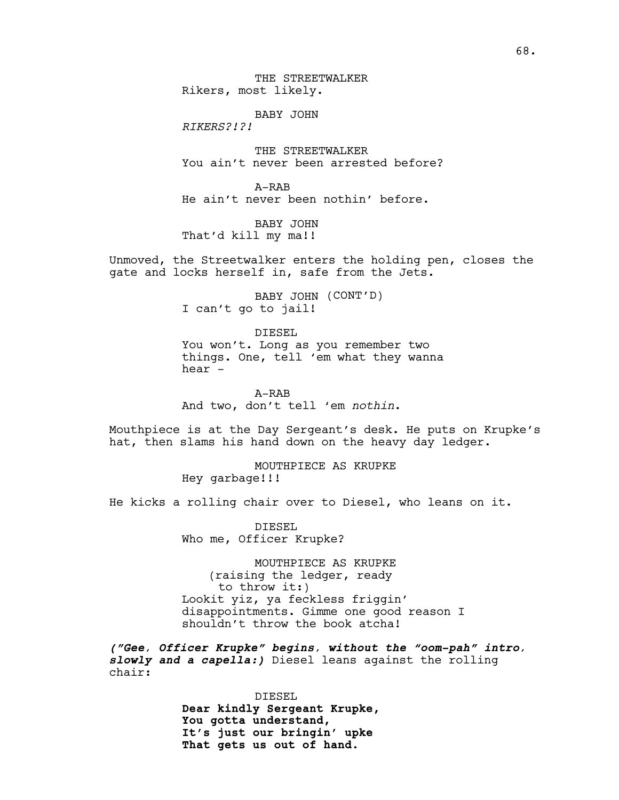BABY JOHN

*RIKERS?!?!*

THE STREETWALKER You ain't never been arrested before?

A-RAB He ain't never been nothin' before.

BABY JOHN That'd kill my ma!!

Unmoved, the Streetwalker enters the holding pen, closes the gate and locks herself in, safe from the Jets.

> BABY JOHN (CONT'D) I can't go to jail!

> > DIESEL

You won't. Long as you remember two things. One, tell 'em what they wanna hear -

A-RAB And two, don't tell 'em *nothin*.

Mouthpiece is at the Day Sergeant's desk. He puts on Krupke's hat, then slams his hand down on the heavy day ledger.

> MOUTHPIECE AS KRUPKE Hey garbage!!!

He kicks a rolling chair over to Diesel, who leans on it.

DIESEL Who me, Officer Krupke?

MOUTHPIECE AS KRUPKE (raising the ledger, ready to throw it:) Lookit yiz, ya feckless friggin' disappointments. Gimme one good reason I shouldn't throw the book atcha!

*("Gee, Officer Krupke" begins, without the "oom-pah" intro, slowly and a capella:)* Diesel leans against the rolling chair:

> DIESEL **Dear kindly Sergeant Krupke, You gotta understand, It's just our bringin' upke That gets us out of hand.**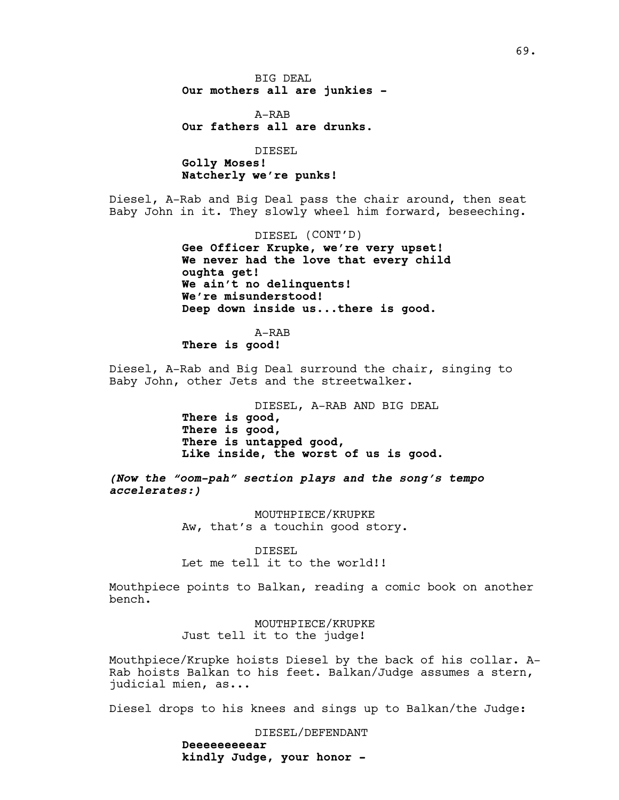BIG DEAL **Our mothers all are junkies -** 

A-RAB **Our fathers all are drunks.**

DIESEL **Golly Moses! Natcherly we're punks!**

Diesel, A-Rab and Big Deal pass the chair around, then seat Baby John in it. They slowly wheel him forward, beseeching.

> DIESEL (CONT'D) **Gee Officer Krupke, we're very upset! We never had the love that every child oughta get! We ain't no delinquents! We're misunderstood! Deep down inside us...there is good.**

A-RAB **There is good!**

Diesel, A-Rab and Big Deal surround the chair, singing to Baby John, other Jets and the streetwalker.

> DIESEL, A-RAB AND BIG DEAL **There is good, There is good, There is untapped good, Like inside, the worst of us is good.**

*(Now the "oom-pah" section plays and the song's tempo accelerates:)* 

> MOUTHPIECE/KRUPKE Aw, that's a touchin good story.

DIESEL Let me tell it to the world!!

Mouthpiece points to Balkan, reading a comic book on another bench.

> MOUTHPIECE/KRUPKE Just tell it to the judge!

Mouthpiece/Krupke hoists Diesel by the back of his collar. A-Rab hoists Balkan to his feet. Balkan/Judge assumes a stern, judicial mien, as...

Diesel drops to his knees and sings up to Balkan/the Judge:

DIESEL/DEFENDANT **Deeeeeeeeear kindly Judge, your honor -**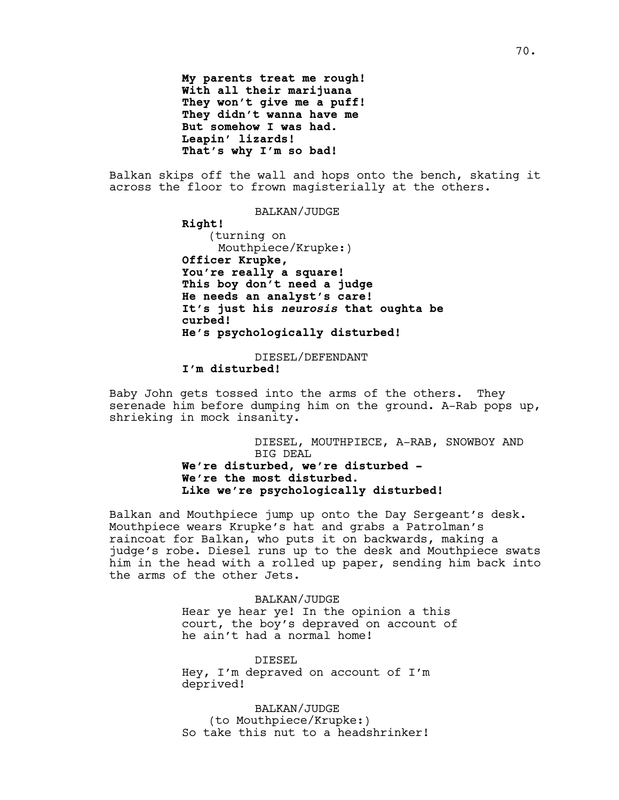**My parents treat me rough! With all their marijuana They won't give me a puff! They didn't wanna have me But somehow I was had. Leapin' lizards! That's why I'm so bad!**

Balkan skips off the wall and hops onto the bench, skating it across the floor to frown magisterially at the others.

BALKAN/JUDGE

**Right!** (turning on Mouthpiece/Krupke:) **Officer Krupke, You're really a square! This boy don't need a judge He needs an analyst's care! It's just his** *neurosis* **that oughta be curbed! He's psychologically disturbed!**

DIESEL/DEFENDANT

# **I'm disturbed!**

Baby John gets tossed into the arms of the others. They serenade him before dumping him on the ground. A-Rab pops up, shrieking in mock insanity.

> DIESEL, MOUTHPIECE, A-RAB, SNOWBOY AND BIG DEAL **We're disturbed, we're disturbed - We're the most disturbed. Like we're psychologically disturbed!**

Balkan and Mouthpiece jump up onto the Day Sergeant's desk. Mouthpiece wears Krupke's hat and grabs a Patrolman's raincoat for Balkan, who puts it on backwards, making a judge's robe. Diesel runs up to the desk and Mouthpiece swats him in the head with a rolled up paper, sending him back into the arms of the other Jets.

#### BALKAN/JUDGE

Hear ye hear ye! In the opinion a this court, the boy's depraved on account of he ain't had a normal home!

DIESEL Hey, I'm depraved on account of I'm deprived!

BALKAN/JUDGE (to Mouthpiece/Krupke:) So take this nut to a headshrinker!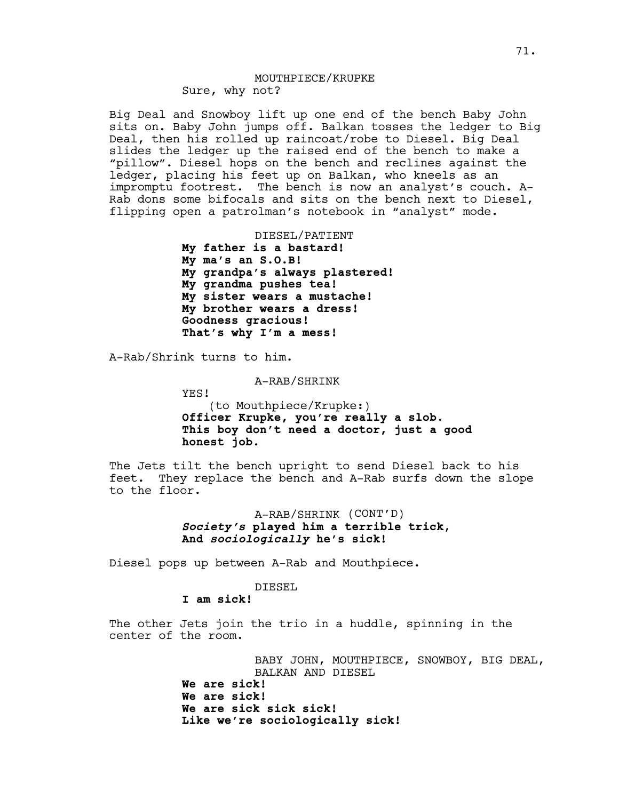#### MOUTHPIECE/KRUPKE Sure, why not?

Big Deal and Snowboy lift up one end of the bench Baby John sits on. Baby John jumps off. Balkan tosses the ledger to Big Deal, then his rolled up raincoat/robe to Diesel. Big Deal slides the ledger up the raised end of the bench to make a "pillow". Diesel hops on the bench and reclines against the ledger, placing his feet up on Balkan, who kneels as an impromptu footrest. The bench is now an analyst's couch. A-Rab dons some bifocals and sits on the bench next to Diesel, flipping open a patrolman's notebook in "analyst" mode.

DIESEL/PATIENT

**My father is a bastard! My ma's an S.O.B! My grandpa's always plastered! My grandma pushes tea! My sister wears a mustache! My brother wears a dress! Goodness gracious! That's why I'm a mess!**

A-Rab/Shrink turns to him.

A-RAB/SHRINK

YES!

(to Mouthpiece/Krupke:) **Officer Krupke, you're really a slob. This boy don't need a doctor, just a good honest job.**

The Jets tilt the bench upright to send Diesel back to his feet. They replace the bench and A-Rab surfs down the slope to the floor.

> A-RAB/SHRINK (CONT'D) *Society's* **played him a terrible trick**, **And** *sociologically* **he's sick!**

Diesel pops up between A-Rab and Mouthpiece.

#### DIESEL

**I am sick!** 

The other Jets join the trio in a huddle, spinning in the center of the room.

> BABY JOHN, MOUTHPIECE, SNOWBOY, BIG DEAL, BALKAN AND DIESEL **We are sick! We are sick! We are sick sick sick! Like we're sociologically sick!**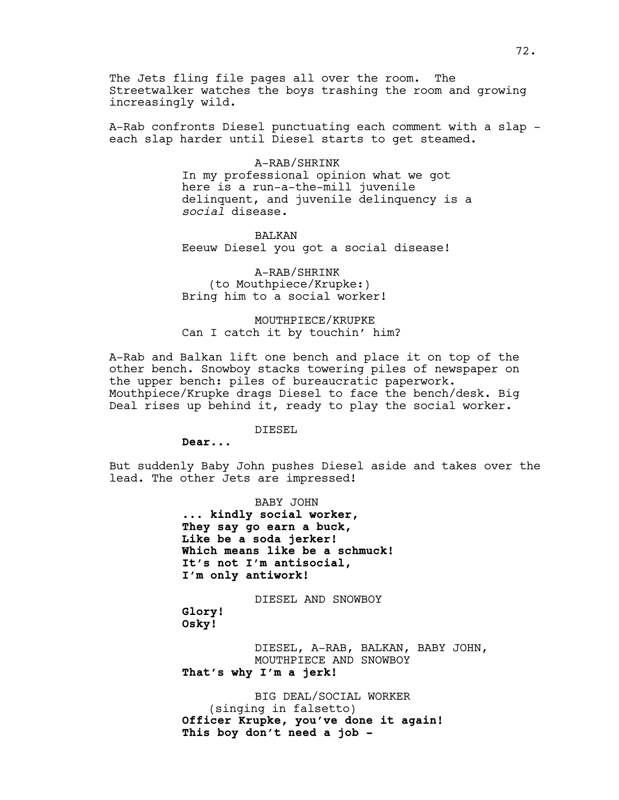The Jets fling file pages all over the room. The Streetwalker watches the boys trashing the room and growing increasingly wild.

A-Rab confronts Diesel punctuating each comment with a slap each slap harder until Diesel starts to get steamed.

> A-RAB/SHRINK In my professional opinion what we got here is a run-a-the-mill juvenile delinquent, and juvenile delinquency is a *social* disease.

BALKAN Eeeuw Diesel you got a social disease!

A-RAB/SHRINK (to Mouthpiece/Krupke:) Bring him to a social worker!

MOUTHPIECE/KRUPKE Can I catch it by touchin' him?

A-Rab and Balkan lift one bench and place it on top of the other bench. Snowboy stacks towering piles of newspaper on the upper bench: piles of bureaucratic paperwork. Mouthpiece/Krupke drags Diesel to face the bench/desk. Big Deal rises up behind it, ready to play the social worker.

DIESEL

**Dear...**

**Glory! Osky!** 

But suddenly Baby John pushes Diesel aside and takes over the lead. The other Jets are impressed!

> BABY JOHN **... kindly social worker, They say go earn a buck, Like be a soda jerker! Which means like be a schmuck! It's not I'm antisocial, I'm only antiwork!**

> > DIESEL AND SNOWBOY

DIESEL, A-RAB, BALKAN, BABY JOHN, MOUTHPIECE AND SNOWBOY **That's why I'm a jerk!** 

BIG DEAL/SOCIAL WORKER (singing in falsetto) **Officer Krupke, you've done it again! This boy don't need a job -**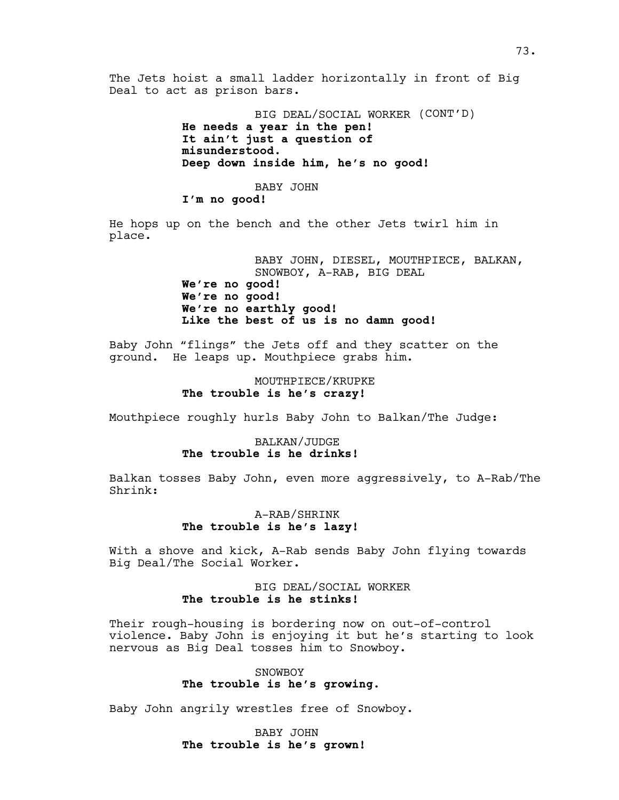The Jets hoist a small ladder horizontally in front of Big Deal to act as prison bars.

> BIG DEAL/SOCIAL WORKER (CONT'D) **He needs a year in the pen! It ain't just a question of misunderstood. Deep down inside him, he's no good!**

#### BABY JOHN

**I'm no good!**

He hops up on the bench and the other Jets twirl him in place.

> BABY JOHN, DIESEL, MOUTHPIECE, BALKAN, SNOWBOY, A-RAB, BIG DEAL **We're no good! We're no good! We're no earthly good! Like the best of us is no damn good!**

Baby John "flings" the Jets off and they scatter on the ground. He leaps up. Mouthpiece grabs him.

#### MOUTHPIECE/KRUPKE **The trouble is he's crazy!**

Mouthpiece roughly hurls Baby John to Balkan/The Judge:

### BALKAN/JUDGE **The trouble is he drinks!**

Balkan tosses Baby John, even more aggressively, to A-Rab/The Shrink:

#### A-RAB/SHRINK **The trouble is he's lazy!**

With a shove and kick, A-Rab sends Baby John flying towards Big Deal/The Social Worker.

### BIG DEAL/SOCIAL WORKER **The trouble is he stinks!**

Their rough-housing is bordering now on out-of-control violence. Baby John is enjoying it but he's starting to look nervous as Big Deal tosses him to Snowboy.

## SNOWBOY **The trouble is he's growing.**

Baby John angrily wrestles free of Snowboy.

BABY JOHN **The trouble is he's grown!**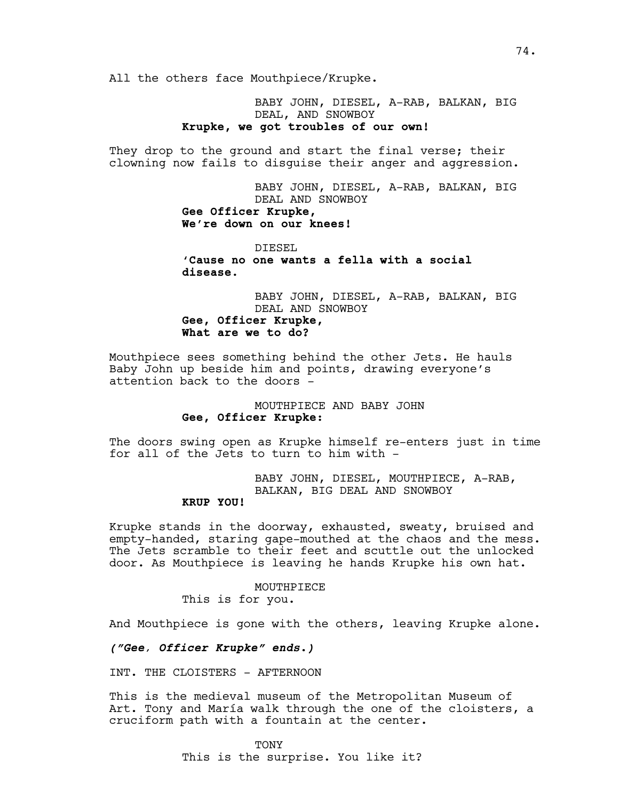All the others face Mouthpiece/Krupke.

BABY JOHN, DIESEL, A-RAB, BALKAN, BIG DEAL, AND SNOWBOY **Krupke, we got troubles of our own!**

They drop to the ground and start the final verse; their clowning now fails to disguise their anger and aggression.

> BABY JOHN, DIESEL, A-RAB, BALKAN, BIG DEAL AND SNOWBOY

**Gee Officer Krupke, We're down on our knees!** 

DIESEL

**'Cause no one wants a fella with a social disease.**

BABY JOHN, DIESEL, A-RAB, BALKAN, BIG DEAL AND SNOWBOY **Gee, Officer Krupke, What are we to do?**

Mouthpiece sees something behind the other Jets. He hauls Baby John up beside him and points, drawing everyone's attention back to the doors -

> MOUTHPIECE AND BABY JOHN **Gee, Officer Krupke:**

The doors swing open as Krupke himself re-enters just in time for all of the Jets to turn to him with -

> BABY JOHN, DIESEL, MOUTHPIECE, A-RAB, BALKAN, BIG DEAL AND SNOWBOY

## **KRUP YOU!**

Krupke stands in the doorway, exhausted, sweaty, bruised and empty-handed, staring gape-mouthed at the chaos and the mess. The Jets scramble to their feet and scuttle out the unlocked door. As Mouthpiece is leaving he hands Krupke his own hat.

MOUTHPIECE

This is for you.

And Mouthpiece is gone with the others, leaving Krupke alone.

*("Gee, Officer Krupke" ends.)*

INT. THE CLOISTERS - AFTERNOON

This is the medieval museum of the Metropolitan Museum of Art. Tony and María walk through the one of the cloisters, a cruciform path with a fountain at the center.

**TONY** 

This is the surprise. You like it?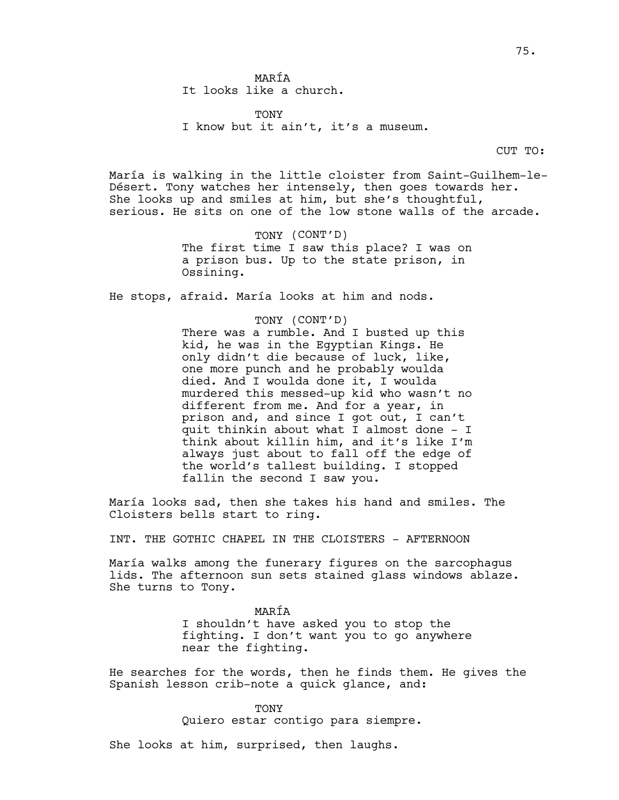It looks like a church.

TONY I know but it ain't, it's a museum.

CUT TO:

María is walking in the little cloister from Saint-Guilhem-le-Désert. Tony watches her intensely, then goes towards her. She looks up and smiles at him, but she's thoughtful, serious. He sits on one of the low stone walls of the arcade.

> TONY (CONT'D) The first time I saw this place? I was on a prison bus. Up to the state prison, in Ossining.

He stops, afraid. María looks at him and nods.

TONY (CONT'D) There was a rumble. And I busted up this kid, he was in the Egyptian Kings. He only didn't die because of luck, like, one more punch and he probably woulda died. And I woulda done it, I woulda murdered this messed-up kid who wasn't no different from me. And for a year, in prison and, and since I got out, I can't quit thinkin about what I almost done - I think about killin him, and it's like I'm always just about to fall off the edge of the world's tallest building. I stopped fallin the second I saw you.

María looks sad, then she takes his hand and smiles. The Cloisters bells start to ring.

INT. THE GOTHIC CHAPEL IN THE CLOISTERS - AFTERNOON

María walks among the funerary figures on the sarcophagus lids. The afternoon sun sets stained glass windows ablaze. She turns to Tony.

> MARÍA I shouldn't have asked you to stop the fighting. I don't want you to go anywhere near the fighting.

He searches for the words, then he finds them. He gives the Spanish lesson crib-note a quick glance, and:

> TONY Quiero estar contigo para siempre.

She looks at him, surprised, then laughs.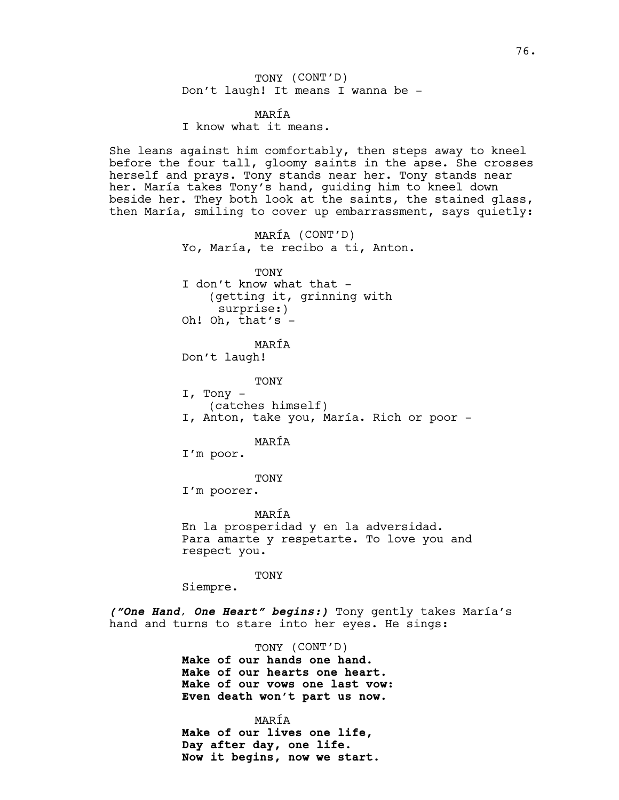TONY (CONT'D) Don't laugh! It means I wanna be -

MARÍA I know what it means.

She leans against him comfortably, then steps away to kneel before the four tall, gloomy saints in the apse. She crosses herself and prays. Tony stands near her. Tony stands near her. María takes Tony's hand, guiding him to kneel down beside her. They both look at the saints, the stained glass, then María, smiling to cover up embarrassment, says quietly:

> MARÍA (CONT'D) Yo, María, te recibo a ti, Anton.

**TONY** I don't know what that -(getting it, grinning with surprise:) Oh! Oh, that's -

MARÍA Don't laugh!

TONY I, Tony - (catches himself) I, Anton, take you, María. Rich or poor -

MARÍA

I'm poor.

TONY

I'm poorer.

MARÍA

En la prosperidad y en la adversidad. Para amarte y respetarte. To love you and respect you.

TONY

Siempre.

*("One Hand, One Heart" begins:)* Tony gently takes María's hand and turns to stare into her eyes. He sings:

TONY (CONT'D)

**Make of our hands one hand. Make of our hearts one heart. Make of our vows one last vow: Even death won't part us now.**

MARÍA **Make of our lives one life, Day after day, one life. Now it begins, now we start.**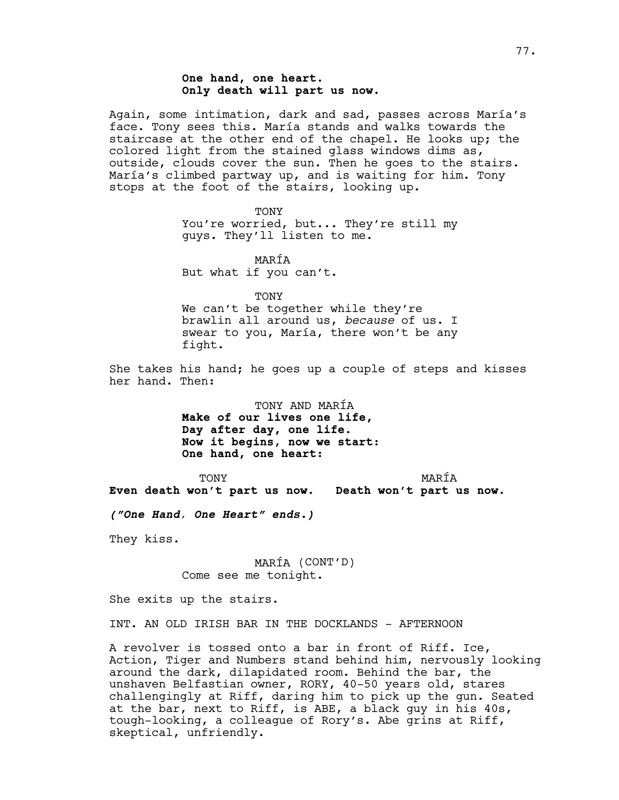## **One hand, one heart. Only death will part us now.**

Again, some intimation, dark and sad, passes across María's face. Tony sees this. María stands and walks towards the staircase at the other end of the chapel. He looks up; the colored light from the stained glass windows dims as, outside, clouds cover the sun. Then he goes to the stairs. María's climbed partway up, and is waiting for him. Tony stops at the foot of the stairs, looking up.

> TONY You're worried, but... They're still my guys. They'll listen to me.

MARÍA But what if you can't.

TONY

We can't be together while they're brawlin all around us, *because* of us. I swear to you, María, there won't be any fight.

She takes his hand; he goes up a couple of steps and kisses her hand. Then:

> TONY AND MARÍA **Make of our lives one life, Day after day, one life. Now it begins**, **now we start: One hand, one heart:**

TONY

MARÍA

**Even death won't part us now. Death won't part us now.**

*("One Hand, One Heart" ends.)*

They kiss.

MARÍA (CONT'D) Come see me tonight.

She exits up the stairs.

INT. AN OLD IRISH BAR IN THE DOCKLANDS - AFTERNOON

A revolver is tossed onto a bar in front of Riff. Ice, Action, Tiger and Numbers stand behind him, nervously looking around the dark, dilapidated room. Behind the bar, the unshaven Belfastian owner, RORY, 40-50 years old, stares challengingly at Riff, daring him to pick up the gun. Seated at the bar, next to Riff, is ABE, a black guy in his 40s, tough-looking, a colleague of Rory's. Abe grins at Riff, skeptical, unfriendly.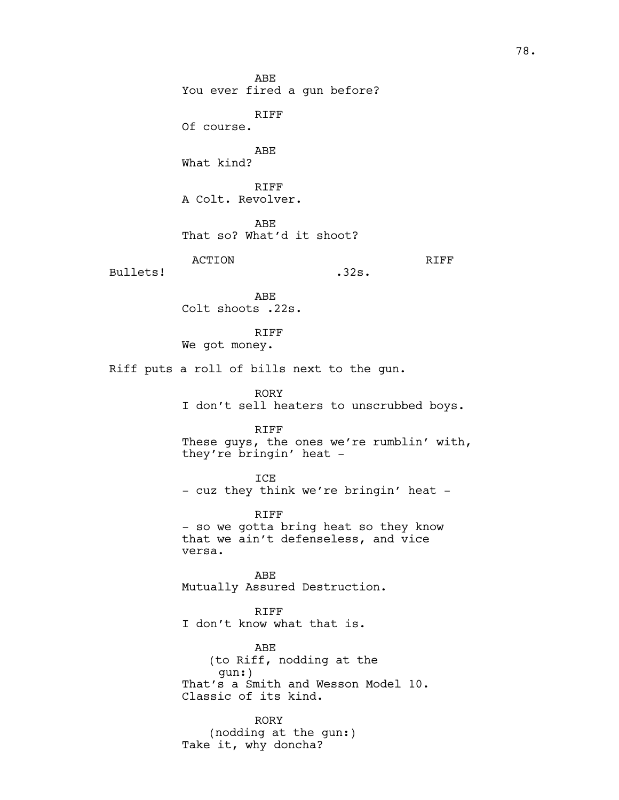ABE You ever fired a gun before? RIFF Of course. ABE What kind? RIFF A Colt. Revolver. ABE That so? What'd it shoot? ACTION Bullets! RIFF .32s. ABE Colt shoots .22s. RIFF We got money. Riff puts a roll of bills next to the gun. RORY I don't sell heaters to unscrubbed boys. RIFF These guys, the ones we're rumblin' with, they're bringin' heat - ICE - cuz they think we're bringin' heat -RIFF - so we gotta bring heat so they know that we ain't defenseless, and vice versa. ABE Mutually Assured Destruction. RIFF I don't know what that is. ABE (to Riff, nodding at the gun:) That's a Smith and Wesson Model 10. Classic of its kind. RORY (nodding at the gun:)

Take it, why doncha?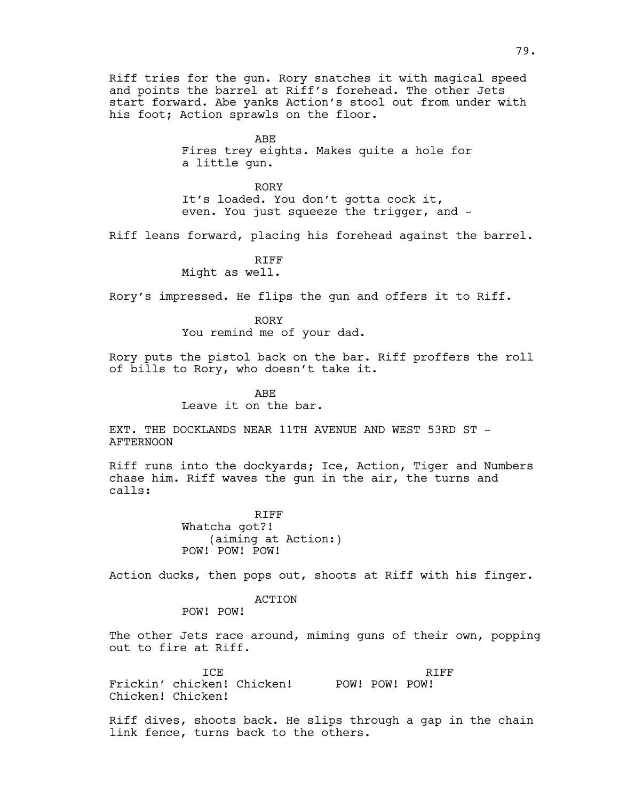Riff tries for the gun. Rory snatches it with magical speed and points the barrel at Riff's forehead. The other Jets start forward. Abe yanks Action's stool out from under with his foot; Action sprawls on the floor.

> ABE Fires trey eights. Makes quite a hole for a little gun.

> RORY It's loaded. You don't gotta cock it, even. You just squeeze the trigger, and -

Riff leans forward, placing his forehead against the barrel.

**RTFF** Might as well.

Rory's impressed. He flips the gun and offers it to Riff.

RORY You remind me of your dad.

Rory puts the pistol back on the bar. Riff proffers the roll of bills to Rory, who doesn't take it.

> ABE Leave it on the bar.

EXT. THE DOCKLANDS NEAR 11TH AVENUE AND WEST 53RD ST - AFTERNOON

Riff runs into the dockyards; Ice, Action, Tiger and Numbers chase him. Riff waves the gun in the air, the turns and calls:

> RIFF Whatcha got?! (aiming at Action:) POW! POW! POW!

Action ducks, then pops out, shoots at Riff with his finger.

ACTION

POW! POW!

The other Jets race around, miming guns of their own, popping out to fire at Riff.

**TCE** Frickin' chicken! Chicken! POW! POW! POW! Chicken! Chicken! RIFF

Riff dives, shoots back. He slips through a gap in the chain link fence, turns back to the others.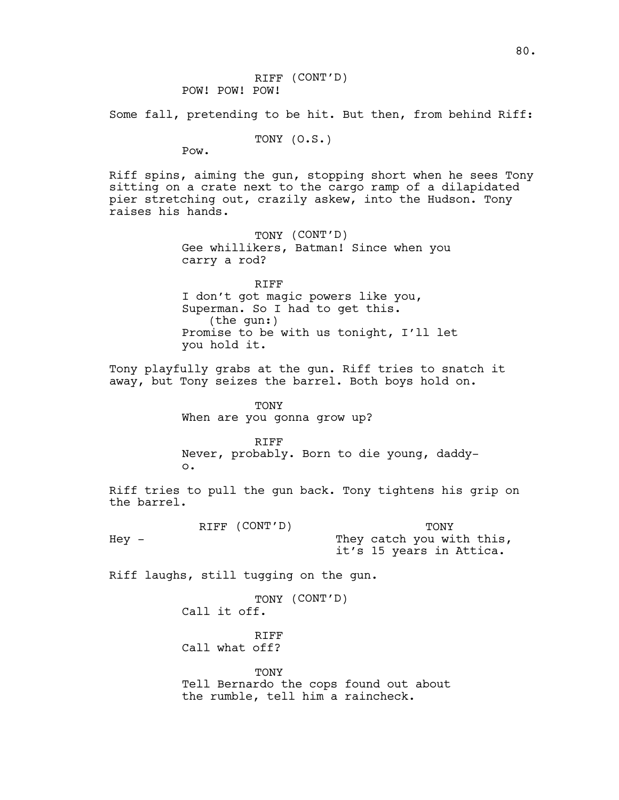Some fall, pretending to be hit. But then, from behind Riff:

TONY (O.S.)

Pow.

Riff spins, aiming the gun, stopping short when he sees Tony sitting on a crate next to the cargo ramp of a dilapidated pier stretching out, crazily askew, into the Hudson. Tony raises his hands.

> TONY (CONT'D) Gee whillikers, Batman! Since when you carry a rod?

RIFF I don't got magic powers like you, Superman. So I had to get this. (the gun:) Promise to be with us tonight, I'll let you hold it.

Tony playfully grabs at the gun. Riff tries to snatch it away, but Tony seizes the barrel. Both boys hold on.

> TONY When are you gonna grow up?

RIFF Never, probably. Born to die young, daddyo.

Riff tries to pull the gun back. Tony tightens his grip on the barrel.

RIFF (CONT'D) Hey - TONY They catch you with this, it's 15 years in Attica.

Riff laughs, still tugging on the gun.

TONY (CONT'D) Call it off.

RIFF Call what off?

TONY Tell Bernardo the cops found out about the rumble, tell him a raincheck.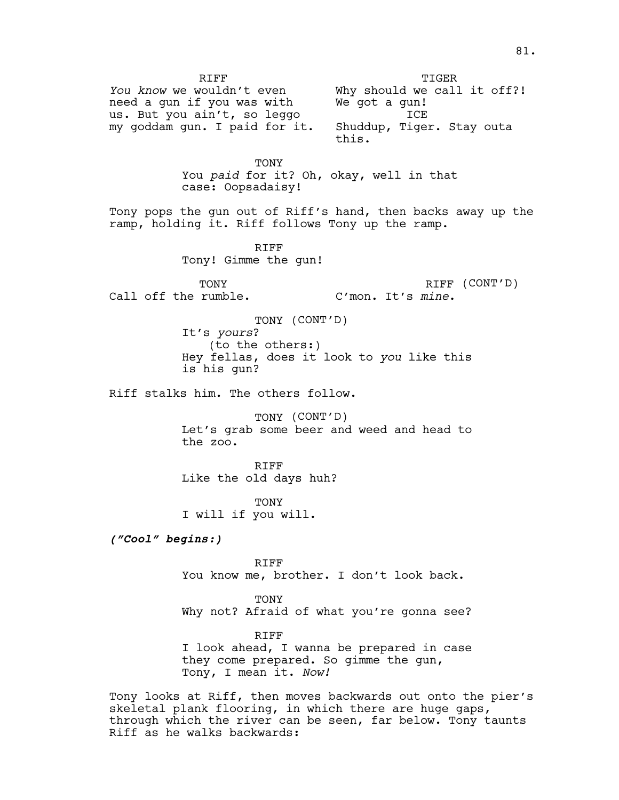RIFF *You know* we wouldn't even need a gun if you was with us. But you ain't, so leggo my goddam gun. I paid for it. TIGER Why should we call it off?! We got a gun! ICE Shuddup, Tiger. Stay outa this. TONY You *paid* for it? Oh, okay, well in that case: Oopsadaisy! Tony pops the gun out of Riff's hand, then backs away up the ramp, holding it. Riff follows Tony up the ramp. RIFF Tony! Gimme the gun! TONY Call off the rumble. RIFF (CONT'D) C'mon. It's *mine*. TONY (CONT'D) It's *yours*? (to the others:) Hey fellas, does it look to *you* like this is his gun? Riff stalks him. The others follow. TONY (CONT'D) Let's grab some beer and weed and head to the zoo. RIFF Like the old days huh? **TONY** I will if you will. *("Cool" begins:)* RIFF You know me, brother. I don't look back. TONY Why not? Afraid of what you're gonna see? RIFF I look ahead, I wanna be prepared in case they come prepared. So gimme the gun, Tony, I mean it. *Now!*  Tony looks at Riff, then moves backwards out onto the pier's skeletal plank flooring, in which there are huge gaps,

through which the river can be seen, far below. Tony taunts

Riff as he walks backwards: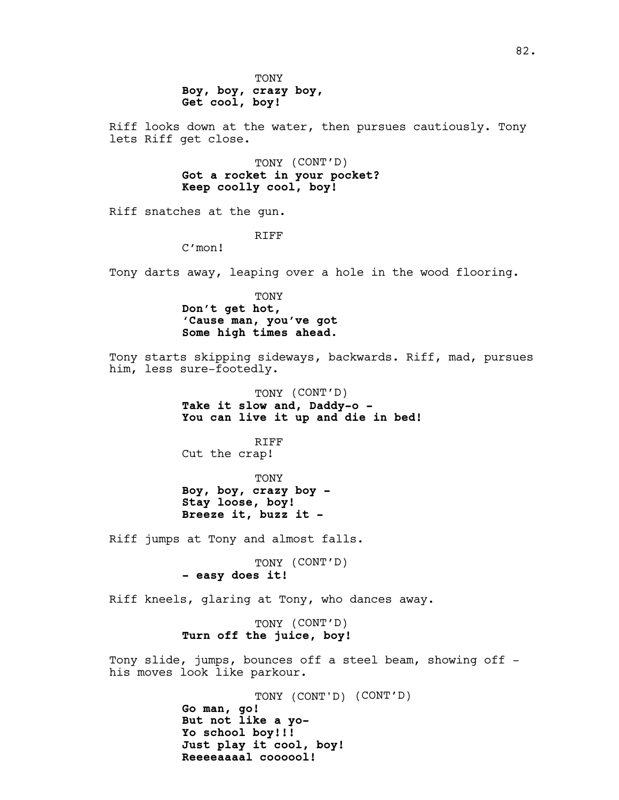**Boy, boy, crazy boy, Get cool, boy!**

Riff looks down at the water, then pursues cautiously. Tony lets Riff get close.

> TONY (CONT'D) **Got a rocket in your pocket? Keep coolly cool, boy!**

Riff snatches at the gun.

RIFF

C'mon!

Tony darts away, leaping over a hole in the wood flooring.

TONY **Don't get hot, 'Cause man, you've got Some high times ahead.**

Tony starts skipping sideways, backwards. Riff, mad, pursues him, less sure-footedly.

> TONY (CONT'D) **Take it slow and, Daddy-o - You can live it up and die in bed!**

RIFF Cut the crap!

TONY **Boy, boy, crazy boy - Stay loose, boy! Breeze it, buzz it -**

Riff jumps at Tony and almost falls.

TONY (CONT'D) **- easy does it!**

Riff kneels, glaring at Tony, who dances away.

TONY (CONT'D) **Turn off the juice, boy!**

Tony slide, jumps, bounces off a steel beam, showing off his moves look like parkour.

> TONY (CONT'D) (CONT'D) **Go man, go! But not like a yo-Yo school boy!!! Just play it cool, boy! Reeeeaaaal coooool!**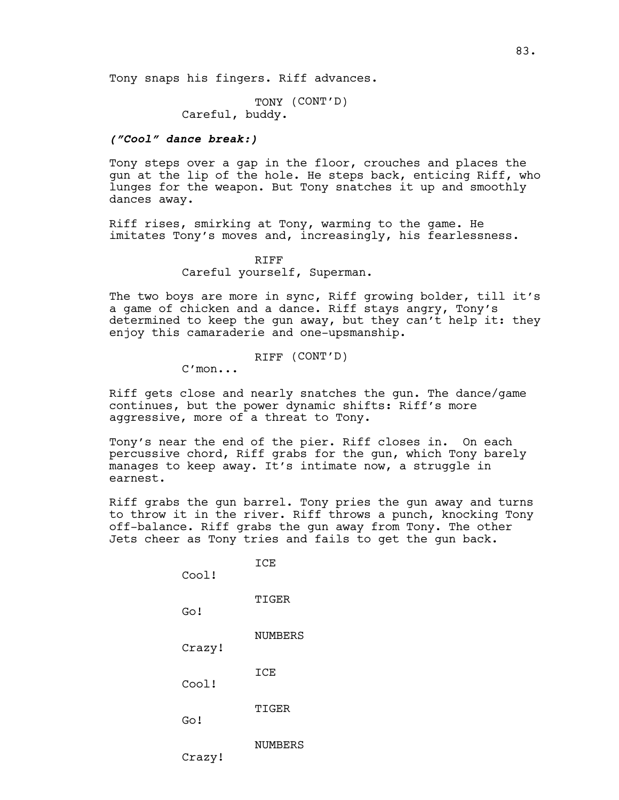Tony snaps his fingers. Riff advances.

TONY (CONT'D) Careful, buddy.

### *("Cool" dance break:)*

Tony steps over a gap in the floor, crouches and places the gun at the lip of the hole. He steps back, enticing Riff, who lunges for the weapon. But Tony snatches it up and smoothly dances away.

Riff rises, smirking at Tony, warming to the game. He imitates Tony's moves and, increasingly, his fearlessness.

## RIFF Careful yourself, Superman.

The two boys are more in sync, Riff growing bolder, till it's a game of chicken and a dance. Riff stays angry, Tony's determined to keep the gun away, but they can't help it: they enjoy this camaraderie and one-upsmanship.

## RIFF (CONT'D)

C'mon...

Riff gets close and nearly snatches the gun. The dance/game continues, but the power dynamic shifts: Riff's more aggressive, more of a threat to Tony.

Tony's near the end of the pier. Riff closes in. On each percussive chord, Riff grabs for the gun, which Tony barely manages to keep away. It's intimate now, a struggle in earnest.

Riff grabs the gun barrel. Tony pries the gun away and turns to throw it in the river. Riff throws a punch, knocking Tony off-balance. Riff grabs the gun away from Tony. The other Jets cheer as Tony tries and fails to get the gun back.

> ICE Cool! TIGER Go! NUMBERS Crazy! ICE Cool! TIGER Go! NUMBERS Crazy!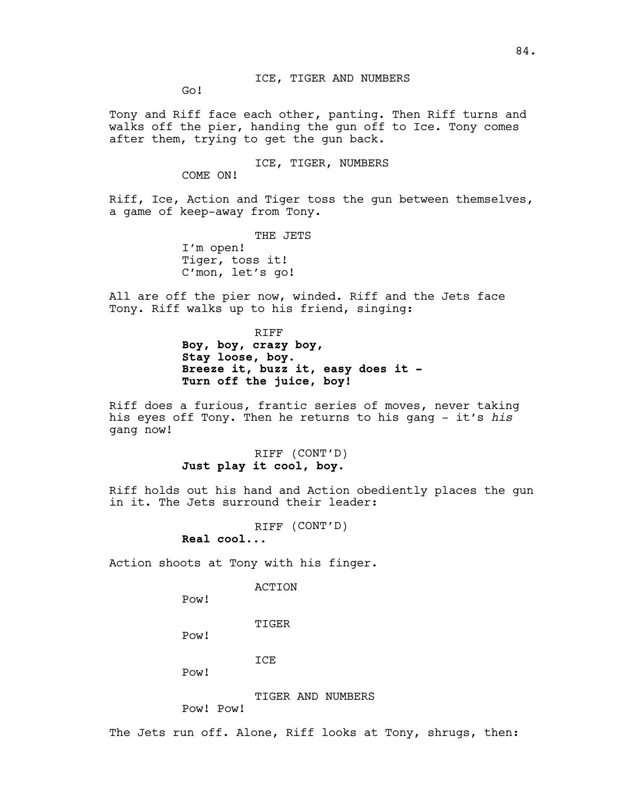Go!

Tony and Riff face each other, panting. Then Riff turns and walks off the pier, handing the gun off to Ice. Tony comes after them, trying to get the gun back.

ICE, TIGER, NUMBERS

COME ON!

Riff, Ice, Action and Tiger toss the gun between themselves, a game of keep-away from Tony.

THE JETS

I'm open! Tiger, toss it! C'mon, let's go!

All are off the pier now, winded. Riff and the Jets face Tony. Riff walks up to his friend, singing:

> RIFF **Boy, boy, crazy boy, Stay loose, boy. Breeze it, buzz it, easy does it - Turn off the juice, boy!**

Riff does a furious, frantic series of moves, never taking his eyes off Tony. Then he returns to his gang - it's *his*  gang now!

## RIFF (CONT'D) **Just play it cool, boy.**

Riff holds out his hand and Action obediently places the gun in it. The Jets surround their leader:

RIFF (CONT'D)

## **Real cool...**

Action shoots at Tony with his finger.

ACTION

Pow!

TIGER

Pow!

ICE

Pow!

TIGER AND NUMBERS

Pow! Pow!

The Jets run off. Alone, Riff looks at Tony, shrugs, then: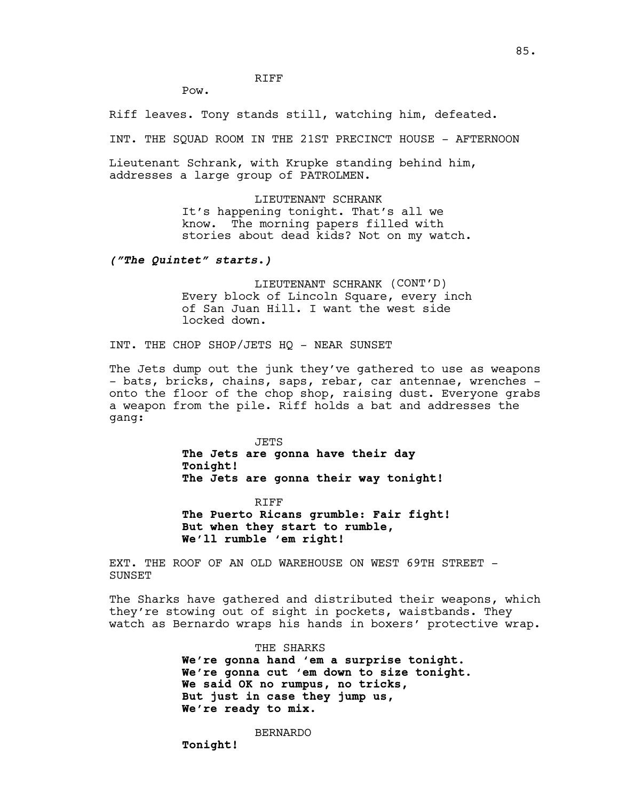RIFF

Pow.

Riff leaves. Tony stands still, watching him, defeated.

INT. THE SQUAD ROOM IN THE 21ST PRECINCT HOUSE - AFTERNOON

Lieutenant Schrank, with Krupke standing behind him, addresses a large group of PATROLMEN.

> LIEUTENANT SCHRANK It's happening tonight. That's all we know. The morning papers filled with stories about dead kids? Not on my watch.

*("The Quintet" starts.)*

LIEUTENANT SCHRANK (CONT'D) Every block of Lincoln Square, every inch of San Juan Hill. I want the west side locked down.

INT. THE CHOP SHOP/JETS HQ - NEAR SUNSET

The Jets dump out the junk they've gathered to use as weapons - bats, bricks, chains, saps, rebar, car antennae, wrenches onto the floor of the chop shop, raising dust. Everyone grabs a weapon from the pile. Riff holds a bat and addresses the gang:

> JETS **The Jets are gonna have their day Tonight! The Jets are gonna their way tonight!**

RIFF **The Puerto Ricans grumble: Fair fight! But when they start to rumble, We'll rumble 'em right!** 

EXT. THE ROOF OF AN OLD WAREHOUSE ON WEST 69TH STREET -SUNSET

The Sharks have gathered and distributed their weapons, which they're stowing out of sight in pockets, waistbands. They watch as Bernardo wraps his hands in boxers' protective wrap.

THE SHARKS

**We're gonna hand 'em a surprise tonight. We're gonna cut 'em down to size tonight. We said OK no rumpus, no tricks, But just in case they jump us, We're ready to mix.** 

BERNARDO

**Tonight!**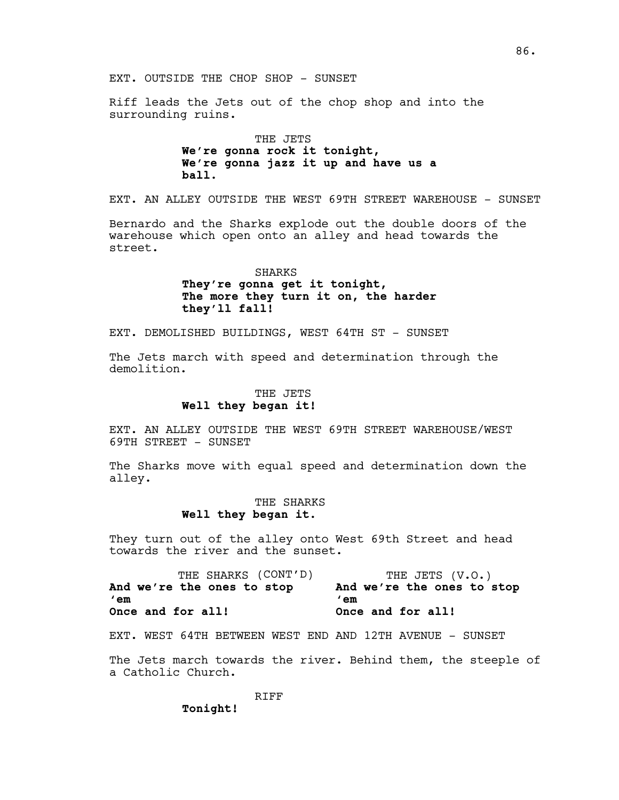Riff leads the Jets out of the chop shop and into the surrounding ruins.

> THE JETS **We're gonna rock it tonight, We're gonna jazz it up and have us a ball.**

EXT. AN ALLEY OUTSIDE THE WEST 69TH STREET WAREHOUSE - SUNSET

Bernardo and the Sharks explode out the double doors of the warehouse which open onto an alley and head towards the street.

## SHARKS **They're gonna get it tonight, The more they turn it on, the harder they'll fall!**

EXT. DEMOLISHED BUILDINGS, WEST 64TH ST - SUNSET

The Jets march with speed and determination through the demolition.

## THE JETS **Well they began it!**

EXT. AN ALLEY OUTSIDE THE WEST 69TH STREET WAREHOUSE/WEST 69TH STREET - SUNSET

The Sharks move with equal speed and determination down the alley.

## THE SHARKS **Well they began it.**

They turn out of the alley onto West 69th Street and head towards the river and the sunset.

| THE SHARKS (CONT'D)        | THE JETS (V.O.)            |
|----------------------------|----------------------------|
| And we're the ones to stop | And we're the ones to stop |
| $^{\prime}$ em             | 'em                        |
| Once and for all!          | Once and for all!          |

EXT. WEST 64TH BETWEEN WEST END AND 12TH AVENUE - SUNSET

The Jets march towards the river. Behind them, the steeple of a Catholic Church.

RIFF

**Tonight!**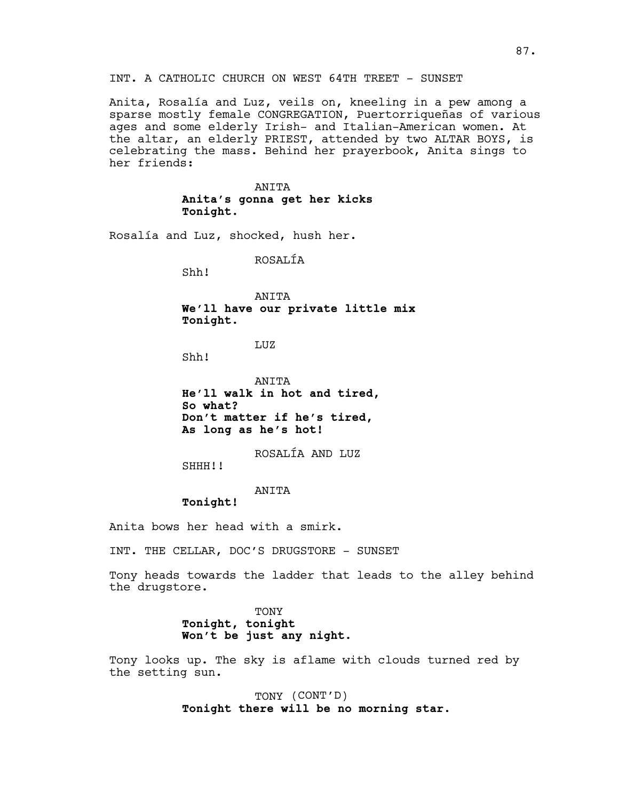INT. A CATHOLIC CHURCH ON WEST 64TH TREET - SUNSET

Anita, Rosalía and Luz, veils on, kneeling in a pew among a sparse mostly female CONGREGATION, Puertorriqueñas of various ages and some elderly Irish- and Italian-American women. At the altar, an elderly PRIEST, attended by two ALTAR BOYS, is celebrating the mass. Behind her prayerbook, Anita sings to her friends:

> ANITA **Anita's gonna get her kicks Tonight.**

Rosalía and Luz, shocked, hush her.

ROSALÍA

Shh!

ANITA **We'll have our private little mix Tonight.**

LUZ

Shh!

ANITA **He'll walk in hot and tired, So what? Don't matter if he's tired, As long as he's hot!** 

ROSALÍA AND LUZ

SHHH!!

#### ANITA

**Tonight!**

Anita bows her head with a smirk.

INT. THE CELLAR, DOC'S DRUGSTORE - SUNSET

Tony heads towards the ladder that leads to the alley behind the drugstore.

> TONY **Tonight, tonight Won't be just any night.**

Tony looks up. The sky is aflame with clouds turned red by the setting sun.

> TONY (CONT'D) **Tonight there will be no morning star.**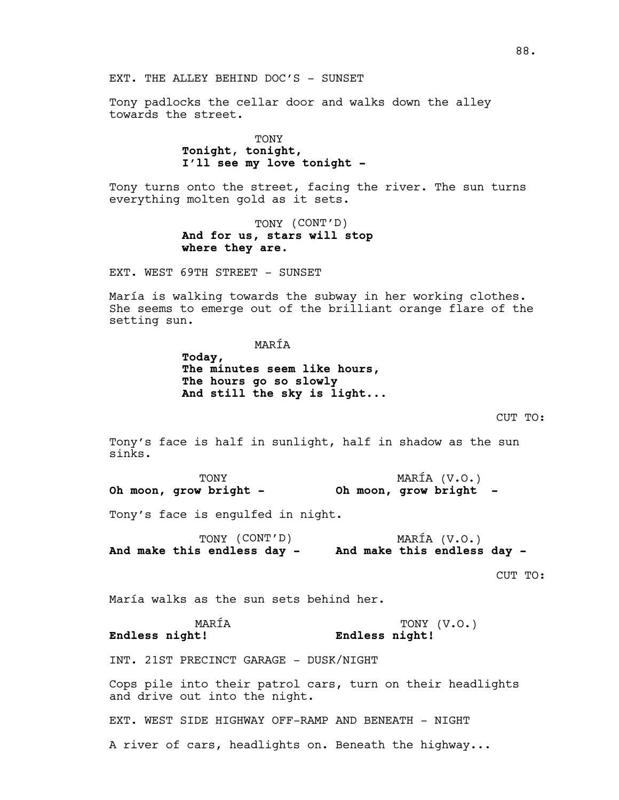Tony padlocks the cellar door and walks down the alley towards the street.

> **TONY Tonight**, **tonight, I'll see my love tonight -**

Tony turns onto the street, facing the river. The sun turns everything molten gold as it sets.

> TONY (CONT'D) **And for us, stars will stop where they are.**

EXT. WEST 69TH STREET - SUNSET

María is walking towards the subway in her working clothes. She seems to emerge out of the brilliant orange flare of the setting sun.

MARÍA

**Today, The minutes seem like hours,** The hours go so slowly **And still the sky is light...**

Tony's face is half in sunlight, half in shadow as the sun sinks.

TONY **Oh moon, grow bright -** MARÍA (V.O.) **Oh moon, grow bright -**

Tony's face is engulfed in night.

TONY (CONT'D) **And make this endless day - And make this endless day -** MARÍA (V.O.)

CUT TO:

María walks as the sun sets behind her.

MARÍA **Endless night!** TONY (V.O.) **Endless night!**

INT. 21ST PRECINCT GARAGE - DUSK/NIGHT

Cops pile into their patrol cars, turn on their headlights and drive out into the night.

EXT. WEST SIDE HIGHWAY OFF-RAMP AND BENEATH - NIGHT

A river of cars, headlights on. Beneath the highway...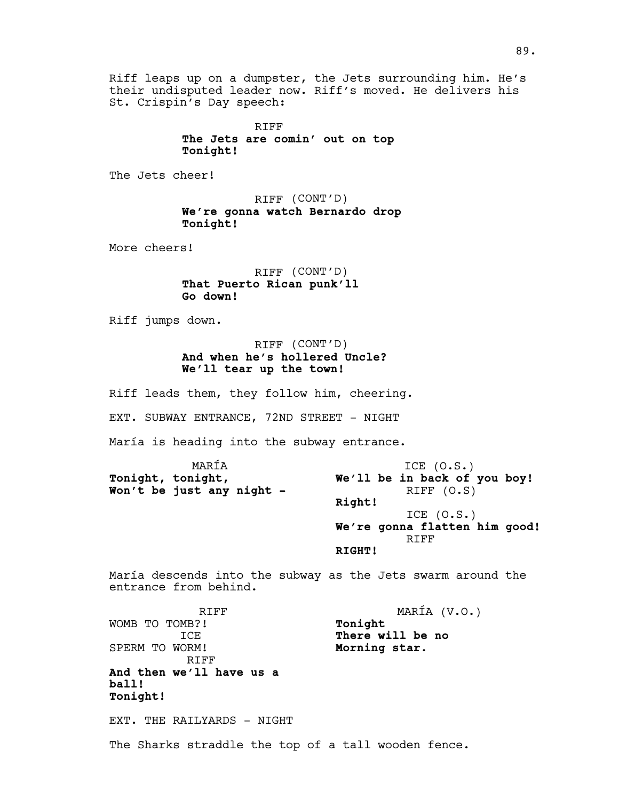Riff leaps up on a dumpster, the Jets surrounding him. He's their undisputed leader now. Riff's moved. He delivers his St. Crispin's Day speech:

> RIFF **The Jets are comin' out on top Tonight!**

The Jets cheer!

RIFF (CONT'D) **We're gonna watch Bernardo drop Tonight!**

More cheers!

RIFF (CONT'D) **That Puerto Rican punk'll Go down!**

Riff jumps down.

RIFF (CONT'D) **And when he's hollered Uncle? We'll tear up the town!**

Riff leads them, they follow him, cheering.

EXT. SUBWAY ENTRANCE, 72ND STREET - NIGHT

María is heading into the subway entrance.

|                   | MARÍA                     | ICE $(0.S.)$                  |
|-------------------|---------------------------|-------------------------------|
| Tonight, tonight, |                           | We'll be in back of you boy!  |
|                   | Won't be just any night - | RIFF (0.S)                    |
|                   |                           | Right!                        |
|                   |                           | ICE $(0.S.)$                  |
|                   |                           | We're gonna flatten him good! |
|                   |                           | RTFF                          |
|                   |                           | RIGHT!                        |

María descends into the subway as the Jets swarm around the entrance from behind.

RIFF WOMB TO TOMB?! TCE. SPERM TO WORM! RIFF **And then we'll have us a ball! Tonight!** MARÍA (V.O.) **Tonight There will be no Morning star.**

EXT. THE RAILYARDS - NIGHT

The Sharks straddle the top of a tall wooden fence.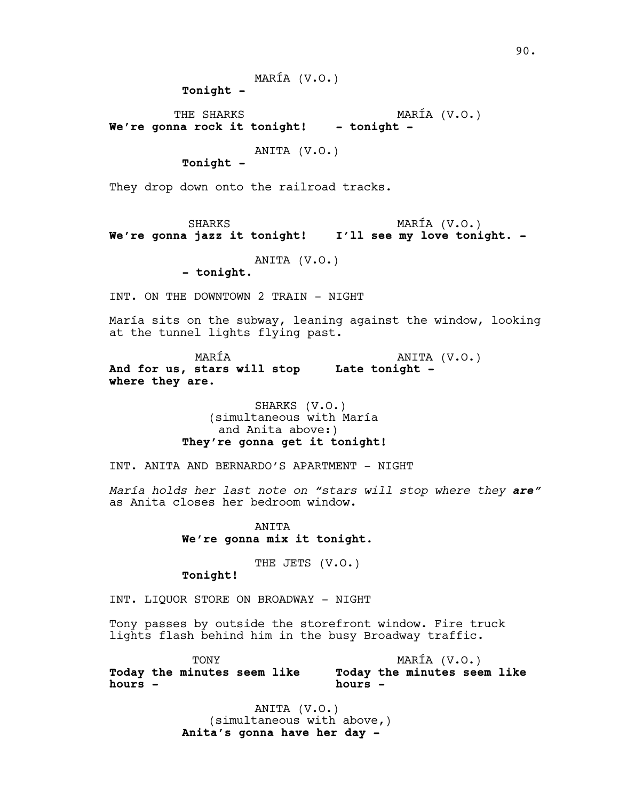MARÍA (V.O.)

**Tonight -** 

THE SHARKS **We're gonna rock it tonight! - tonight -** MARÍA (V.O.)

ANITA (V.O.)

**Tonight -**

They drop down onto the railroad tracks.

SHARKS **We're gonna jazz it tonight! I'll see my love tonight. -** MARÍA (V.O.)

ANITA (V.O.)

**- tonight.** 

INT. ON THE DOWNTOWN 2 TRAIN - NIGHT

María sits on the subway, leaning against the window, looking at the tunnel lights flying past.

MARÍA **And for us, stars will stop Late tonight where they are.** ANITA (V.O.)

> SHARKS (V.O.) (simultaneous with María and Anita above:) **They're gonna get it tonight!**

INT. ANITA AND BERNARDO'S APARTMENT - NIGHT

*María holds her last note on "stars will stop where they are"*  as Anita closes her bedroom window.

> ANITA **We're gonna mix it tonight.**

> > THE JETS (V.O.)

**Tonight!**

INT. LIQUOR STORE ON BROADWAY - NIGHT

Tony passes by outside the storefront window. Fire truck lights flash behind him in the busy Broadway traffic.

TONY **Today the minutes seem like hours -** MARÍA (V.O.) **Today the minutes seem like hours -**

> ANITA (V.O.) (simultaneous with above,) **Anita's gonna have her day -**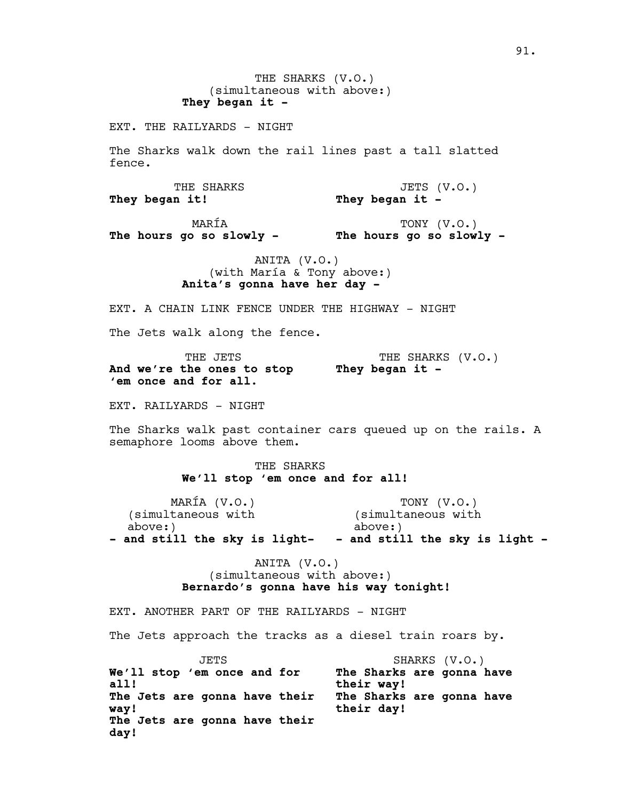THE SHARKS (V.O.) (simultaneous with above:) **They began it -** EXT. THE RAILYARDS - NIGHT The Sharks walk down the rail lines past a tall slatted fence. THE SHARKS **They began it!** JETS (V.O.) **They began it -** MARÍA **The hours go so slowly - The hours go so slowly -** TONY (V.O.) ANITA (V.O.) (with María & Tony above:) **Anita's gonna have her day -**  EXT. A CHAIN LINK FENCE UNDER THE HIGHWAY - NIGHT The Jets walk along the fence. THE JETS **And we're the ones to stop They began it - 'em once and for all.** THE SHARKS (V.O.) EXT. RAILYARDS - NIGHT The Sharks walk past container cars queued up on the rails. A semaphore looms above them. THE SHARKS **We'll stop 'em once and for all!**  MARÍA (V.O.) (simultaneous with above:) **- and still the sky is light-- and still the sky is light -** TONY (V.O.) (simultaneous with above:) ANITA (V.O.) (simultaneous with above:) **Bernardo's gonna have his way tonight!**  EXT. ANOTHER PART OF THE RAILYARDS - NIGHT The Jets approach the tracks as a diesel train roars by. **JETS We'll stop 'em once and for all! The Jets are gonna have their way! The Jets are gonna have their day!** SHARKS (V.O.) **The Sharks are gonna have their way! The Sharks are gonna have their day!**

91.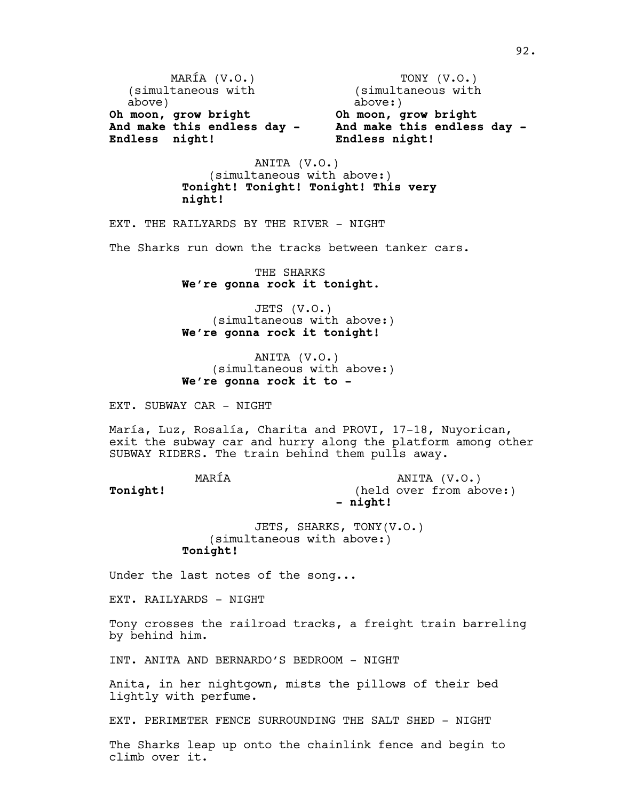MARÍA (V.O.) (simultaneous with above) **Oh moon, grow bright And make this endless day - Endless night!** TONY (V.O.) (simultaneous with above:) **Oh moon, grow bright And make this endless day - Endless night!**

> ANITA (V.O.) (simultaneous with above:) **Tonight! Tonight! Tonight! This very night!**

EXT. THE RAILYARDS BY THE RIVER - NIGHT

The Sharks run down the tracks between tanker cars.

THE SHARKS **We're gonna rock it tonight.**

JETS (V.O.) (simultaneous with above:) **We're gonna rock it tonight!** 

ANITA (V.O.) (simultaneous with above:) **We're gonna rock it to -** 

EXT. SUBWAY CAR - NIGHT

María, Luz, Rosalía, Charita and PROVI, 17-18, Nuyorican, exit the subway car and hurry along the platform among other SUBWAY RIDERS. The train behind them pulls away.

MARÍA

**Tonight!**

ANITA (V.O.) (held over from above:) **- night!**

JETS, SHARKS, TONY(V.O.) (simultaneous with above:) **Tonight!** 

Under the last notes of the song...

EXT. RAILYARDS - NIGHT

Tony crosses the railroad tracks, a freight train barreling by behind him.

INT. ANITA AND BERNARDO'S BEDROOM - NIGHT

Anita, in her nightgown, mists the pillows of their bed lightly with perfume.

EXT. PERIMETER FENCE SURROUNDING THE SALT SHED - NIGHT

The Sharks leap up onto the chainlink fence and begin to climb over it.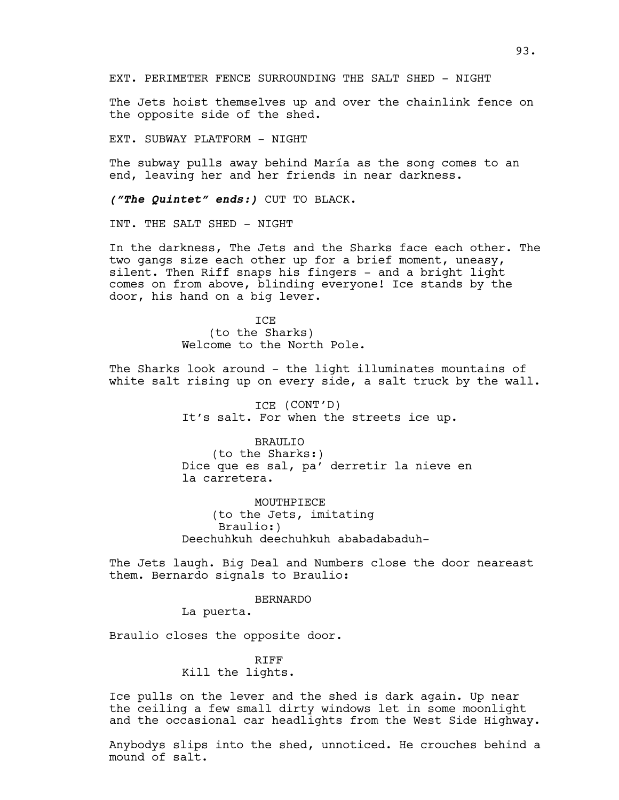EXT. PERIMETER FENCE SURROUNDING THE SALT SHED - NIGHT

The Jets hoist themselves up and over the chainlink fence on the opposite side of the shed.

EXT. SUBWAY PLATFORM - NIGHT

The subway pulls away behind María as the song comes to an end, leaving her and her friends in near darkness.

*("The Quintet" ends:)* CUT TO BLACK.

INT. THE SALT SHED - NIGHT

In the darkness, The Jets and the Sharks face each other. The two gangs size each other up for a brief moment, uneasy, silent. Then Riff snaps his fingers - and a bright light comes on from above, blinding everyone! Ice stands by the door, his hand on a big lever.

> **TCE** (to the Sharks) Welcome to the North Pole.

The Sharks look around - the light illuminates mountains of white salt rising up on every side, a salt truck by the wall.

> ICE (CONT'D) It's salt. For when the streets ice up.

BRAULIO (to the Sharks:) Dice que es sal, pa' derretir la nieve en la carretera.

MOUTHPIECE (to the Jets, imitating Braulio:) Deechuhkuh deechuhkuh ababadabaduh-

The Jets laugh. Big Deal and Numbers close the door neareast them. Bernardo signals to Braulio:

BERNARDO

La puerta.

Braulio closes the opposite door.

## RIFF Kill the lights.

Ice pulls on the lever and the shed is dark again. Up near the ceiling a few small dirty windows let in some moonlight and the occasional car headlights from the West Side Highway.

Anybodys slips into the shed, unnoticed. He crouches behind a mound of salt.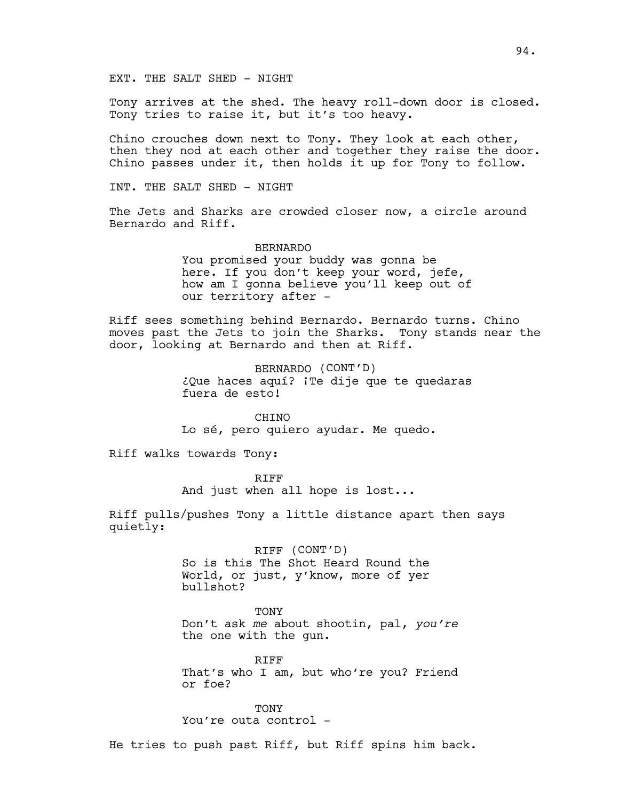EXT. THE SALT SHED - NIGHT

Tony arrives at the shed. The heavy roll-down door is closed. Tony tries to raise it, but it's too heavy.

Chino crouches down next to Tony. They look at each other, then they nod at each other and together they raise the door. Chino passes under it, then holds it up for Tony to follow.

INT. THE SALT SHED - NIGHT

The Jets and Sharks are crowded closer now, a circle around Bernardo and Riff.

> BERNARDO You promised your buddy was gonna be here. If you don't keep your word, jefe, how am I gonna believe you'll keep out of our territory after -

Riff sees something behind Bernardo. Bernardo turns. Chino moves past the Jets to join the Sharks. Tony stands near the door, looking at Bernardo and then at Riff.

> BERNARDO (CONT'D) ¿Que haces aquí? ¡Te dije que te quedaras fuera de esto!

CHINO Lo sé, pero quiero ayudar. Me quedo.

Riff walks towards Tony:

RIFF

And just when all hope is lost...

Riff pulls/pushes Tony a little distance apart then says quietly:

> RIFF (CONT'D) So is this The Shot Heard Round the World, or just, y'know, more of yer bullshot?

**TONY** Don't ask *me* about shootin, pal, *you're*  the one with the gun.

**RTFF** That's who I am, but who're you? Friend or foe?

TONY You're outa control -

He tries to push past Riff, but Riff spins him back.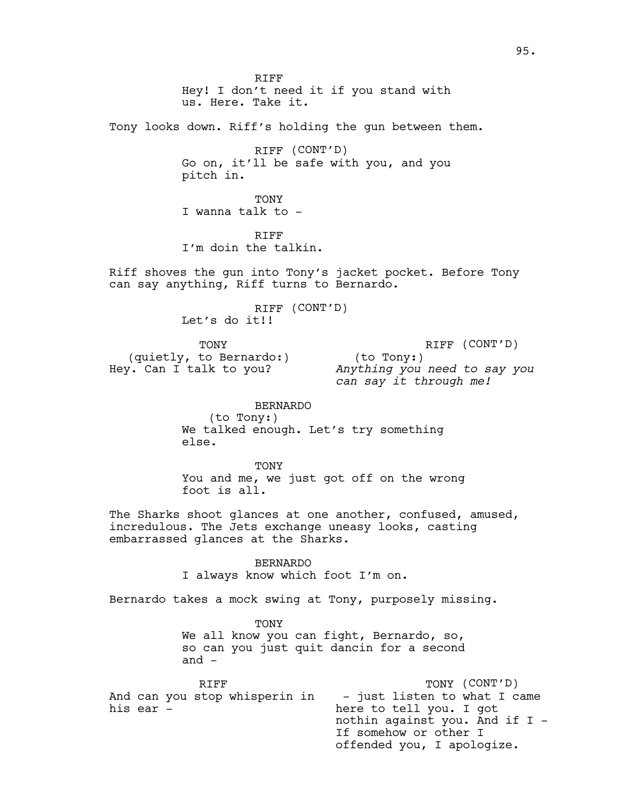**RTFF** Hey! I don't need it if you stand with us. Here. Take it. Tony looks down. Riff's holding the gun between them. RIFF (CONT'D) Go on, it'll be safe with you, and you pitch in. TONY I wanna talk to - RIFF I'm doin the talkin. Riff shoves the gun into Tony's jacket pocket. Before Tony can say anything, Riff turns to Bernardo. RIFF (CONT'D) Let's do it!! TONY (quietly, to Bernardo:) Hey. Can I talk to you? RIFF (CONT'D) (to Tony:) *Anything you need to say you can say it through me!* BERNARDO (to Tony:) We talked enough. Let's try something else. TONY You and me, we just got off on the wrong foot is all. The Sharks shoot glances at one another, confused, amused, incredulous. The Jets exchange uneasy looks, casting embarrassed glances at the Sharks. BERNARDO I always know which foot I'm on. Bernardo takes a mock swing at Tony, purposely missing. TONY We all know you can fight, Bernardo, so, so can you just quit dancin for a second and - RIFF And can you stop whisperin in his ear - TONY (CONT'D) - just listen to what I came here to tell you. I got nothin against you. And if I - If somehow or other I offended you, I apologize.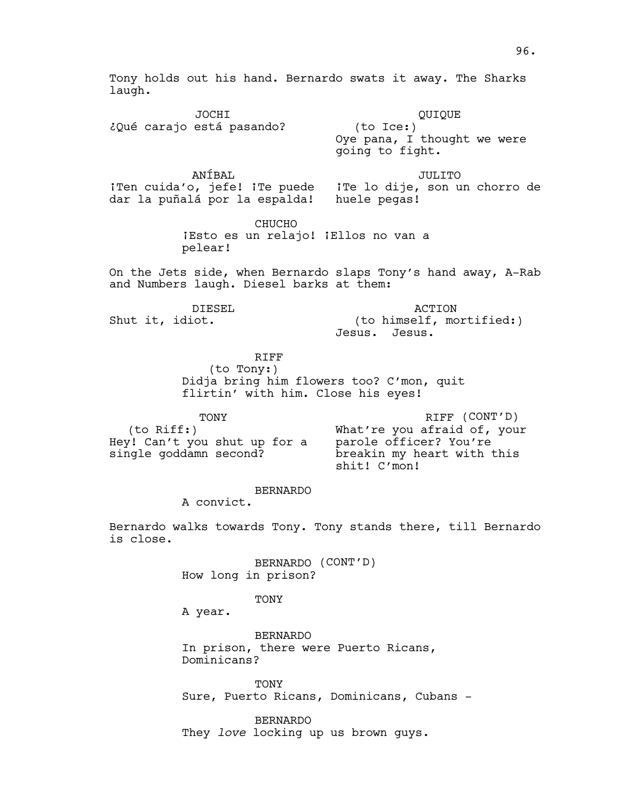JOCHI ¿Qué carajo está pasando? QUIQUE (to Ice:) Oye pana, I thought we were going to fight.

ANÍBAL iTen cuida'o, jefe! iTe puede iTe lo dije, son un chorro de dar la puñalá por la espalda! huele pegas!

laugh.

CHUCHO

¡Esto es un relajo! ¡Ellos no van a pelear!

On the Jets side, when Bernardo slaps Tony's hand away, A-Rab and Numbers laugh. Diesel barks at them:

DIESEL

Shut it, idiot.

ACTION (to himself, mortified:) Jesus. Jesus.

JULITO

RIFF (to Tony:) Didja bring him flowers too? C'mon, quit flirtin' with him. Close his eyes!

TONY (to Riff:) Hey! Can't you shut up for a single goddamn second?

RIFF (CONT'D) What're you afraid of, your parole officer? You're breakin my heart with this shit! C'mon!

BERNARDO

A convict.

Bernardo walks towards Tony. Tony stands there, till Bernardo is close.

> BERNARDO (CONT'D) How long in prison?

> > TONY

A year.

BERNARDO In prison, there were Puerto Ricans, Dominicans?

TONY Sure, Puerto Ricans, Dominicans, Cubans -

BERNARDO They *love* locking up us brown guys.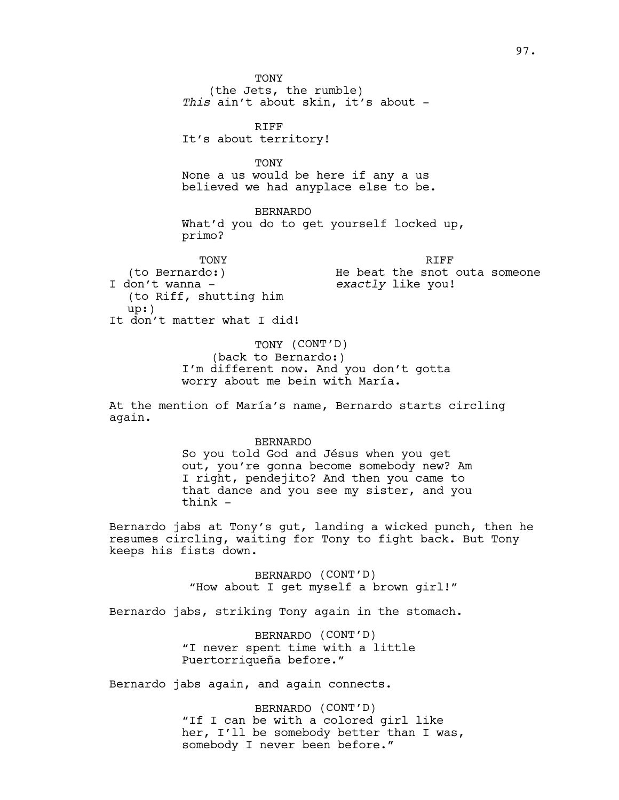**TONY** (the Jets, the rumble) *This* ain't about skin, it's about - RIFF It's about territory! TONY None a us would be here if any a us believed we had anyplace else to be. BERNARDO What'd you do to get yourself locked up, primo? TONY (to Bernardo:) I don't wanna - (to Riff, shutting him up:) It don't matter what I did! RIFF He beat the snot outa someone *exactly* like you! TONY (CONT'D) (back to Bernardo:) I'm different now. And you don't gotta worry about me bein with María. At the mention of María's name, Bernardo starts circling again. BERNARDO So you told God and Jésus when you get out, you're gonna become somebody new? Am I right, pendejito? And then you came to that dance and you see my sister, and you  $think -$ Bernardo jabs at Tony's gut, landing a wicked punch, then he resumes circling, waiting for Tony to fight back. But Tony keeps his fists down. BERNARDO (CONT'D) "How about I get myself a brown girl!" Bernardo jabs, striking Tony again in the stomach. BERNARDO (CONT'D) "I never spent time with a little Puertorriqueña before." Bernardo jabs again, and again connects. BERNARDO (CONT'D) "If I can be with a colored girl like her, I'll be somebody better than I was, somebody I never been before."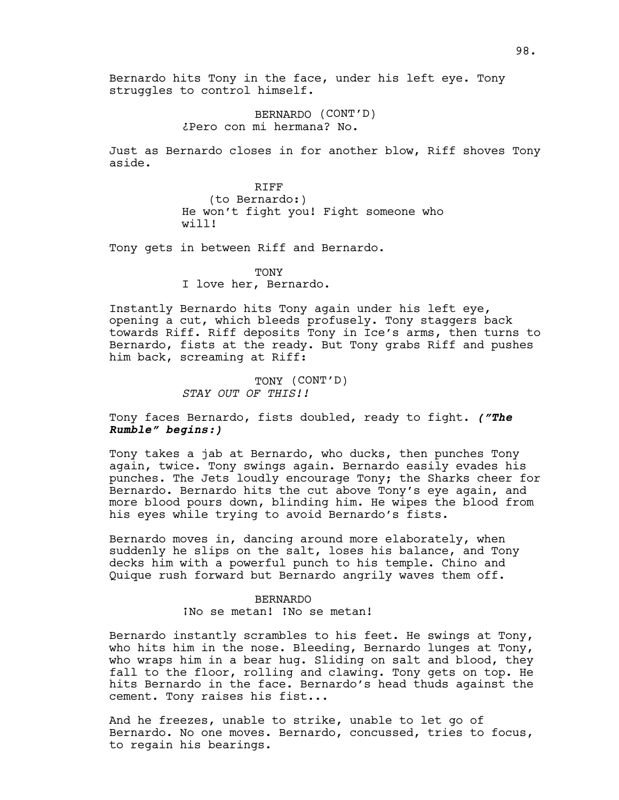Bernardo hits Tony in the face, under his left eye. Tony struggles to control himself.

> BERNARDO (CONT'D) ¿Pero con mi hermana? No.

Just as Bernardo closes in for another blow, Riff shoves Tony aside.

> RIFF (to Bernardo:) He won't fight you! Fight someone who will!

Tony gets in between Riff and Bernardo.

TONY I love her, Bernardo.

Instantly Bernardo hits Tony again under his left eye, opening a cut, which bleeds profusely. Tony staggers back towards Riff. Riff deposits Tony in Ice's arms, then turns to Bernardo, fists at the ready. But Tony grabs Riff and pushes him back, screaming at Riff:

> TONY (CONT'D) *STAY OUT OF THIS!!*

Tony faces Bernardo, fists doubled, ready to fight. *("The Rumble" begins:)* 

Tony takes a jab at Bernardo, who ducks, then punches Tony again, twice. Tony swings again. Bernardo easily evades his punches. The Jets loudly encourage Tony; the Sharks cheer for Bernardo. Bernardo hits the cut above Tony's eye again, and more blood pours down, blinding him. He wipes the blood from his eyes while trying to avoid Bernardo's fists.

Bernardo moves in, dancing around more elaborately, when suddenly he slips on the salt, loses his balance, and Tony decks him with a powerful punch to his temple. Chino and Quique rush forward but Bernardo angrily waves them off.

## BERNARDO ¡No se metan! ¡No se metan!

Bernardo instantly scrambles to his feet. He swings at Tony, who hits him in the nose. Bleeding, Bernardo lunges at Tony, who wraps him in a bear hug. Sliding on salt and blood, they fall to the floor, rolling and clawing. Tony gets on top. He hits Bernardo in the face. Bernardo's head thuds against the cement. Tony raises his fist...

And he freezes, unable to strike, unable to let go of Bernardo. No one moves. Bernardo, concussed, tries to focus, to regain his bearings.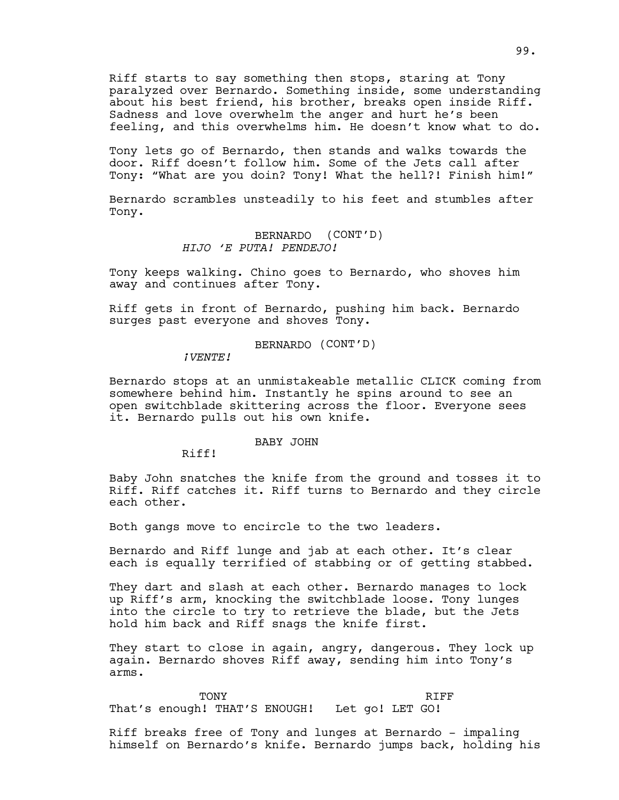Riff starts to say something then stops, staring at Tony paralyzed over Bernardo. Something inside, some understanding about his best friend, his brother, breaks open inside Riff. Sadness and love overwhelm the anger and hurt he's been feeling, and this overwhelms him. He doesn't know what to do.

Tony lets go of Bernardo, then stands and walks towards the door. Riff doesn't follow him. Some of the Jets call after Tony: "What are you doin? Tony! What the hell?! Finish him!"

Bernardo scrambles unsteadily to his feet and stumbles after Tony.

### BERNARDO (CONT'D) *HIJO 'E PUTA! PENDEJO!*

Tony keeps walking. Chino goes to Bernardo, who shoves him away and continues after Tony.

Riff gets in front of Bernardo, pushing him back. Bernardo surges past everyone and shoves Tony.

## BERNARDO (CONT'D)

*¡VENTE!*

Bernardo stops at an unmistakeable metallic CLICK coming from somewhere behind him. Instantly he spins around to see an open switchblade skittering across the floor. Everyone sees it. Bernardo pulls out his own knife.

#### BABY JOHN

Riff!

Baby John snatches the knife from the ground and tosses it to Riff. Riff catches it. Riff turns to Bernardo and they circle each other.

Both gangs move to encircle to the two leaders.

Bernardo and Riff lunge and jab at each other. It's clear each is equally terrified of stabbing or of getting stabbed.

They dart and slash at each other. Bernardo manages to lock up Riff's arm, knocking the switchblade loose. Tony lunges into the circle to try to retrieve the blade, but the Jets hold him back and Riff snags the knife first.

They start to close in again, angry, dangerous. They lock up again. Bernardo shoves Riff away, sending him into Tony's arms.

TONY That's enough! THAT'S ENOUGH! Let go! LET GO! RIFF

Riff breaks free of Tony and lunges at Bernardo - impaling himself on Bernardo's knife. Bernardo jumps back, holding his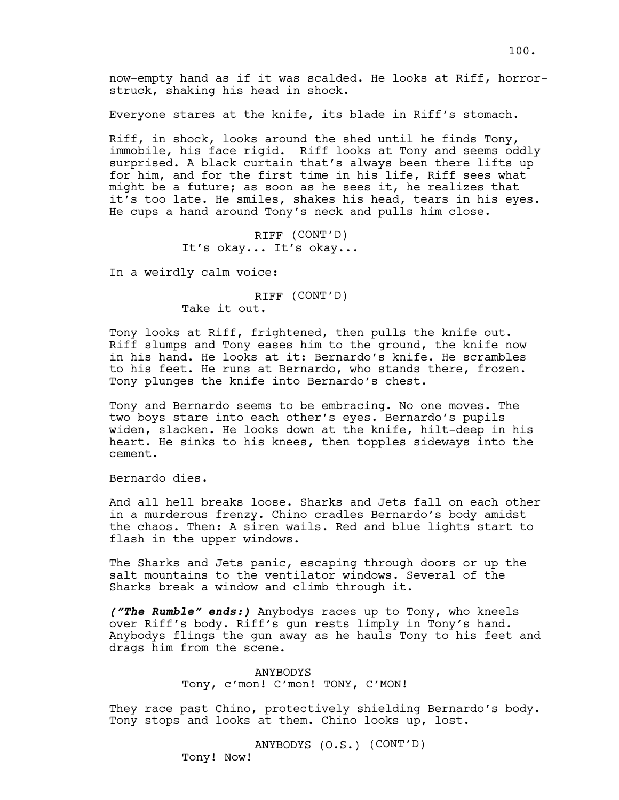now-empty hand as if it was scalded. He looks at Riff, horrorstruck, shaking his head in shock.

Everyone stares at the knife, its blade in Riff's stomach.

Riff, in shock, looks around the shed until he finds Tony, immobile, his face rigid. Riff looks at Tony and seems oddly surprised. A black curtain that's always been there lifts up for him, and for the first time in his life, Riff sees what might be a future; as soon as he sees it, he realizes that it's too late. He smiles, shakes his head, tears in his eyes. He cups a hand around Tony's neck and pulls him close.

> RIFF (CONT'D) It's okay... It's okay...

In a weirdly calm voice:

# RIFF (CONT'D)

Take it out.

Tony looks at Riff, frightened, then pulls the knife out. Riff slumps and Tony eases him to the ground, the knife now in his hand. He looks at it: Bernardo's knife. He scrambles to his feet. He runs at Bernardo, who stands there, frozen. Tony plunges the knife into Bernardo's chest.

Tony and Bernardo seems to be embracing. No one moves. The two boys stare into each other's eyes. Bernardo's pupils widen, slacken. He looks down at the knife, hilt-deep in his heart. He sinks to his knees, then topples sideways into the cement.

Bernardo dies.

And all hell breaks loose. Sharks and Jets fall on each other in a murderous frenzy. Chino cradles Bernardo's body amidst the chaos. Then: A siren wails. Red and blue lights start to flash in the upper windows.

The Sharks and Jets panic, escaping through doors or up the salt mountains to the ventilator windows. Several of the Sharks break a window and climb through it.

*("The Rumble" ends:)* Anybodys races up to Tony, who kneels over Riff's body. Riff's gun rests limply in Tony's hand. Anybodys flings the gun away as he hauls Tony to his feet and drags him from the scene.

> ANYBODYS Tony, c'mon! C'mon! TONY, C'MON!

They race past Chino, protectively shielding Bernardo's body. Tony stops and looks at them. Chino looks up, lost.

Tony! Now!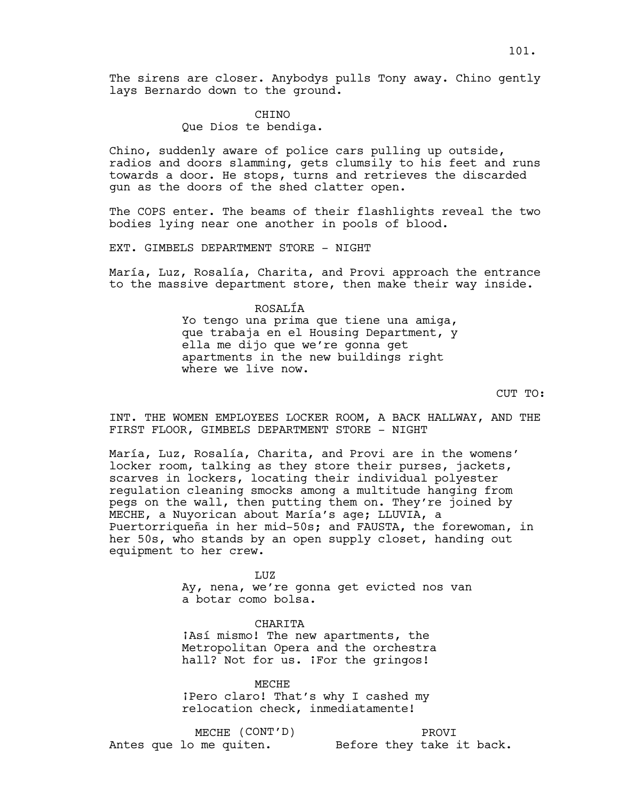### CHINO Que Dios te bendiga.

Chino, suddenly aware of police cars pulling up outside, radios and doors slamming, gets clumsily to his feet and runs towards a door. He stops, turns and retrieves the discarded gun as the doors of the shed clatter open.

The COPS enter. The beams of their flashlights reveal the two bodies lying near one another in pools of blood.

EXT. GIMBELS DEPARTMENT STORE - NIGHT

María, Luz, Rosalía, Charita, and Provi approach the entrance to the massive department store, then make their way inside.

> ROSALÍA Yo tengo una prima que tiene una amiga, que trabaja en el Housing Department, y ella me dijo que we're gonna get apartments in the new buildings right where we live now.

> > CUT TO:

INT. THE WOMEN EMPLOYEES LOCKER ROOM, A BACK HALLWAY, AND THE FIRST FLOOR, GIMBELS DEPARTMENT STORE - NIGHT

María, Luz, Rosalía, Charita, and Provi are in the womens' locker room, talking as they store their purses, jackets, scarves in lockers, locating their individual polyester regulation cleaning smocks among a multitude hanging from pegs on the wall, then putting them on. They're joined by MECHE, a Nuyorican about María's age; LLUVIA, a Puertorriqueña in her mid-50s; and FAUSTA**,** the forewoman, in her 50s, who stands by an open supply closet, handing out equipment to her crew.

> TJJZ. Ay, nena, we're gonna get evicted nos van a botar como bolsa.

CHARITA iAsí mismo! The new apartments, the Metropolitan Opera and the orchestra hall? Not for us. *iFor the gringos!* 

MECHE ¡Pero claro! That's why I cashed my relocation check, inmediatamente!

MECHE (CONT'D) Antes que lo me quiten. Before they take it back. PROVI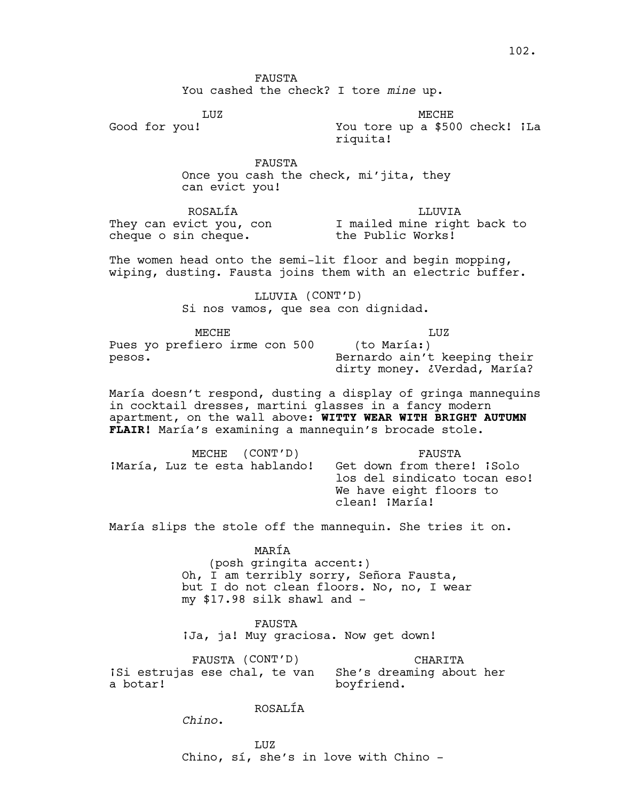FAUSTA You cashed the check? I tore *mine* up.

LUZ Good for you!

MECHE You tore up a \$500 check! *iLa* riquita!

FAUSTA

Once you cash the check, mi'jita, they can evict you!

ROSALÍA They can evict you, con I mailed mine right back to cheque o sin cheque. LLUVIA the Public Works!

The women head onto the semi-lit floor and begin mopping, wiping, dusting. Fausta joins them with an electric buffer.

LLUVIA (CONT'D)

Si nos vamos, que sea con dignidad.

MECHE Pues yo prefiero irme con 500

pesos.

LUZ (to María:) Bernardo ain't keeping their dirty money. ¿Verdad, María?

María doesn't respond, dusting a display of gringa mannequins in cocktail dresses, martini glasses in a fancy modern apartment, on the wall above: **WITTY WEAR WITH BRIGHT AUTUMN FLAIR!** María's examining a mannequin's brocade stole.

MECHE (CONT'D) ¡María, Luz te esta hablando! FAUSTA Get down from there! *iSolo* los del sindicato tocan eso! We have eight floors to clean! ¡María!

María slips the stole off the mannequin. She tries it on.

MARÍA (posh gringita accent:) Oh, I am terribly sorry, Señora Fausta, but I do not clean floors. No, no, I wear my \$17.98 silk shawl and -

FAUSTA iJa, ja! Muy graciosa. Now get down!

FAUSTA (CONT'D) iSi estrujas ese chal, te van a botar! CHARITA She's dreaming about her boyfriend.

ROSALÍA

*Chino*.

LUZ Chino, sí, she's in love with Chino -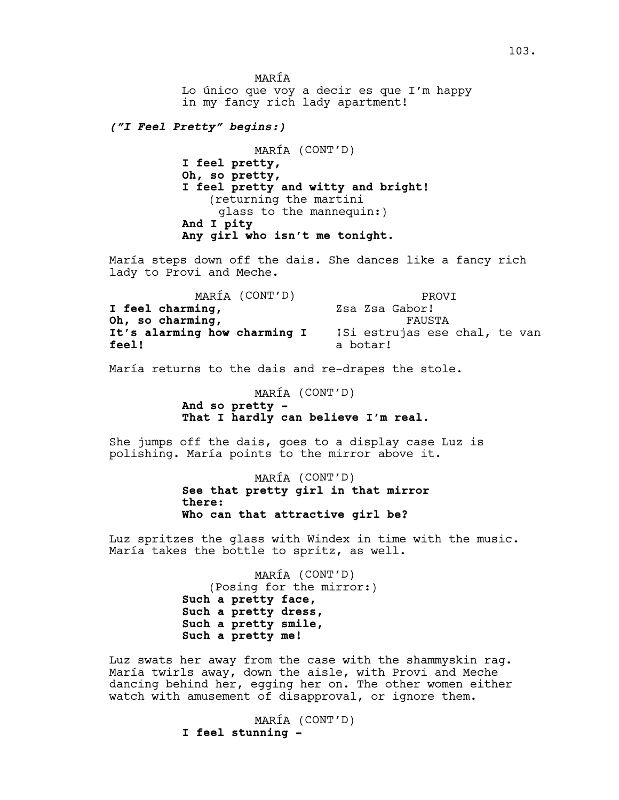MARÍA Lo único que voy a decir es que I'm happy in my fancy rich lady apartment!

*("I Feel Pretty" begins:)* 

MARÍA (CONT'D) **I feel pretty, Oh, so pretty, I feel pretty and witty and bright!**  (returning the martini glass to the mannequin:) **And I pity Any girl who isn't me tonight.**

María steps down off the dais. She dances like a fancy rich lady to Provi and Meche.

MARÍA (CONT'D) **I feel charming, Oh, so charming, It's alarming how charming I feel!** PROVI Zsa Zsa Gabor! FAUSTA iSi estrujas ese chal, te van a botar!

María returns to the dais and re-drapes the stole.

MARÍA (CONT'D) **And so pretty - That I hardly can believe I'm real.**

She jumps off the dais, goes to a display case Luz is polishing. María points to the mirror above it.

> MARÍA (CONT'D) **See that pretty girl in that mirror there: Who can that attractive girl be?**

Luz spritzes the glass with Windex in time with the music. María takes the bottle to spritz, as well.

> MARÍA (CONT'D) (Posing for the mirror:) **Such a pretty face, Such a pretty dress, Such a pretty smile, Such a pretty me!**

Luz swats her away from the case with the shammyskin rag. María twirls away, down the aisle, with Provi and Meche dancing behind her, egging her on. The other women either watch with amusement of disapproval, or ignore them.

> MARÍA (CONT'D) **I feel stunning -**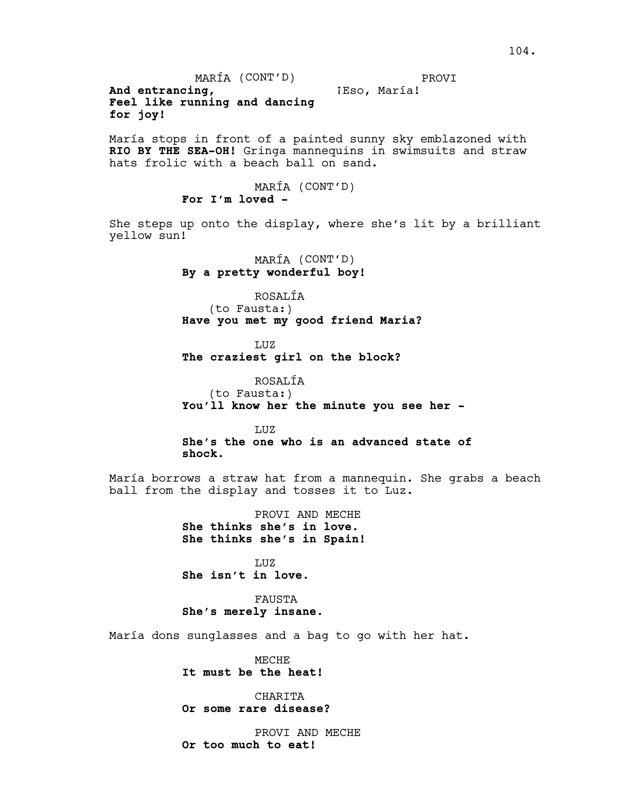MARÍA (CONT'D) **And entrancing, Feel like running and dancing for joy!** PROVI ¡Eso, María!

María stops in front of a painted sunny sky emblazoned with **RIO BY THE SEA-OH!** Gringa mannequins in swimsuits and straw hats frolic with a beach ball on sand.

> MARÍA (CONT'D) **For I'm loved -**

She steps up onto the display, where she's lit by a brilliant yellow sun!

> MARÍA (CONT'D) **By a pretty wonderful boy!**

ROSALÍA (to Fausta:) **Have you met my good friend Maria?** 

LUZ **The craziest girl on the block?**

ROSALÍA (to Fausta:) **You'll know her the minute you see her -** 

LUZ **She's the one who is an advanced state of shock.**

María borrows a straw hat from a mannequin. She grabs a beach ball from the display and tosses it to Luz.

> PROVI AND MECHE **She thinks she's in love. She thinks she's in Spain!**

LUZ **She isn't in love.**

FAUSTA **She's merely insane.**

María dons sunglasses and a bag to go with her hat.

**MECHE It must be the heat!**

CHARITA **Or some rare disease?** 

PROVI AND MECHE **Or too much to eat!**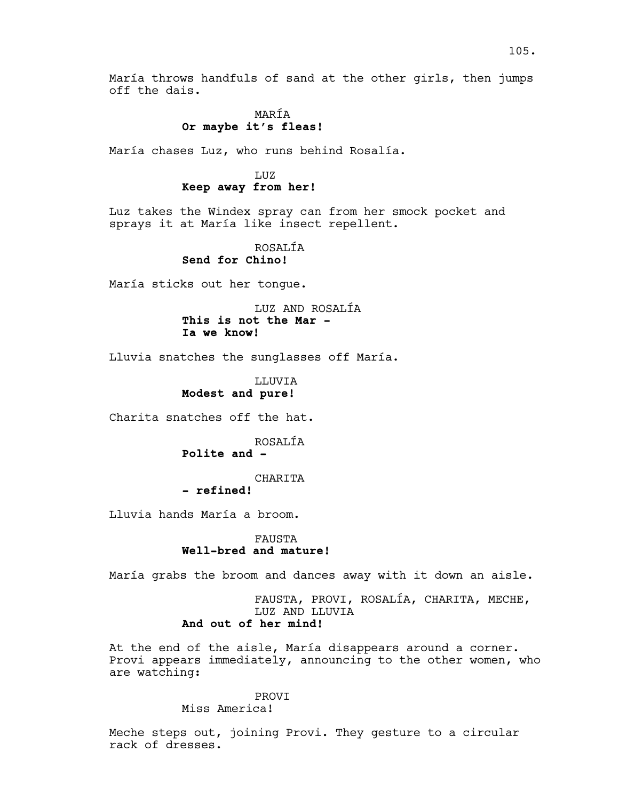## MARÍA **Or maybe it's fleas!**

María chases Luz, who runs behind Rosalía.

## LUZ **Keep away from her!**

Luz takes the Windex spray can from her smock pocket and sprays it at María like insect repellent.

ROSALÍA

## **Send for Chino!**

María sticks out her tongue.

LUZ AND ROSALÍA **This is not the Mar - Ia we know!**

Lluvia snatches the sunglasses off María.

LLUVIA **Modest and pure!** 

Charita snatches off the hat.

ROSALÍA

**Polite and -**

CHARITA

## **- refined!**

Lluvia hands María a broom.

FAUSTA **Well-bred and mature!** 

María grabs the broom and dances away with it down an aisle.

FAUSTA, PROVI, ROSALÍA, CHARITA, MECHE, LUZ AND LLUVIA **And out of her mind!**

At the end of the aisle, María disappears around a corner. Provi appears immediately, announcing to the other women, who are watching:

#### PROVI

Miss America!

Meche steps out, joining Provi. They gesture to a circular rack of dresses.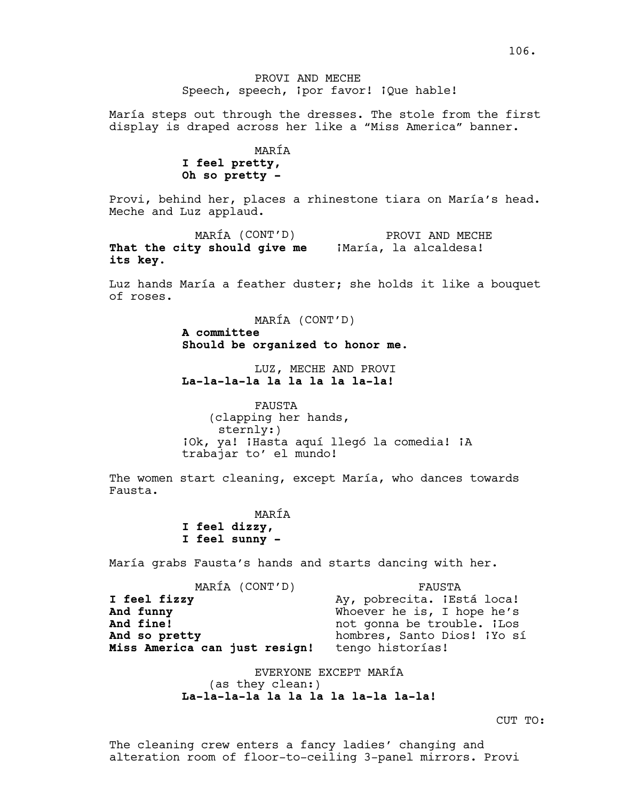María steps out through the dresses. The stole from the first display is draped across her like a "Miss America" banner.

> MARÍA **I feel pretty, Oh so pretty -**

Provi, behind her, places a rhinestone tiara on María's head. Meche and Luz applaud.

MARÍA (CONT'D) That the city should give me iMaría, la alcaldesa! **its key.** PROVI AND MECHE

Luz hands María a feather duster; she holds it like a bouquet of roses.

> MARÍA (CONT'D) **A committee Should be organized to honor me.**

LUZ, MECHE AND PROVI **La-la-la-la la la la la la-la!**

FAUSTA (clapping her hands, sternly:) ¡Ok, ya! ¡Hasta aquí llegó la comedia! ¡A trabajar to' el mundo!

The women start cleaning, except María, who dances towards Fausta.

MARÍA

**I feel dizzy, I feel sunny -**

María grabs Fausta's hands and starts dancing with her.

| MARÍA (CONT'D)                | FAUSTA                            |
|-------------------------------|-----------------------------------|
| I feel fizzy                  | Ay, pobrecita. ¡Está loca!        |
| And funny                     | Whoever he is, I hope he's        |
| And fine!                     | not gonna be trouble. <i>iLos</i> |
| And so pretty                 | hombres, Santo Dios! ¡Yo sí       |
| Miss America can just resign! | tengo historías!                  |

EVERYONE EXCEPT MARÍA (as they clean:) **La-la-la-la la la la la la-la la-la!**

CUT TO:

The cleaning crew enters a fancy ladies' changing and alteration room of floor-to-ceiling 3-panel mirrors. Provi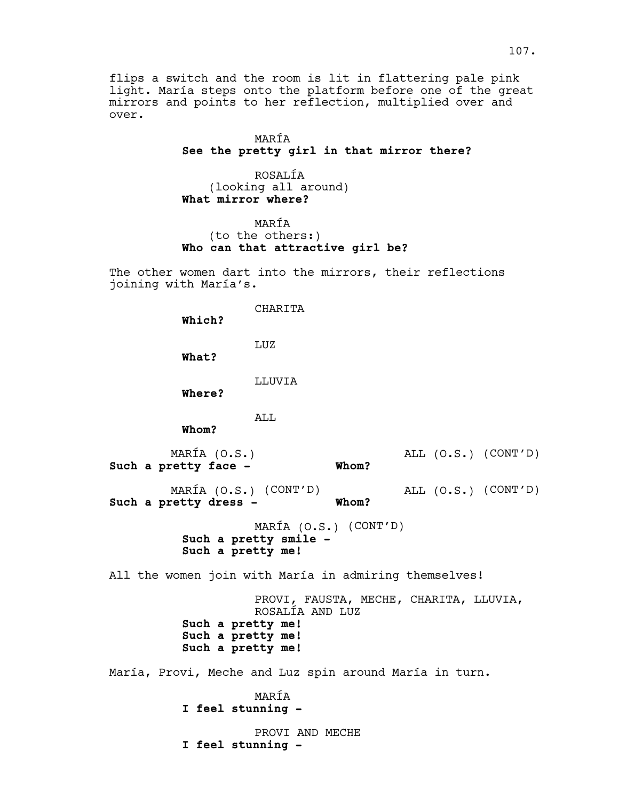flips a switch and the room is lit in flattering pale pink light. María steps onto the platform before one of the great mirrors and points to her reflection, multiplied over and over.

## MARÍA **See the pretty girl in that mirror there?**

ROSALÍA (looking all around) **What mirror where?**

MARÍA (to the others:) **Who can that attractive girl be?**

The other women dart into the mirrors, their reflections joining with María's.

#### CHARITA

**Which?** 

LUZ

**What?** 

LLUVIA

**Where?** 

ALL

**Whom?**

MARÍA (O.S.) **Such a pretty face -** ALL (O.S.) (CONT'D) **Whom?**

MARÍA (O.S.) (CONT'D) **Such a pretty dress -** ALL (O.S.) (CONT'D) **Whom?**

> MARÍA (O.S.) (CONT'D) **Such a pretty smile - Such a pretty me!**

All the women join with María in admiring themselves!

PROVI, FAUSTA, MECHE, CHARITA, LLUVIA, ROSALÍA AND LUZ **Such a pretty me! Such a pretty me! Such a pretty me!**

María, Provi, Meche and Luz spin around María in turn.

MARÍA **I feel stunning -** 

PROVI AND MECHE **I feel stunning -**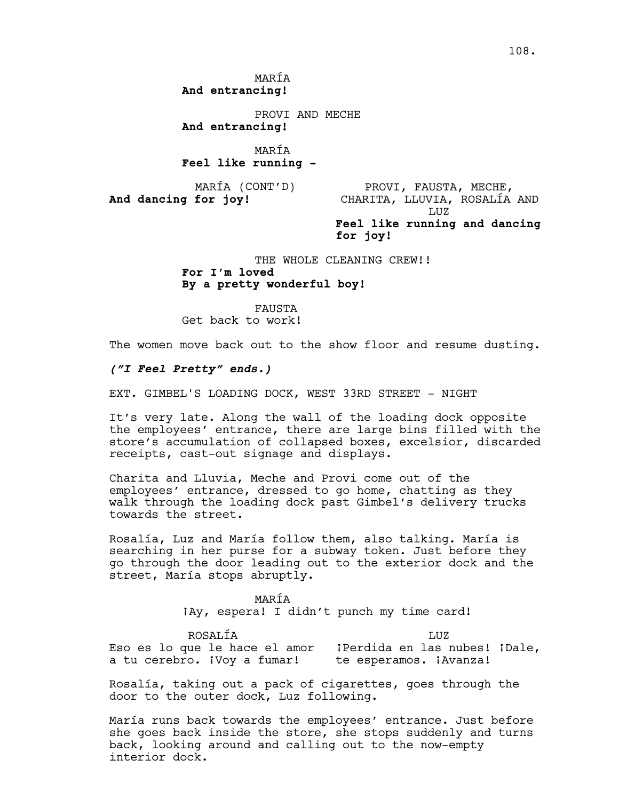MARÍA **And entrancing!** 

PROVI AND MECHE **And entrancing!**

MARÍA **Feel like running -**

MARÍA (CONT'D) **And dancing for joy!**

PROVI, FAUSTA, MECHE, CHARITA, LLUVIA, ROSALÍA AND LUZ

**Feel like running and dancing for joy!**

THE WHOLE CLEANING CREW!! **For I'm loved By a pretty wonderful boy!** 

FAUSTA Get back to work!

The women move back out to the show floor and resume dusting.

### *("I Feel Pretty" ends.)*

EXT. GIMBEL'S LOADING DOCK, WEST 33RD STREET - NIGHT

It's very late. Along the wall of the loading dock opposite the employees' entrance, there are large bins filled with the store's accumulation of collapsed boxes, excelsior, discarded receipts, cast-out signage and displays.

Charita and Lluvia, Meche and Provi come out of the employees' entrance, dressed to go home, chatting as they walk through the loading dock past Gimbel's delivery trucks towards the street.

Rosalía, Luz and María follow them, also talking. María is searching in her purse for a subway token. Just before they go through the door leading out to the exterior dock and the street, María stops abruptly.

> MARÍA ¡Ay, espera! I didn't punch my time card!

ROSALÍA Eso es lo que le hace el amor iPerdida en las nubes! ¡Dale, a tu cerebro. ¡Voy a fumar! LUZ te esperamos. ¡Avanza!

Rosalía, taking out a pack of cigarettes, goes through the door to the outer dock, Luz following.

María runs back towards the employees' entrance. Just before she goes back inside the store, she stops suddenly and turns back, looking around and calling out to the now-empty interior dock.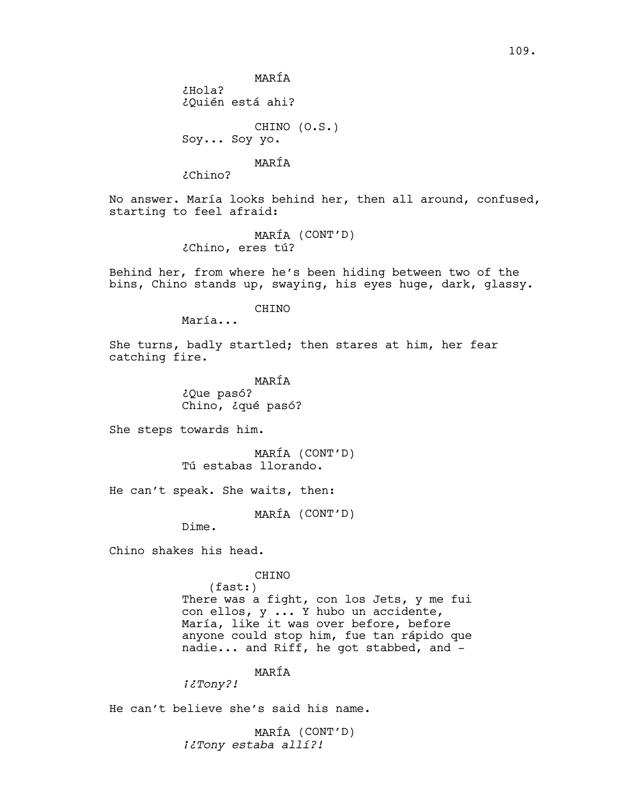MARÍA

¿Hola? ¿Quién está ahi?

CHINO (O.S.) Soy... Soy yo.

MARÍA

¿Chino?

No answer. María looks behind her, then all around, confused, starting to feel afraid:

> MARÍA (CONT'D) ¿Chino, eres tú?

Behind her, from where he's been hiding between two of the bins, Chino stands up, swaying, his eyes huge, dark, glassy.

CHINO

María...

She turns, badly startled; then stares at him, her fear catching fire.

> MARÍA ¿Que pasó? Chino, ¿qué pasó?

She steps towards him.

MARÍA (CONT'D) Tú estabas llorando.

He can't speak. She waits, then:

MARÍA (CONT'D)

Dime.

Chino shakes his head.

### CHINO

(fast:) There was a fight, con los Jets, y me fui con ellos, y ... Y hubo un accidente, María, like it was over before, before anyone could stop him, fue tan rápido que nadie... and Riff, he got stabbed, and -

# MARÍA

*¡¿Tony?!* 

He can't believe she's said his name.

MARÍA (CONT'D) *¡¿Tony estaba allí?!*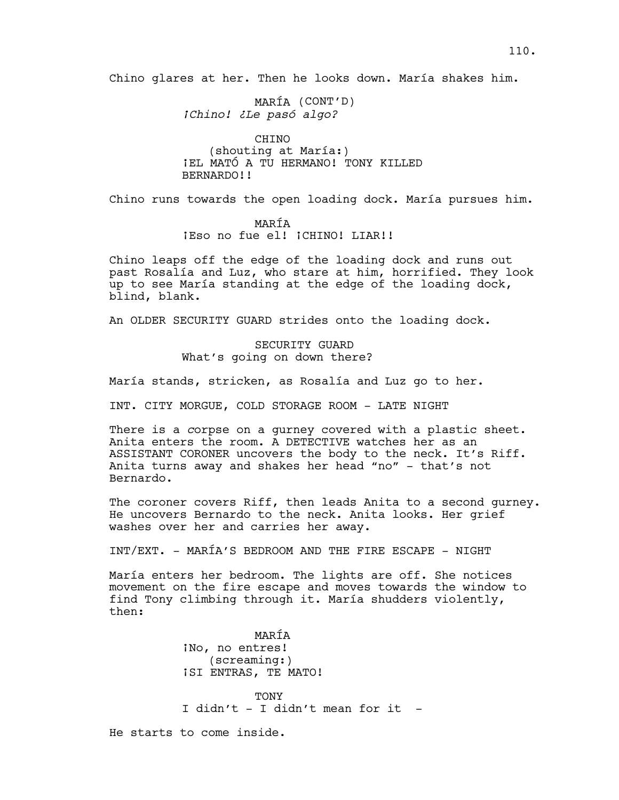Chino glares at her. Then he looks down. María shakes him.

MARÍA (CONT'D) *¡Chino! ¿Le pasó algo?*

CHINO (shouting at María:) ¡EL MATÓ A TU HERMANO! TONY KILLED BERNARDO!!

Chino runs towards the open loading dock. María pursues him.

### MARÍA

¡Eso no fue el! ¡CHINO! LIAR!!

Chino leaps off the edge of the loading dock and runs out past Rosalía and Luz, who stare at him, horrified. They look up to see María standing at the edge of the loading dock, blind, blank.

An OLDER SECURITY GUARD strides onto the loading dock.

### SECURITY GUARD What's going on down there?

María stands, stricken, as Rosalía and Luz go to her.

INT. CITY MORGUE, COLD STORAGE ROOM - LATE NIGHT

There is a *c*orpse on a gurney covered with a plastic sheet. Anita enters the room. A DETECTIVE watches her as an ASSISTANT CORONER uncovers the body to the neck. It's Riff. Anita turns away and shakes her head "no" - that's not Bernardo.

The coroner covers Riff, then leads Anita to a second gurney. He uncovers Bernardo to the neck. Anita looks. Her grief washes over her and carries her away.

INT/EXT. - MARÍA'S BEDROOM AND THE FIRE ESCAPE - NIGHT

María enters her bedroom. The lights are off. She notices movement on the fire escape and moves towards the window to find Tony climbing through it. María shudders violently, then:

> MARÍA ¡No, no entres! (screaming:) ¡SI ENTRAS, TE MATO!

TONY I didn't  $-$  I didn't mean for it  $-$ 

He starts to come inside.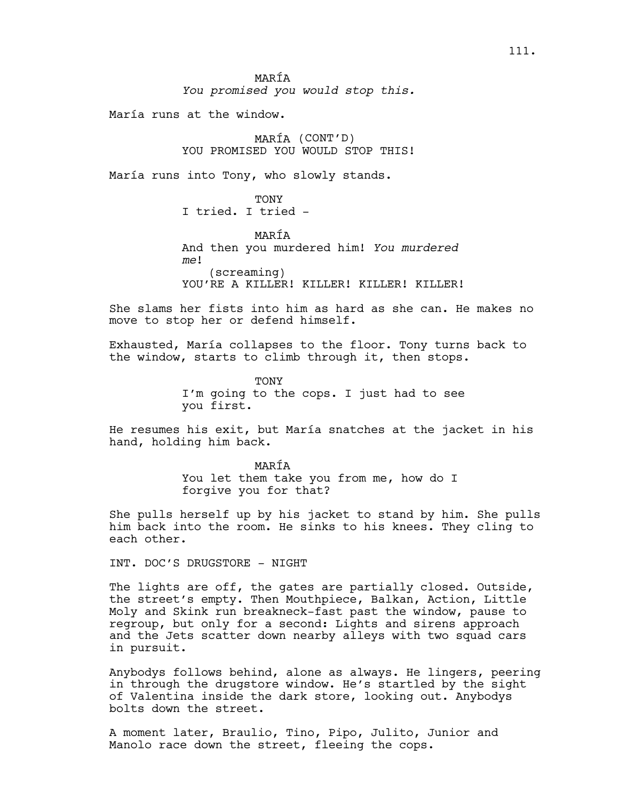## MARÍA

*You promised you would stop this.*

María runs at the window.

MARÍA (CONT'D) YOU PROMISED YOU WOULD STOP THIS!

María runs into Tony, who slowly stands.

TONY I tried. I tried -

MARÍA And then you murdered him! *You murdered me*! (screaming) YOU'RE A KILLER! KILLER! KILLER! KILLER!

She slams her fists into him as hard as she can. He makes no move to stop her or defend himself.

Exhausted, María collapses to the floor. Tony turns back to the window, starts to climb through it, then stops.

> TONY I'm going to the cops. I just had to see you first.

He resumes his exit, but María snatches at the jacket in his hand, holding him back.

> MARÍA You let them take you from me, how do I forgive you for that?

She pulls herself up by his jacket to stand by him. She pulls him back into the room. He sinks to his knees. They cling to each other.

INT. DOC'S DRUGSTORE - NIGHT

The lights are off, the gates are partially closed. Outside, the street's empty. Then Mouthpiece, Balkan, Action, Little Moly and Skink run breakneck-fast past the window, pause to regroup, but only for a second: Lights and sirens approach and the Jets scatter down nearby alleys with two squad cars in pursuit.

Anybodys follows behind, alone as always. He lingers, peering in through the drugstore window. He's startled by the sight of Valentina inside the dark store, looking out. Anybodys bolts down the street.

A moment later, Braulio, Tino, Pipo, Julito, Junior and Manolo race down the street, fleeing the cops.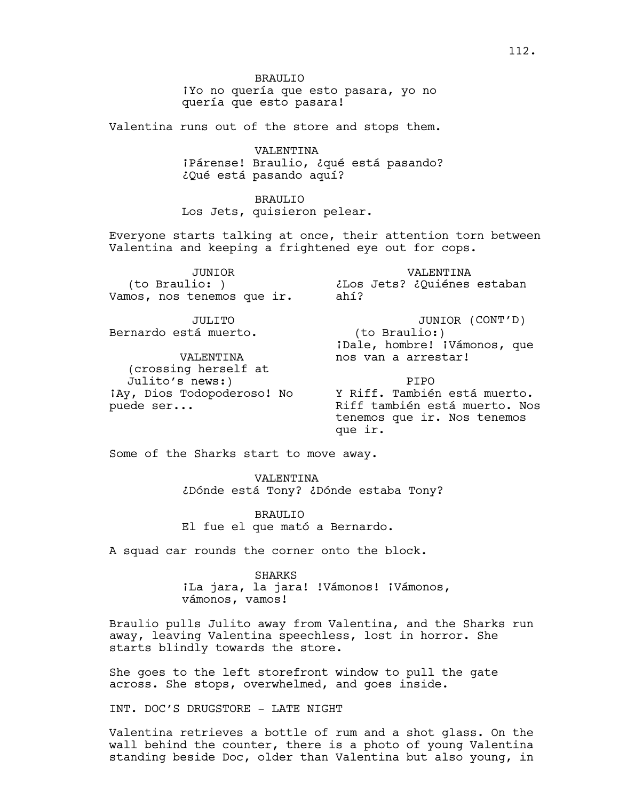BRAULTO iYo no quería que esto pasara, yo no quería que esto pasara!

Valentina runs out of the store and stops them.

VALENTINA ¡Párense! Braulio, ¿qué está pasando? ¿Qué está pasando aquí?

BRAULIO Los Jets, quisieron pelear.

Everyone starts talking at once, their attention torn between Valentina and keeping a frightened eye out for cops.

JUNIOR (to Braulio: ) Vamos, nos tenemos que ir.

VALENTINA ¿Los Jets? ¿Quiénes estaban ahí?

JULITO Bernardo está muerto.

 VALENTINA (crossing herself at Julito's news:) ¡Ay, Dios Todopoderoso! No puede ser...

JUNIOR (CONT'D) (to Braulio:) ¡Dale, hombre! ¡Vámonos, que nos van a arrestar!

 PIPO Y Riff. También está muerto. Riff también está muerto. Nos tenemos que ir. Nos tenemos que ir.

Some of the Sharks start to move away.

**VALENTINA** ¿Dónde está Tony? ¿Dónde estaba Tony?

BRAULTO El fue el que mató a Bernardo.

A squad car rounds the corner onto the block.

SHARKS

¡La jara, la jara! !Vámonos! ¡Vámonos, vámonos, vamos!

Braulio pulls Julito away from Valentina, and the Sharks run away, leaving Valentina speechless, lost in horror. She starts blindly towards the store.

She goes to the left storefront window to pull the gate across. She stops, overwhelmed, and goes inside.

INT. DOC'S DRUGSTORE - LATE NIGHT

Valentina retrieves a bottle of rum and a shot glass. On the wall behind the counter, there is a photo of young Valentina standing beside Doc, older than Valentina but also young, in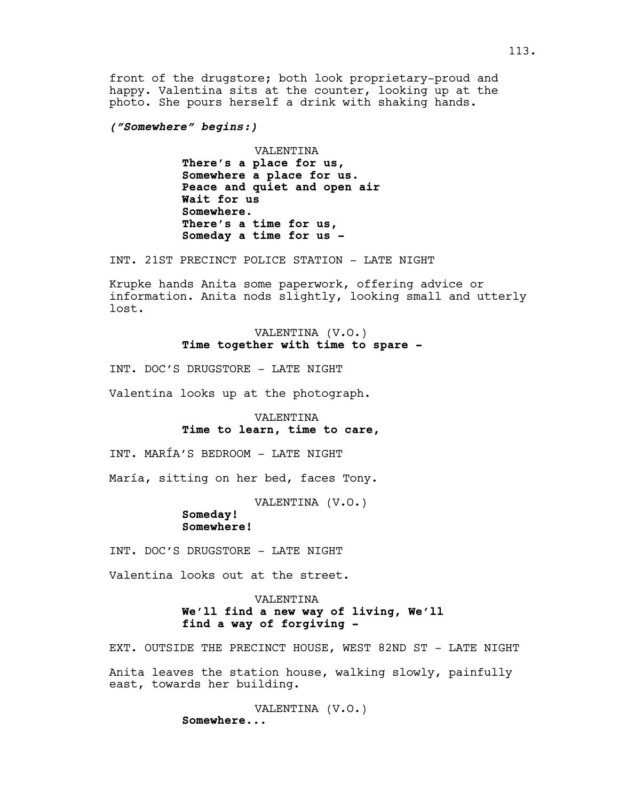front of the drugstore; both look proprietary-proud and happy. Valentina sits at the counter, looking up at the photo. She pours herself a drink with shaking hands.

*("Somewhere" begins:)* 

VALENTINA **There's a place for us, Somewhere a place for us. Peace and quiet and open air Wait for us Somewhere. There's a time for us, Someday a time for us -** 

INT. 21ST PRECINCT POLICE STATION - LATE NIGHT

Krupke hands Anita some paperwork, offering advice or information. Anita nods slightly, looking small and utterly lost.

### VALENTINA (V.O.) **Time together with time to spare -**

INT. DOC'S DRUGSTORE - LATE NIGHT

Valentina looks up at the photograph.

VALENTINA **Time to learn, time to care,** 

INT. MARÍA'S BEDROOM - LATE NIGHT

María, sitting on her bed, faces Tony.

VALENTINA (V.O.)

**Someday! Somewhere!** 

INT. DOC'S DRUGSTORE - LATE NIGHT

Valentina looks out at the street.

## VALENTINA **We'll find a new way of living, We'll find a way of forgiving -**

EXT. OUTSIDE THE PRECINCT HOUSE, WEST 82ND ST - LATE NIGHT Anita leaves the station house, walking slowly, painfully east, towards her building.

> VALENTINA (V.O.) **Somewhere...**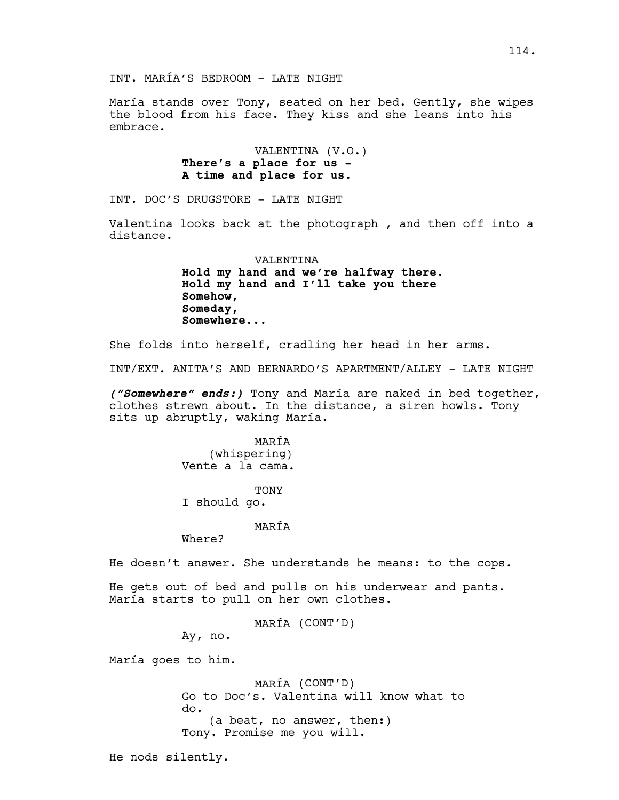María stands over Tony, seated on her bed. Gently, she wipes the blood from his face. They kiss and she leans into his embrace.

> VALENTINA (V.O.) **There's a place for us - A time and place for us.**

INT. DOC'S DRUGSTORE - LATE NIGHT

Valentina looks back at the photograph , and then off into a distance.

> **VALENTINA Hold my hand and we're halfway there. Hold my hand and I'll take you there Somehow, Someday, Somewhere...**

She folds into herself, cradling her head in her arms.

INT/EXT. ANITA'S AND BERNARDO'S APARTMENT/ALLEY - LATE NIGHT

*("Somewhere" ends:)* Tony and María are naked in bed together, clothes strewn about. In the distance, a siren howls. Tony sits up abruptly, waking María.

> MARÍA (whispering) Vente a la cama.

> > TONY

I should go.

### MARÍA

Where?

He doesn't answer. She understands he means: to the cops.

He gets out of bed and pulls on his underwear and pants. María starts to pull on her own clothes.

MARÍA (CONT'D)

Ay, no.

María goes to him.

MARÍA (CONT'D) Go to Doc's. Valentina will know what to do. (a beat, no answer, then:) Tony. Promise me you will.

He nods silently.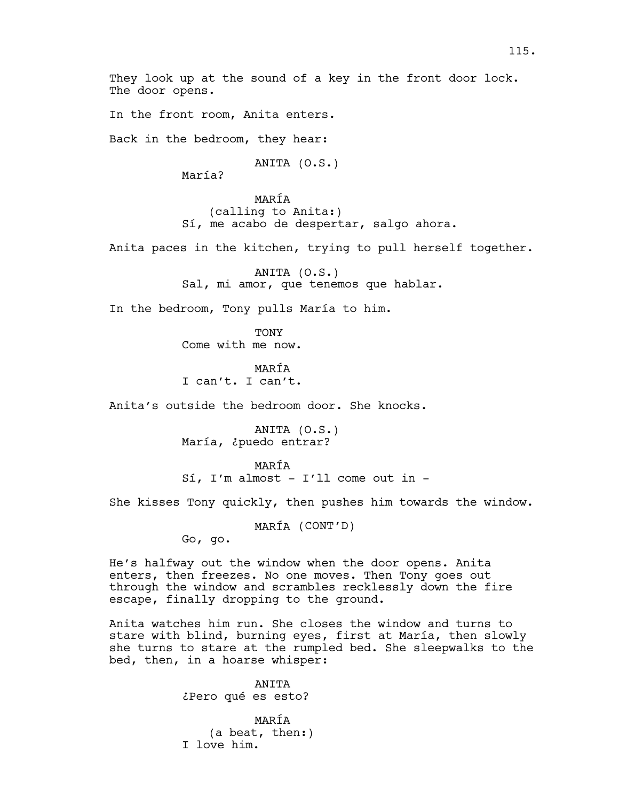They look up at the sound of a key in the front door lock. The door opens.

In the front room, Anita enters.

Back in the bedroom, they hear:

ANITA (O.S.)

María?

MARÍA (calling to Anita:) Sí, me acabo de despertar, salgo ahora.

Anita paces in the kitchen, trying to pull herself together.

ANITA (O.S.) Sal, mi amor, que tenemos que hablar.

In the bedroom, Tony pulls María to him.

TONY Come with me now.

MARÍA I can't. I can't.

Anita's outside the bedroom door. She knocks.

ANITA (O.S.) María, ¿puedo entrar?

MARÍA Sí, I'm almost - I'll come out in -

She kisses Tony quickly, then pushes him towards the window.

MARÍA (CONT'D)

Go, go.

He's halfway out the window when the door opens. Anita enters, then freezes. No one moves. Then Tony goes out through the window and scrambles recklessly down the fire escape, finally dropping to the ground.

Anita watches him run. She closes the window and turns to stare with blind, burning eyes, first at María, then slowly she turns to stare at the rumpled bed. She sleepwalks to the bed, then, in a hoarse whisper:

> ANITA ¿Pero qué es esto?

MARÍA (a beat, then:) I love him.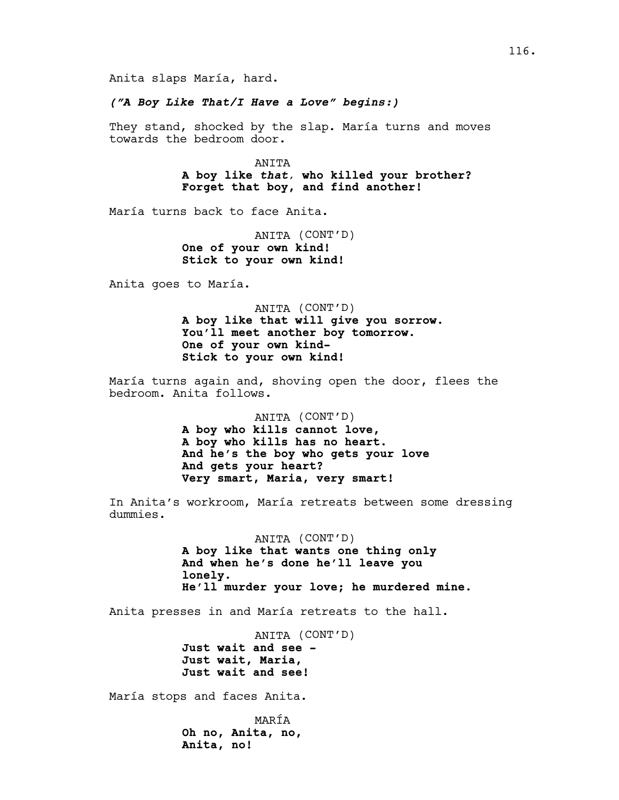Anita slaps María, hard.

## *("A Boy Like That/I Have a Love" begins:)*

They stand, shocked by the slap. María turns and moves towards the bedroom door.

> **ANTTA A boy like** *that,* **who killed your brother? Forget that boy, and find another!**

María turns back to face Anita.

ANITA (CONT'D) **One of your own kind! Stick to your own kind!** 

Anita goes to María.

ANITA (CONT'D) **A boy like that will give you sorrow. You'll meet another boy tomorrow. One of your own kind-Stick to your own kind!**

María turns again and, shoving open the door, flees the bedroom. Anita follows.

> ANITA (CONT'D) **A boy who kills cannot love, A boy who kills has no heart. And he's the boy who gets your love And gets your heart? Very smart, Maria, very smart!**

In Anita's workroom, María retreats between some dressing dummies.

> ANITA (CONT'D) **A boy like that wants one thing only And when he's done he'll leave you lonely. He'll murder your love; he murdered mine.**

Anita presses in and María retreats to the hall.

ANITA (CONT'D) **Just wait and see - Just wait, Maria, Just wait and see!**

María stops and faces Anita.

MARÍA **Oh no, Anita, no, Anita, no!**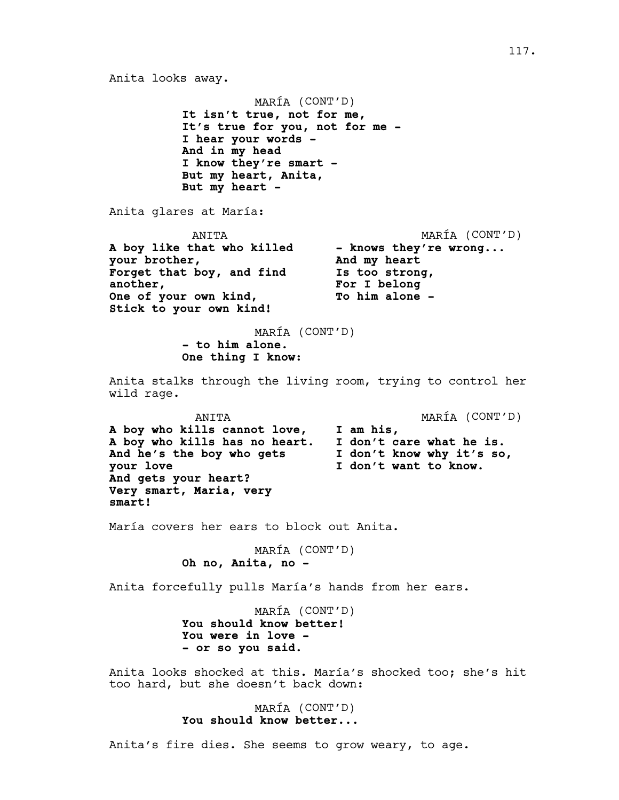Anita looks away. MARÍA (CONT'D) **It isn't true, not for me, It's true for you, not for me - I hear your words - And in my head I know they're smart - But my heart, Anita, But my heart -**  Anita glares at María: ANITA **A boy like that who killed your brother, Forget that boy, and find another, One of your own kind, Stick to your own kind!** MARÍA (CONT'D) **- knows they're wrong... And my heart Is too strong, For I belong To him alone -** MARÍA (CONT'D) **- to him alone. One thing I know:** Anita stalks through the living room, trying to control her wild rage. ANITA **A boy who kills cannot love, A boy who kills has no heart. And he's the boy who gets your love And gets your heart? Very smart, Maria, very smart!** MARÍA (CONT'D) **I am his, I don't care what he is. I don't know why it's so, I don't want to know.** María covers her ears to block out Anita. MARÍA (CONT'D) **Oh no, Anita, no -** Anita forcefully pulls María's hands from her ears. MARÍA (CONT'D) **You should know better! You were in love - - or so you said.** Anita looks shocked at this. María's shocked too; she's hit too hard, but she doesn't back down: MARÍA (CONT'D)

**You should know better...**

Anita's fire dies. She seems to grow weary, to age.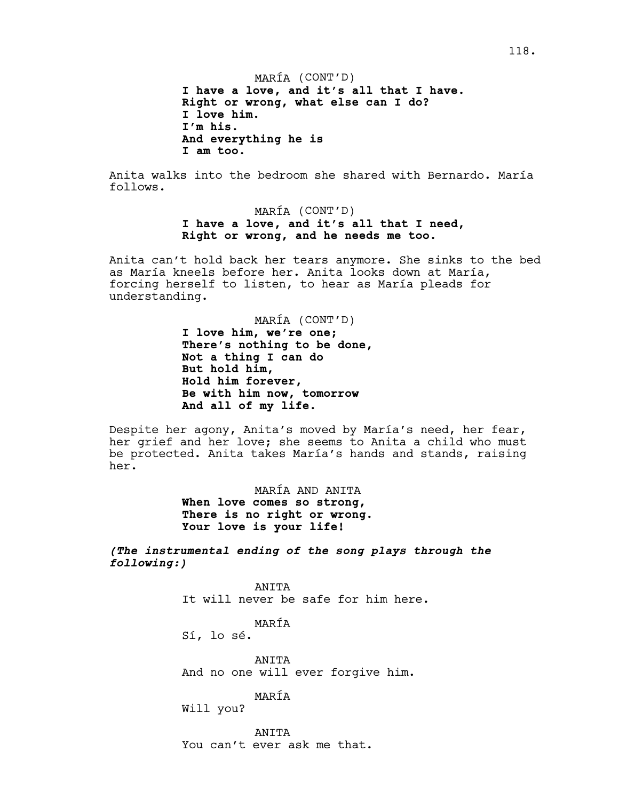MARÍA (CONT'D) **I have a love, and it's all that I have. Right or wrong, what else can I do? I love him. I'm his. And everything he is I am too.**

Anita walks into the bedroom she shared with Bernardo. María follows.

> MARÍA (CONT'D) **I have a love, and it's all that I need, Right or wrong, and he needs me too.**

Anita can't hold back her tears anymore. She sinks to the bed as María kneels before her. Anita looks down at María, forcing herself to listen, to hear as María pleads for understanding.

> MARÍA (CONT'D) **I love him, we're one; There's nothing to be done, Not a thing I can do But hold him, Hold him forever, Be with him now, tomorrow And all of my life.**

Despite her agony, Anita's moved by María's need, her fear, her grief and her love; she seems to Anita a child who must be protected. Anita takes María's hands and stands, raising her.

> MARÍA AND ANITA **When love comes so strong, There is no right or wrong. Your love is your life!**

*(The instrumental ending of the song plays through the following:)*

> ANITA It will never be safe for him here.

> > MARÍA

Sí, lo sé.

ANTTA And no one will ever forgive him.

MARÍA

Will you?

ANITA You can't ever ask me that.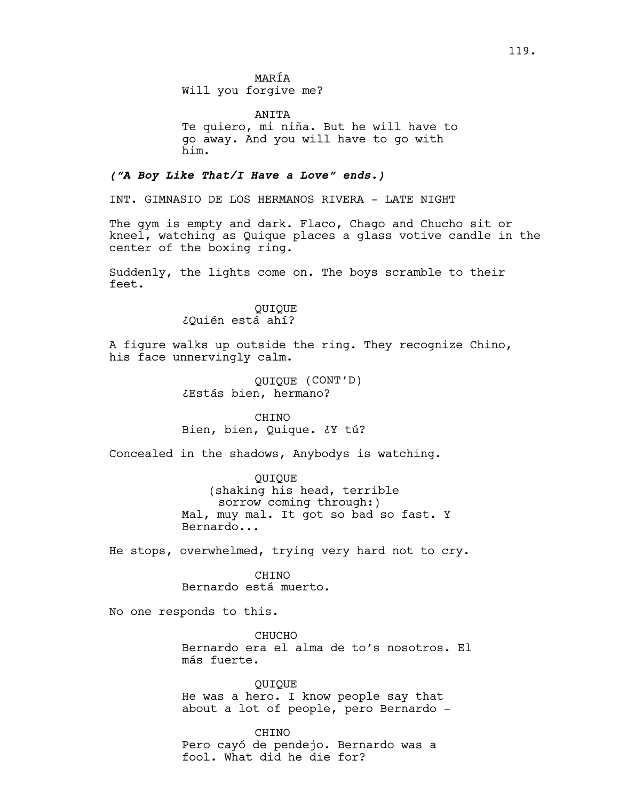MARÍA Will you forgive me?

ANITA Te quiero, mi niña. But he will have to go away. And you will have to go with him.

## *("A Boy Like That/I Have a Love" ends.)*

INT. GIMNASIO DE LOS HERMANOS RIVERA - LATE NIGHT

The gym is empty and dark. Flaco, Chago and Chucho sit or kneel, watching as Quique places a glass votive candle in the center of the boxing ring.

Suddenly, the lights come on. The boys scramble to their feet.

#### QUIQUE ¿Quién está ahí?

A figure walks up outside the ring. They recognize Chino, his face unnervingly calm.

> QUIQUE (CONT'D) ¿Estás bien, hermano?

CHINO Bien, bien, Quique. ¿Y tú?

Concealed in the shadows, Anybodys is watching.

QUIQUE (shaking his head, terrible sorrow coming through:) Mal, muy mal. It got so bad so fast. Y Bernardo...

He stops, overwhelmed, trying very hard not to cry.

#### CHINO Bernardo está muerto.

No one responds to this.

CHUCHO Bernardo era el alma de to's nosotros. El más fuerte.

QUIQUE He was a hero. I know people say that about a lot of people, pero Bernardo -

### CHINO Pero cayó de pendejo. Bernardo was a fool. What did he die for?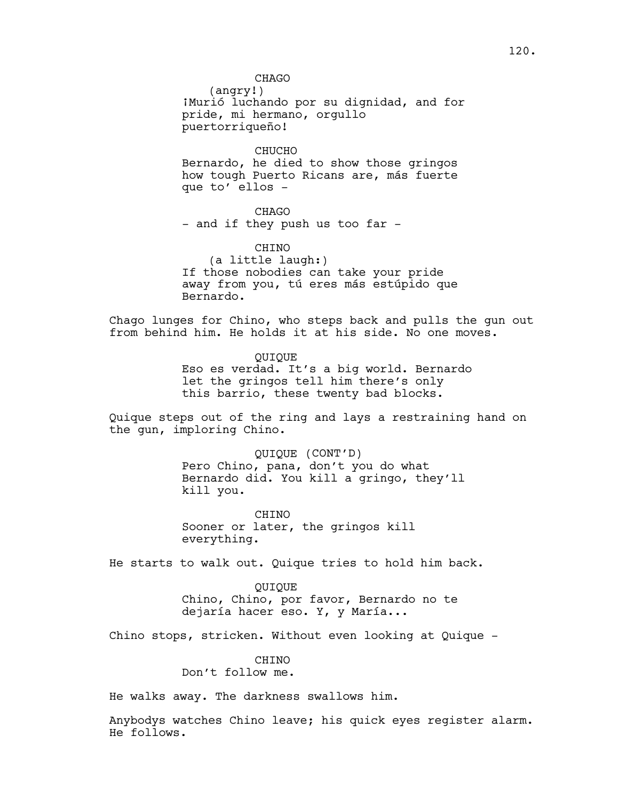**CHAGO** 

(angry!) ¡Murió luchando por su dignidad, and for pride, mi hermano, orgullo puertorriqueño!

CHUCHO

Bernardo, he died to show those gringos how tough Puerto Ricans are, más fuerte que to' ellos -

CHAGO

- and if they push us too far -

CHINO

(a little laugh:) If those nobodies can take your pride away from you, tú eres más estúpido que Bernardo.

Chago lunges for Chino, who steps back and pulls the gun out from behind him. He holds it at his side. No one moves.

> QUIQUE Eso es verdad. It's a big world. Bernardo let the gringos tell him there's only this barrio, these twenty bad blocks.

Quique steps out of the ring and lays a restraining hand on the gun, imploring Chino.

> QUIQUE (CONT'D) Pero Chino, pana, don't you do what Bernardo did. You kill a gringo, they'll kill you.

**CHTNO** Sooner or later, the gringos kill everything.

He starts to walk out. Quique tries to hold him back.

QUIQUE Chino, Chino, por favor, Bernardo no te dejaría hacer eso. Y, y María...

Chino stops, stricken. Without even looking at Quique -

CHINO Don't follow me.

He walks away. The darkness swallows him.

Anybodys watches Chino leave; his quick eyes register alarm. He follows.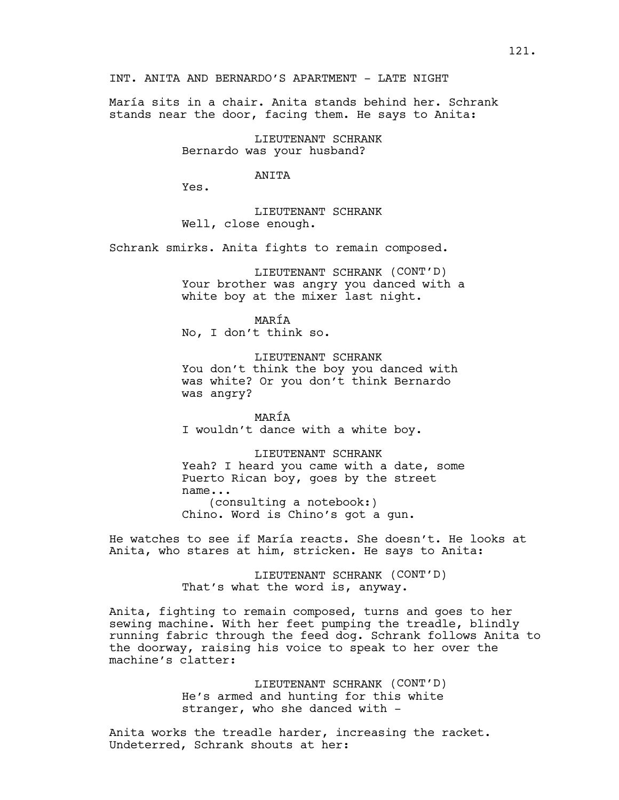INT. ANITA AND BERNARDO'S APARTMENT - LATE NIGHT

María sits in a chair. Anita stands behind her. Schrank stands near the door, facing them. He says to Anita:

> LIEUTENANT SCHRANK Bernardo was your husband?

#### ANITA

Yes.

LIEUTENANT SCHRANK Well, close enough.

Schrank smirks. Anita fights to remain composed.

LIEUTENANT SCHRANK (CONT'D) Your brother was angry you danced with a white boy at the mixer last night.

MARÍA No, I don't think so.

LIEUTENANT SCHRANK You don't think the boy you danced with was white? Or you don't think Bernardo was angry?

MARÍA I wouldn't dance with a white boy.

LIEUTENANT SCHRANK Yeah? I heard you came with a date, some Puerto Rican boy, goes by the street name... (consulting a notebook:) Chino. Word is Chino's got a gun.

He watches to see if María reacts. She doesn't. He looks at Anita, who stares at him, stricken. He says to Anita:

> LIEUTENANT SCHRANK (CONT'D) That's what the word is, anyway.

Anita, fighting to remain composed, turns and goes to her sewing machine. With her feet pumping the treadle, blindly running fabric through the feed dog. Schrank follows Anita to the doorway, raising his voice to speak to her over the machine's clatter:

> LIEUTENANT SCHRANK (CONT'D) He's armed and hunting for this white stranger, who she danced with -

Anita works the treadle harder, increasing the racket. Undeterred, Schrank shouts at her: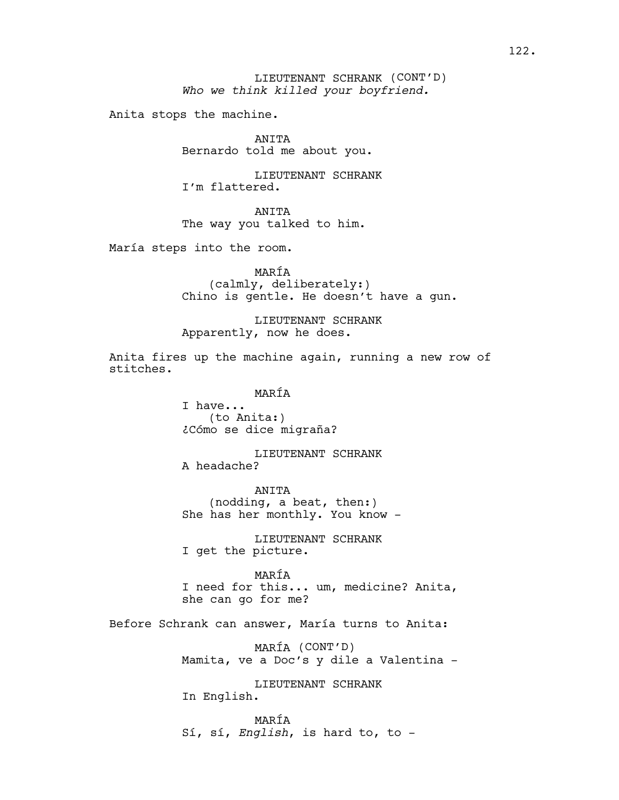LIEUTENANT SCHRANK (CONT'D) *Who we think killed your boyfriend.* 

Anita stops the machine.

ANITA Bernardo told me about you.

LIEUTENANT SCHRANK I'm flattered.

ANITA The way you talked to him.

María steps into the room.

MARÍA (calmly, deliberately:) Chino is gentle. He doesn't have a gun.

LIEUTENANT SCHRANK Apparently, now he does.

Anita fires up the machine again, running a new row of stitches.

> MARÍA I have... (to Anita:) ¿Cómo se dice migraña?

LIEUTENANT SCHRANK A headache?

ANITA (nodding, a beat, then:) She has her monthly. You know -

LIEUTENANT SCHRANK I get the picture.

MARÍA I need for this... um, medicine? Anita, she can go for me?

Before Schrank can answer, María turns to Anita:

MARÍA (CONT'D) Mamita, ve a Doc's y dile a Valentina -

LIEUTENANT SCHRANK In English.

MARÍA Sí, sí, *English*, is hard to, to -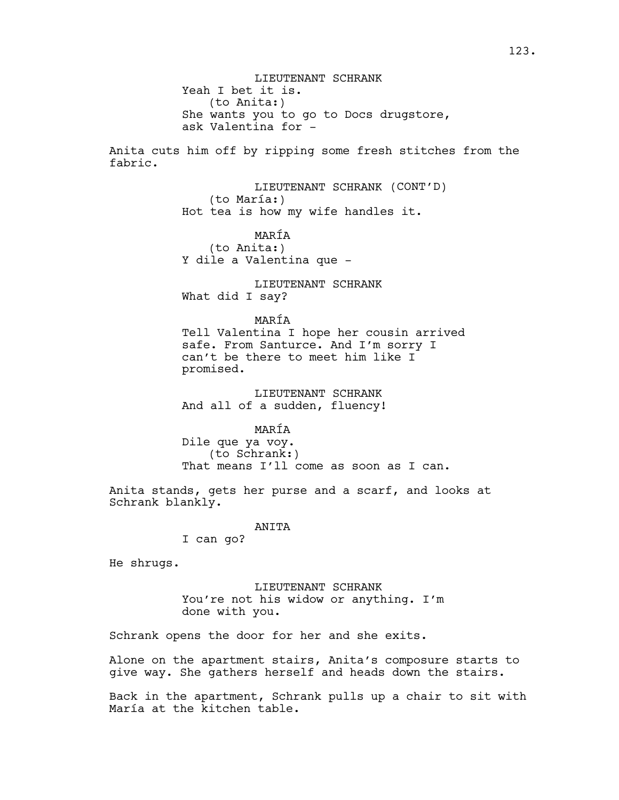LIEUTENANT SCHRANK Yeah I bet it is. (to Anita:) She wants you to go to Docs drugstore, ask Valentina for -

Anita cuts him off by ripping some fresh stitches from the fabric.

> LIEUTENANT SCHRANK (CONT'D) (to María:) Hot tea is how my wife handles it.

MARÍA (to Anita:) Y dile a Valentina que -

LIEUTENANT SCHRANK What did I say?

### MARÍA

Tell Valentina I hope her cousin arrived safe. From Santurce. And I'm sorry I can't be there to meet him like I promised.

LIEUTENANT SCHRANK And all of a sudden, fluency!

MARÍA

Dile que ya voy. (to Schrank:) That means I'll come as soon as I can.

Anita stands, gets her purse and a scarf, and looks at Schrank blankly.

### ANITA

I can go?

He shrugs.

LIEUTENANT SCHRANK You're not his widow or anything. I'm done with you.

Schrank opens the door for her and she exits.

Alone on the apartment stairs, Anita's composure starts to give way. She gathers herself and heads down the stairs.

Back in the apartment, Schrank pulls up a chair to sit with María at the kitchen table.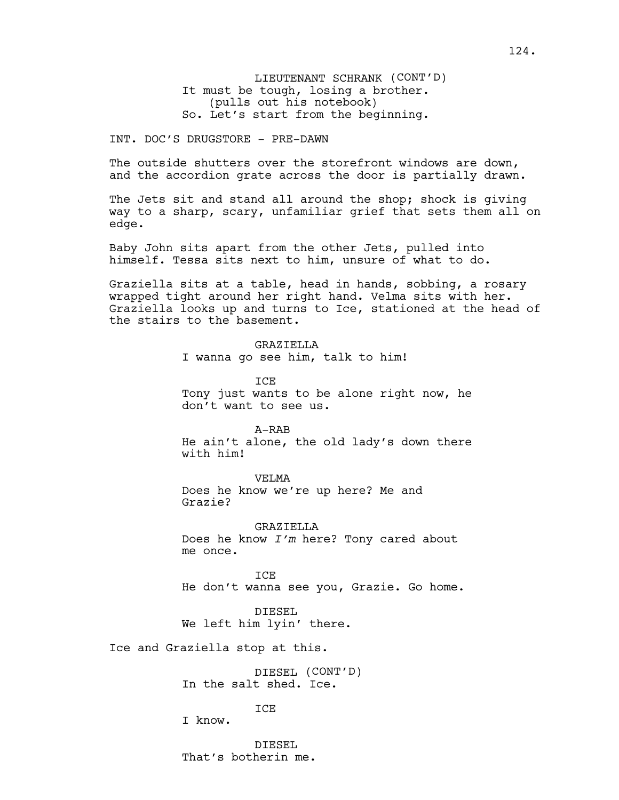LIEUTENANT SCHRANK (CONT'D) It must be tough, losing a brother. (pulls out his notebook) So. Let's start from the beginning.

INT. DOC'S DRUGSTORE - PRE-DAWN

The outside shutters over the storefront windows are down, and the accordion grate across the door is partially drawn.

The Jets sit and stand all around the shop; shock is giving way to a sharp, scary, unfamiliar grief that sets them all on edge.

Baby John sits apart from the other Jets, pulled into himself. Tessa sits next to him, unsure of what to do.

Graziella sits at a table, head in hands, sobbing, a rosary wrapped tight around her right hand. Velma sits with her. Graziella looks up and turns to Ice, stationed at the head of the stairs to the basement.

> **GRAZIELLA** I wanna go see him, talk to him!

ICE Tony just wants to be alone right now, he don't want to see us.

A-RAB

He ain't alone, the old lady's down there with him!

VELMA Does he know we're up here? Me and Grazie?

GRAZIELLA Does he know *I'm* here? Tony cared about me once.

TCE. He don't wanna see you, Grazie. Go home.

DIESEL We left him lyin' there.

Ice and Graziella stop at this.

DIESEL (CONT'D) In the salt shed. Ice.

**TCE** 

I know.

DIESEL That's botherin me.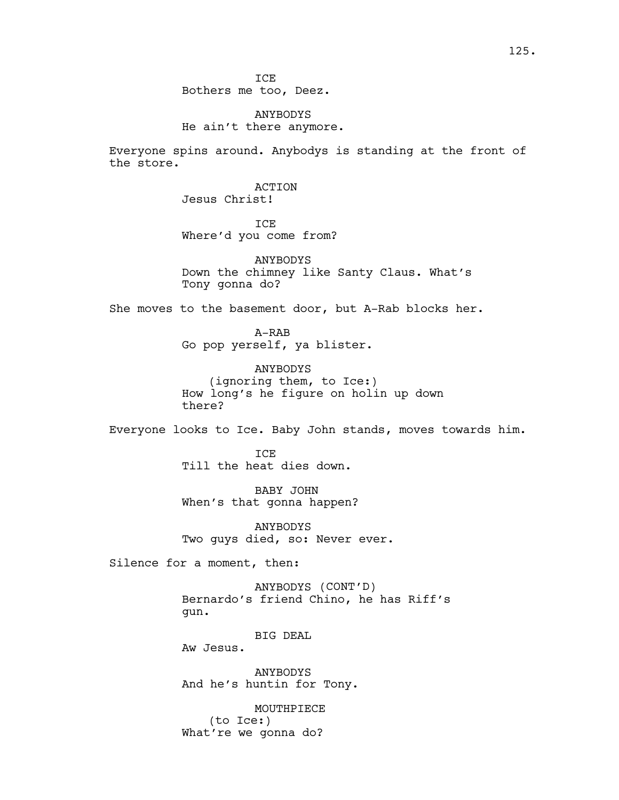ICE Bothers me too, Deez.

ANYBODYS He ain't there anymore.

Everyone spins around. Anybodys is standing at the front of the store.

> ACTION Jesus Christ!

ICE Where'd you come from?

ANYBODYS Down the chimney like Santy Claus. What's Tony gonna do?

She moves to the basement door, but A-Rab blocks her.

A-RAB Go pop yerself, ya blister.

ANYBODYS (ignoring them, to Ice:) How long's he figure on holin up down there?

Everyone looks to Ice. Baby John stands, moves towards him.

**TCE** Till the heat dies down.

BABY JOHN When's that gonna happen?

ANYBODYS Two guys died, so: Never ever.

Silence for a moment, then:

ANYBODYS (CONT'D) Bernardo's friend Chino, he has Riff's gun.

BIG DEAL

Aw Jesus.

ANYBODYS And he's huntin for Tony.

MOUTHPIECE (to Ice:) What're we gonna do?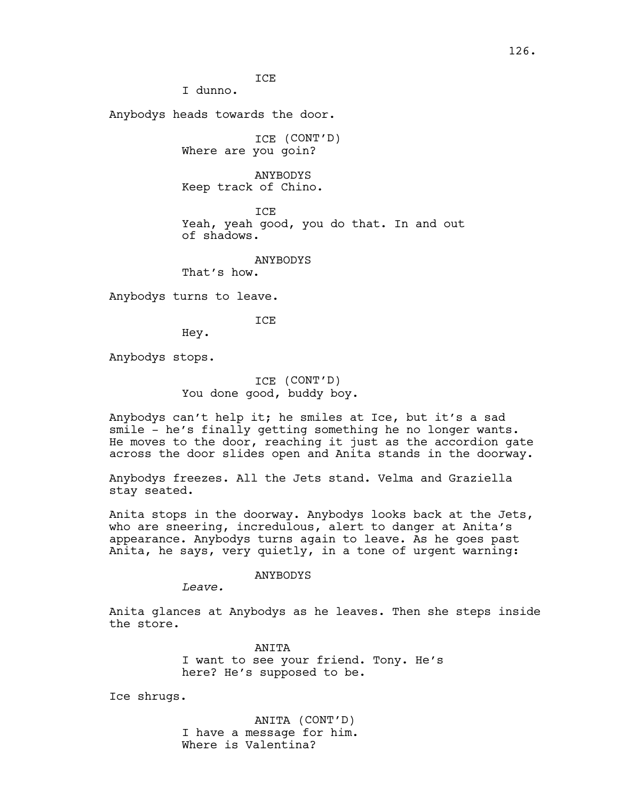**TCE** 

I dunno.

Anybodys heads towards the door.

ICE (CONT'D) Where are you goin?

ANYBODYS Keep track of Chino.

ICE Yeah, yeah good, you do that. In and out of shadows.

ANYBODYS

That's how.

Anybodys turns to leave.

**TCE** 

Hey.

Anybodys stops.

ICE (CONT'D) You done good, buddy boy.

Anybodys can't help it; he smiles at Ice, but it's a sad smile - he's finally getting something he no longer wants. He moves to the door, reaching it just as the accordion gate across the door slides open and Anita stands in the doorway.

Anybodys freezes. All the Jets stand. Velma and Graziella stay seated.

Anita stops in the doorway. Anybodys looks back at the Jets, who are sneering, incredulous, alert to danger at Anita's appearance. Anybodys turns again to leave. As he goes past Anita, he says, very quietly, in a tone of urgent warning:

### ANYBODYS

*Leave.*

Anita glances at Anybodys as he leaves. Then she steps inside the store.

> ANITA I want to see your friend. Tony. He's here? He's supposed to be.

Ice shrugs.

ANITA (CONT'D) I have a message for him. Where is Valentina?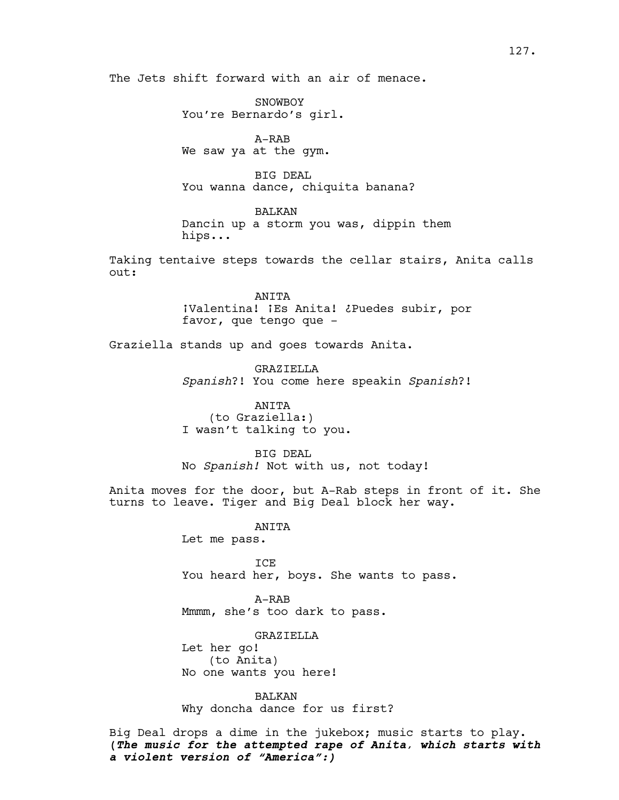The Jets shift forward with an air of menace.

**SNOWBOY** You're Bernardo's girl.

A-RAB We saw ya at the gym.

BIG DEAL You wanna dance, chiquita banana?

BALKAN Dancin up a storm you was, dippin them hips...

Taking tentaive steps towards the cellar stairs, Anita calls out:

> ANITA ¡Valentina! ¡Es Anita! ¿Puedes subir, por favor, que tengo que -

Graziella stands up and goes towards Anita.

GRAZIELLA *Spanish*?! You come here speakin *Spanish*?!

ANITA (to Graziella:) I wasn't talking to you.

BIG DEAL No *Spanish!* Not with us, not today!

Anita moves for the door, but A-Rab steps in front of it. She turns to leave. Tiger and Big Deal block her way.

> ANITA Let me pass.

ICE You heard her, boys. She wants to pass.

A-RAB Mmmm, she's too dark to pass.

GRAZIELLA

Let her go! (to Anita) No one wants you here!

BALKAN Why doncha dance for us first?

Big Deal drops a dime in the jukebox; music starts to play. **(***The music for the attempted rape of Anita, which starts with a violent version of "America":)*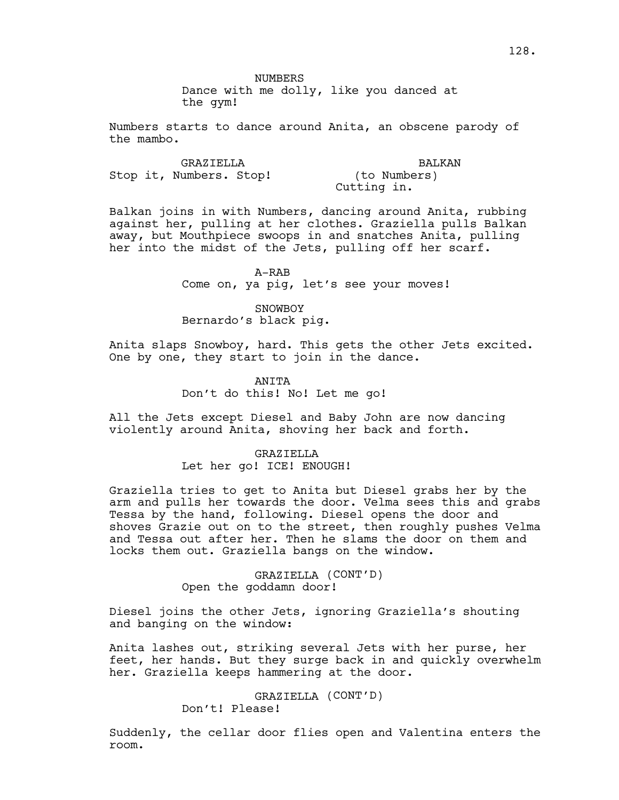NUMBERS Dance with me dolly, like you danced at the gym!

Numbers starts to dance around Anita, an obscene parody of the mambo.

GRAZIELLA Stop it, Numbers. Stop! BALKAN (to Numbers) Cutting in.

Balkan joins in with Numbers, dancing around Anita, rubbing against her, pulling at her clothes. Graziella pulls Balkan away, but Mouthpiece swoops in and snatches Anita, pulling her into the midst of the Jets, pulling off her scarf.

> A-RAB Come on, ya pig, let's see your moves!

SNOWBOY Bernardo's black pig.

Anita slaps Snowboy, hard. This gets the other Jets excited. One by one, they start to join in the dance.

> ANITA Don't do this! No! Let me go!

All the Jets except Diesel and Baby John are now dancing violently around Anita, shoving her back and forth.

> GRAZIELLA Let her go! ICE! ENOUGH!

Graziella tries to get to Anita but Diesel grabs her by the arm and pulls her towards the door. Velma sees this and grabs Tessa by the hand, following. Diesel opens the door and shoves Grazie out on to the street, then roughly pushes Velma and Tessa out after her. Then he slams the door on them and locks them out. Graziella bangs on the window.

> GRAZIELLA (CONT'D) Open the goddamn door!

Diesel joins the other Jets, ignoring Graziella's shouting and banging on the window:

Anita lashes out, striking several Jets with her purse, her feet, her hands. But they surge back in and quickly overwhelm her. Graziella keeps hammering at the door.

> GRAZIELLA (CONT'D) Don't! Please!

Suddenly, the cellar door flies open and Valentina enters the room.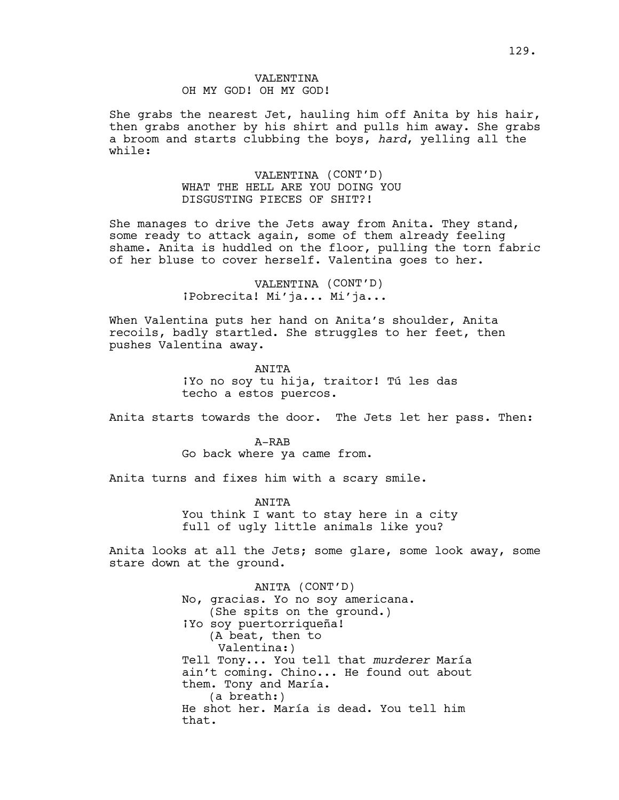### **VALENTINA** OH MY GOD! OH MY GOD!

She grabs the nearest Jet, hauling him off Anita by his hair, then grabs another by his shirt and pulls him away. She grabs a broom and starts clubbing the boys, *hard*, yelling all the while:

> VALENTINA (CONT'D) WHAT THE HELL ARE YOU DOING YOU DISGUSTING PIECES OF SHIT?!

She manages to drive the Jets away from Anita. They stand, some ready to attack again, some of them already feeling shame. Anita is huddled on the floor, pulling the torn fabric of her bluse to cover herself. Valentina goes to her.

> VALENTINA (CONT'D) ¡Pobrecita! Mi'ja... Mi'ja...

When Valentina puts her hand on Anita's shoulder, Anita recoils, badly startled. She struggles to her feet, then pushes Valentina away.

> **ANTTA** ¡Yo no soy tu hija, traitor! Tú les das techo a estos puercos.

Anita starts towards the door. The Jets let her pass. Then:

#### A-RAB

Go back where ya came from.

Anita turns and fixes him with a scary smile.

**ANTTA** You think I want to stay here in a city full of ugly little animals like you?

Anita looks at all the Jets; some glare, some look away, some stare down at the ground.

> ANITA (CONT'D) No, gracias. Yo no soy americana. (She spits on the ground.) ¡Yo soy puertorriqueña! (A beat, then to Valentina:) Tell Tony... You tell that *murderer* María ain't coming. Chino... He found out about them. Tony and María. (a breath:) He shot her. María is dead. You tell him that.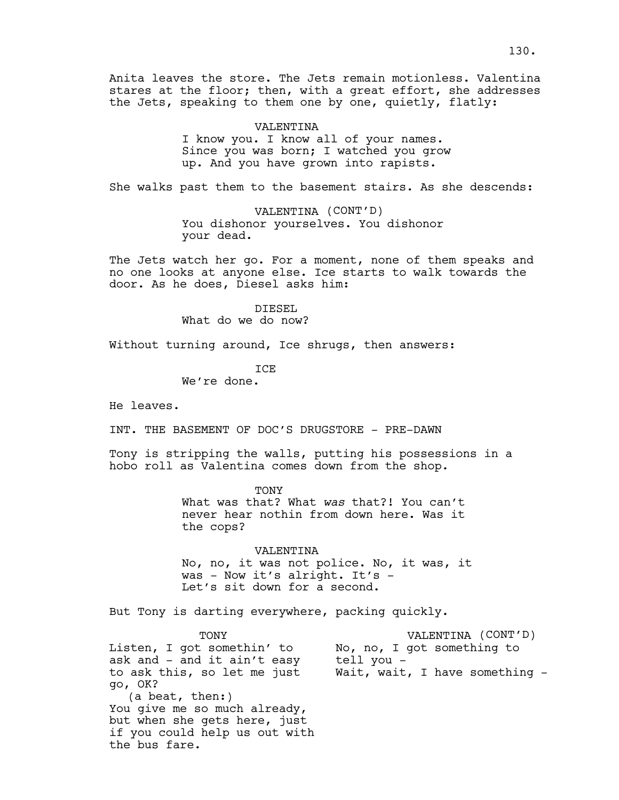Anita leaves the store. The Jets remain motionless. Valentina stares at the floor; then, with a great effort, she addresses the Jets, speaking to them one by one, quietly, flatly:

#### VALENTINA

I know you. I know all of your names. Since you was born; I watched you grow up. And you have grown into rapists.

She walks past them to the basement stairs. As she descends:

VALENTINA (CONT'D) You dishonor yourselves. You dishonor your dead.

The Jets watch her go. For a moment, none of them speaks and no one looks at anyone else. Ice starts to walk towards the door. As he does, Diesel asks him:

> DIESEL What do we do now?

Without turning around, Ice shrugs, then answers:

**TCE** 

We're done.

He leaves.

INT. THE BASEMENT OF DOC'S DRUGSTORE - PRE-DAWN

Tony is stripping the walls, putting his possessions in a hobo roll as Valentina comes down from the shop.

> TONY What was that? What *was* that?! You can't never hear nothin from down here. Was it the cops?

VALENTINA No, no, it was not police. No, it was, it was - Now it's alright. It's - Let's sit down for a second.

But Tony is darting everywhere, packing quickly.

**TONY** Listen, I got somethin' to ask and - and it ain't easy to ask this, so let me just go, OK? (a beat, then:) You give me so much already, but when she gets here, just if you could help us out with the bus fare. VALENTINA (CONT'D) No, no, I got something to tell you - Wait, wait, I have something -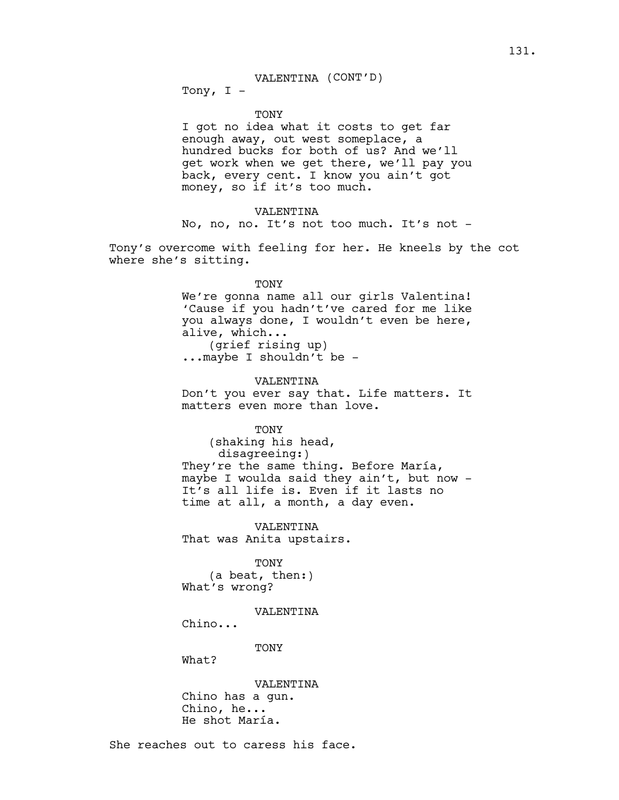### VALENTINA (CONT'D)

Tony,  $I -$ 

#### **TONY**

I got no idea what it costs to get far enough away, out west someplace, a hundred bucks for both of us? And we'll get work when we get there, we'll pay you back, every cent. I know you ain't got money, so if it's too much.

#### VALENTINA

No, no, no. It's not too much. It's not -

Tony's overcome with feeling for her. He kneels by the cot where she's sitting.

#### TONY

We're gonna name all our girls Valentina! 'Cause if you hadn't've cared for me like you always done, I wouldn't even be here, alive, which... (grief rising up) ...maybe I shouldn't be -

VALENTINA

Don't you ever say that. Life matters. It matters even more than love.

TONY

(shaking his head, disagreeing:) They're the same thing. Before María, maybe I woulda said they ain't, but now - It's all life is. Even if it lasts no time at all, a month, a day even.

VALENTINA That was Anita upstairs.

TONY

(a beat, then:) What's wrong?

VALENTINA

Chino...

TONY

What?

VALENTINA Chino has a gun. Chino, he... He shot María.

She reaches out to caress his face.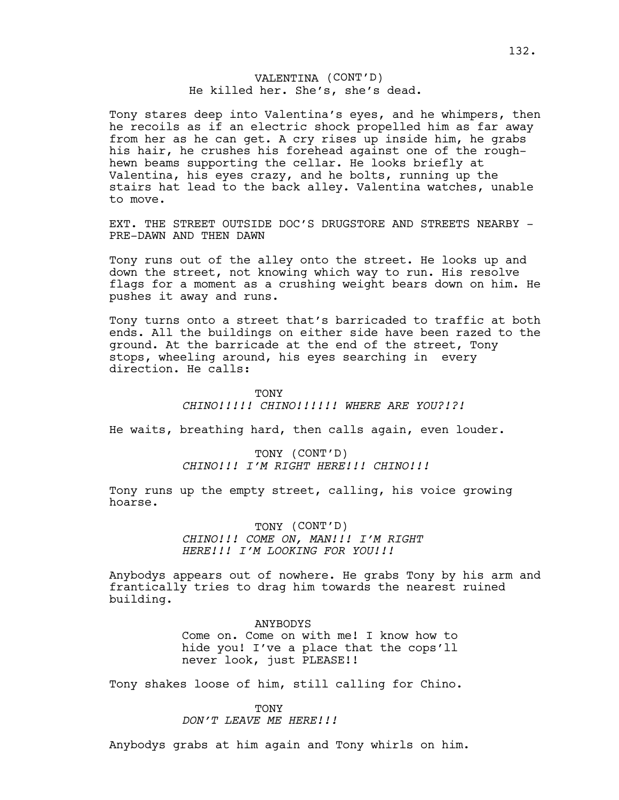### VALENTINA (CONT'D) He killed her. She's, she's dead.

Tony stares deep into Valentina's eyes, and he whimpers, then he recoils as if an electric shock propelled him as far away from her as he can get. A cry rises up inside him, he grabs his hair, he crushes his forehead against one of the roughhewn beams supporting the cellar. He looks briefly at Valentina, his eyes crazy, and he bolts, running up the stairs hat lead to the back alley. Valentina watches, unable to move.

EXT. THE STREET OUTSIDE DOC'S DRUGSTORE AND STREETS NEARBY -PRE-DAWN AND THEN DAWN

Tony runs out of the alley onto the street. He looks up and down the street, not knowing which way to run. His resolve flags for a moment as a crushing weight bears down on him. He pushes it away and runs.

Tony turns onto a street that's barricaded to traffic at both ends. All the buildings on either side have been razed to the ground. At the barricade at the end of the street, Tony stops, wheeling around, his eyes searching in every direction. He calls:

#### **TONY**

*CHINO!!!!! CHINO!!!!!! WHERE ARE YOU?!?!* 

He waits, breathing hard, then calls again, even louder.

TONY (CONT'D) *CHINO!!! I'M RIGHT HERE!!! CHINO!!!* 

Tony runs up the empty street, calling, his voice growing hoarse.

> TONY (CONT'D) *CHINO!!! COME ON, MAN!!! I'M RIGHT HERE!!! I'M LOOKING FOR YOU!!!*

Anybodys appears out of nowhere. He grabs Tony by his arm and frantically tries to drag him towards the nearest ruined building.

> ANYBODYS Come on. Come on with me! I know how to hide you! I've a place that the cops'll never look, just PLEASE!!

Tony shakes loose of him, still calling for Chino.

**TONY** *DON'T LEAVE ME HERE!!!*

Anybodys grabs at him again and Tony whirls on him.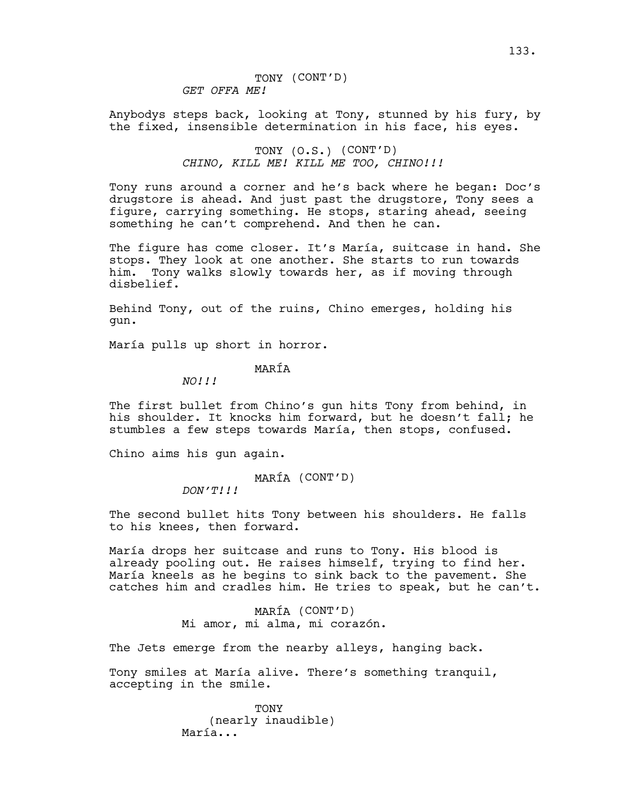## TONY (CONT'D) *GET OFFA ME!*

Anybodys steps back, looking at Tony, stunned by his fury, by the fixed, insensible determination in his face, his eyes.

### TONY (O.S.) (CONT'D) *CHINO, KILL ME! KILL ME TOO, CHINO!!!*

Tony runs around a corner and he's back where he began: Doc's drugstore is ahead. And just past the drugstore, Tony sees a figure, carrying something. He stops, staring ahead, seeing something he can't comprehend. And then he can.

The figure has come closer. It's María, suitcase in hand. She stops. They look at one another. She starts to run towards him. Tony walks slowly towards her, as if moving through disbelief.

Behind Tony, out of the ruins, Chino emerges, holding his gun.

María pulls up short in horror.

## MARÍA

*NO!!!*

The first bullet from Chino's gun hits Tony from behind, in his shoulder. It knocks him forward, but he doesn't fall; he stumbles a few steps towards María, then stops, confused.

Chino aims his gun again.

MARÍA (CONT'D)

*DON'T!!!*

The second bullet hits Tony between his shoulders. He falls to his knees, then forward.

María drops her suitcase and runs to Tony. His blood is already pooling out. He raises himself, trying to find her. María kneels as he begins to sink back to the pavement. She catches him and cradles him. He tries to speak, but he can't.

> MARÍA (CONT'D) Mi amor, mi alma, mi corazón.

The Jets emerge from the nearby alleys, hanging back.

Tony smiles at María alive. There's something tranquil, accepting in the smile.

> **TONY** (nearly inaudible) María...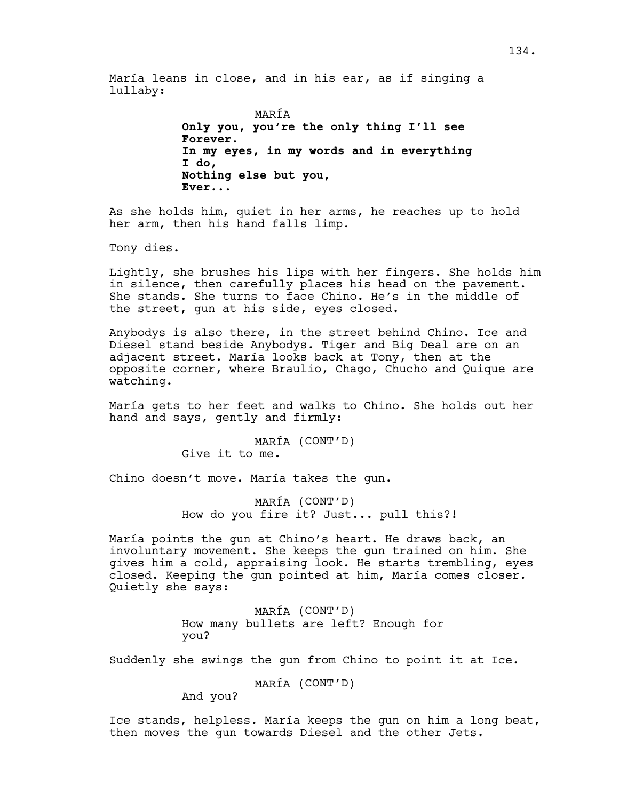María leans in close, and in his ear, as if singing a lullaby:

> MARÍA **Only you, you're the only thing I'll see Forever. In my eyes, in my words and in everything I do, Nothing else but you, Ever...**

As she holds him, quiet in her arms, he reaches up to hold her arm, then his hand falls limp.

Tony dies.

Lightly, she brushes his lips with her fingers. She holds him in silence, then carefully places his head on the pavement. She stands. She turns to face Chino. He's in the middle of the street, gun at his side, eyes closed.

Anybodys is also there, in the street behind Chino. Ice and Diesel stand beside Anybodys. Tiger and Big Deal are on an adjacent street. María looks back at Tony, then at the opposite corner, where Braulio, Chago, Chucho and Quique are watching.

María gets to her feet and walks to Chino. She holds out her hand and says, gently and firmly:

> MARÍA (CONT'D) Give it to me.

Chino doesn't move. María takes the gun.

MARÍA (CONT'D) How do you fire it? Just... pull this?!

María points the gun at Chino's heart. He draws back, an involuntary movement. She keeps the gun trained on him. She gives him a cold, appraising look. He starts trembling, eyes closed. Keeping the gun pointed at him, María comes closer. Quietly she says:

> MARÍA (CONT'D) How many bullets are left? Enough for you?

Suddenly she swings the gun from Chino to point it at Ice.

MARÍA (CONT'D)

And you?

Ice stands, helpless. María keeps the gun on him a long beat, then moves the gun towards Diesel and the other Jets.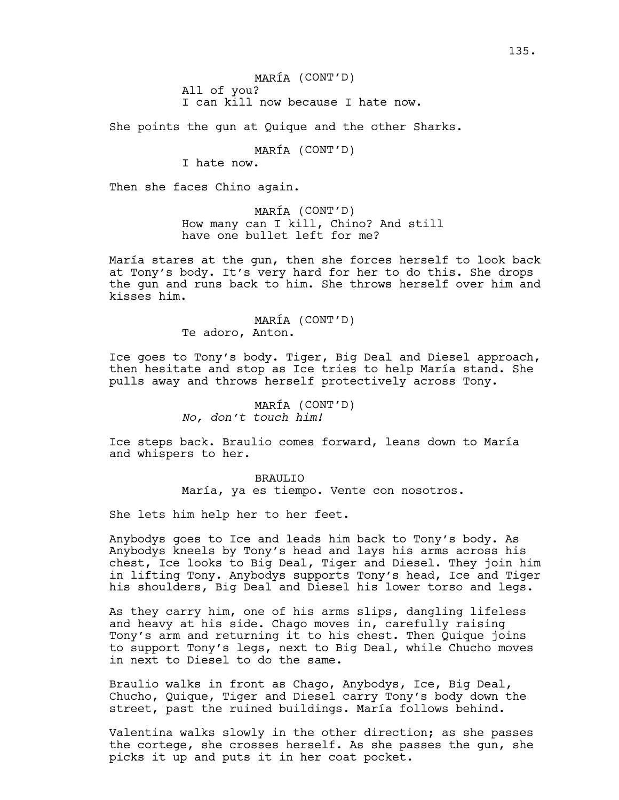MARÍA (CONT'D) All of you? I can kill now because I hate now.

She points the gun at Quique and the other Sharks.

MARÍA (CONT'D)

I hate now.

Then she faces Chino again.

MARÍA (CONT'D) How many can I kill, Chino? And still have one bullet left for me?

María stares at the gun, then she forces herself to look back at Tony's body. It's very hard for her to do this. She drops the gun and runs back to him. She throws herself over him and kisses him.

> MARÍA (CONT'D) Te adoro, Anton.

Ice goes to Tony's body. Tiger, Big Deal and Diesel approach, then hesitate and stop as Ice tries to help María stand. She pulls away and throws herself protectively across Tony.

> MARÍA (CONT'D) *No, don't touch him!*

Ice steps back. Braulio comes forward, leans down to María and whispers to her.

> BRAULIO María, ya es tiempo. Vente con nosotros.

She lets him help her to her feet.

Anybodys goes to Ice and leads him back to Tony's body. As Anybodys kneels by Tony's head and lays his arms across his chest, Ice looks to Big Deal, Tiger and Diesel. They join him in lifting Tony. Anybodys supports Tony's head, Ice and Tiger his shoulders, Big Deal and Diesel his lower torso and legs.

As they carry him, one of his arms slips, dangling lifeless and heavy at his side. Chago moves in, carefully raising Tony's arm and returning it to his chest. Then Quique joins to support Tony's legs, next to Big Deal, while Chucho moves in next to Diesel to do the same.

Braulio walks in front as Chago, Anybodys, Ice, Big Deal, Chucho, Quique, Tiger and Diesel carry Tony's body down the street, past the ruined buildings. María follows behind.

Valentina walks slowly in the other direction; as she passes the cortege, she crosses herself. As she passes the gun, she picks it up and puts it in her coat pocket.